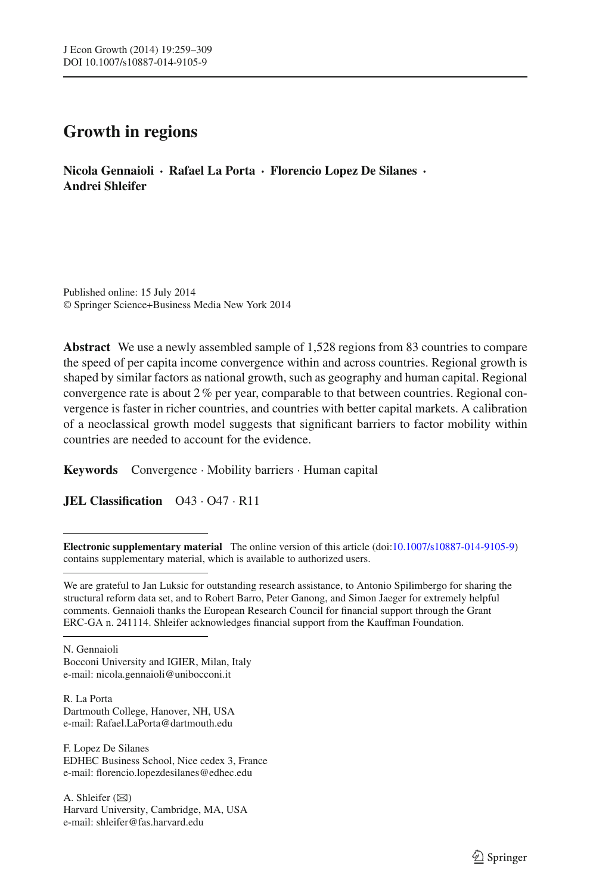# **Growth in regions**

**Nicola Gennaioli · Rafael La Porta · Florencio Lopez De Silanes · Andrei Shleifer**

Published online: 15 July 2014 © Springer Science+Business Media New York 2014

**Abstract** We use a newly assembled sample of 1,528 regions from 83 countries to compare the speed of per capita income convergence within and across countries. Regional growth is shaped by similar factors as national growth, such as geography and human capital. Regional convergence rate is about  $2\%$  per year, comparable to that between countries. Regional convergence is faster in richer countries, and countries with better capital markets. A calibration of a neoclassical growth model suggests that significant barriers to factor mobility within countries are needed to account for the evidence.

**Keywords** Convergence · Mobility barriers · Human capital

**JEL Classification** O43 · O47 · R11

N. Gennaioli

Bocconi University and IGIER, Milan, Italy e-mail: nicola.gennaioli@unibocconi.it

R. La Porta Dartmouth College, Hanover, NH, USA e-mail: Rafael.LaPorta@dartmouth.edu

F. Lopez De Silanes EDHEC Business School, Nice cedex 3, France e-mail: florencio.lopezdesilanes@edhec.edu

A. Shleifer  $(\boxtimes)$ Harvard University, Cambridge, MA, USA e-mail: shleifer@fas.harvard.edu

**Electronic supplementary material** The online version of this article (doi[:10.1007/s10887-014-9105-9\)](http://dx.doi.org/10.1007/s10887-014-9105-9) contains supplementary material, which is available to authorized users.

We are grateful to Jan Luksic for outstanding research assistance, to Antonio Spilimbergo for sharing the structural reform data set, and to Robert Barro, Peter Ganong, and Simon Jaeger for extremely helpful comments. Gennaioli thanks the European Research Council for financial support through the Grant ERC-GA n. 241114. Shleifer acknowledges financial support from the Kauffman Foundation.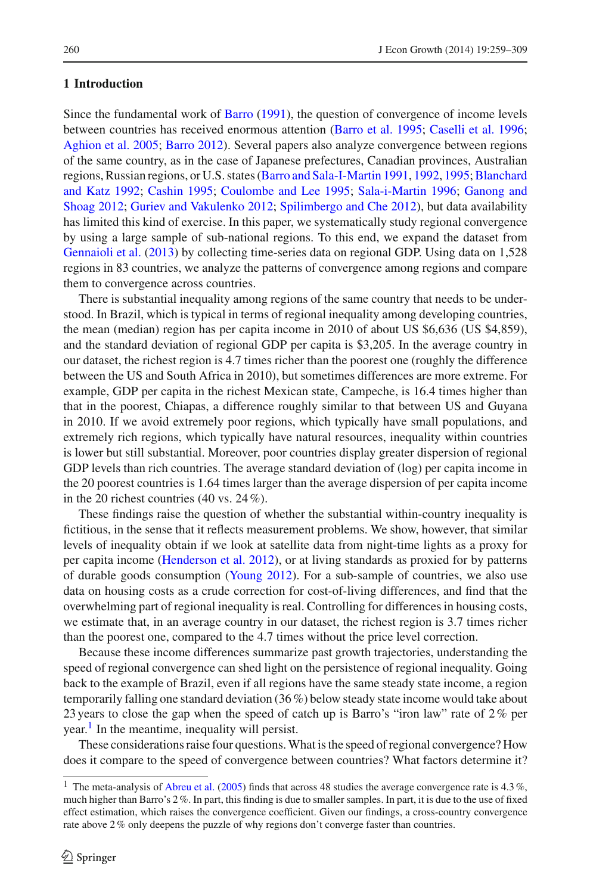# **1 Introduction**

Since the fundamental work of [Barro](#page-49-0) [\(1991](#page-49-0)), the question of convergence of income levels between countries has received enormous attention [\(Barro et al. 1995;](#page-49-1) [Caselli et al. 1996](#page-49-2); [Aghion et al. 2005](#page-49-3); [Barro 2012](#page-49-4)). Several papers also analyze convergence between regions of the same country, as in the case of Japanese prefectures, Canadian provinces, Australian regions, [Russian](#page-49-8) [regions,](#page-49-8) [or](#page-49-8) [U.S.](#page-49-8) [states](#page-49-8) [\(Barro and Sala-I-Martin 1991,](#page-49-5) [1992](#page-49-6), [1995](#page-49-7);Blanchard and Katz [1992](#page-49-8); [Cashin 1995;](#page-49-9) [Coulombe and Lee 1995](#page-49-10)[;](#page-49-11) [Sala-i-Martin 1996](#page-50-0); Ganong and Shoag [2012](#page-49-11); [Guriev and Vakulenko 2012;](#page-49-12) [Spilimbergo and Che 2012](#page-50-1)), but data availability has limited this kind of exercise. In this paper, we systematically study regional convergence by using a large sample of sub-national regions. To this end, we expand the dataset from [Gennaioli et al.](#page-49-13) [\(2013\)](#page-49-13) by collecting time-series data on regional GDP. Using data on 1,528 regions in 83 countries, we analyze the patterns of convergence among regions and compare them to convergence across countries.

There is substantial inequality among regions of the same country that needs to be understood. In Brazil, which is typical in terms of regional inequality among developing countries, the mean (median) region has per capita income in 2010 of about US \$6,636 (US \$4,859), and the standard deviation of regional GDP per capita is \$3,205. In the average country in our dataset, the richest region is 4.7 times richer than the poorest one (roughly the difference between the US and South Africa in 2010), but sometimes differences are more extreme. For example, GDP per capita in the richest Mexican state, Campeche, is 16.4 times higher than that in the poorest, Chiapas, a difference roughly similar to that between US and Guyana in 2010. If we avoid extremely poor regions, which typically have small populations, and extremely rich regions, which typically have natural resources, inequality within countries is lower but still substantial. Moreover, poor countries display greater dispersion of regional GDP levels than rich countries. The average standard deviation of (log) per capita income in the 20 poorest countries is 1.64 times larger than the average dispersion of per capita income in the 20 richest countries (40 vs. 24%).

These findings raise the question of whether the substantial within-country inequality is fictitious, in the sense that it reflects measurement problems. We show, however, that similar levels of inequality obtain if we look at satellite data from night-time lights as a proxy for per capita income [\(Henderson et al. 2012](#page-49-14)), or at living standards as proxied for by patterns of durable goods consumption [\(Young 2012\)](#page-50-2). For a sub-sample of countries, we also use data on housing costs as a crude correction for cost-of-living differences, and find that the overwhelming part of regional inequality is real. Controlling for differences in housing costs, we estimate that, in an average country in our dataset, the richest region is 3.7 times richer than the poorest one, compared to the 4.7 times without the price level correction.

Because these income differences summarize past growth trajectories, understanding the speed of regional convergence can shed light on the persistence of regional inequality. Going back to the example of Brazil, even if all regions have the same steady state income, a region temporarily falling one standard deviation (36%) below steady state income would take about 23 years to close the gap when the speed of catch up is Barro's "iron law" rate of 2% per  $year<sup>1</sup>$  $year<sup>1</sup>$  $year<sup>1</sup>$  In the meantime, inequality will persist.

These considerations raise four questions.What is the speed of regional convergence? How does it compare to the speed of convergence between countries? What factors determine it?

<span id="page-1-0"></span><sup>&</sup>lt;sup>1</sup> The meta-analysis of [Abreu et al.](#page-49-15) [\(2005\)](#page-49-15) finds that across 48 studies the average convergence rate is 4.3%, much higher than Barro's 2%. In part, this finding is due to smaller samples. In part, it is due to the use of fixed effect estimation, which raises the convergence coefficient. Given our findings, a cross-country convergence rate above 2% only deepens the puzzle of why regions don't converge faster than countries.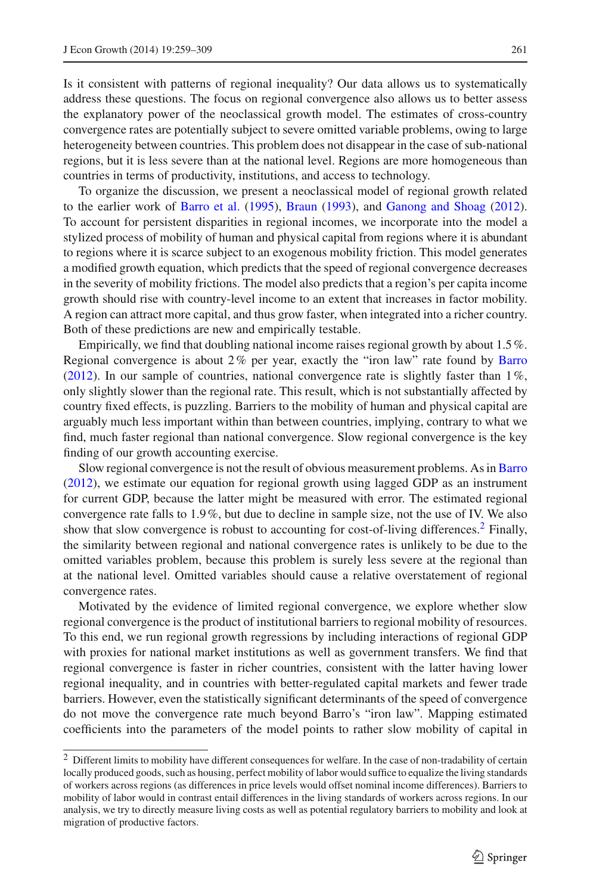Is it consistent with patterns of regional inequality? Our data allows us to systematically address these questions. The focus on regional convergence also allows us to better assess the explanatory power of the neoclassical growth model. The estimates of cross-country convergence rates are potentially subject to severe omitted variable problems, owing to large heterogeneity between countries. This problem does not disappear in the case of sub-national regions, but it is less severe than at the national level. Regions are more homogeneous than countries in terms of productivity, institutions, and access to technology.

To organize the discussion, we present a neoclassical model of regional growth related to the earlier work of [Barro et al.](#page-49-1) [\(1995](#page-49-1)), [Braun](#page-49-16) [\(1993\)](#page-49-16), and [Ganong and Shoag](#page-49-11) [\(2012\)](#page-49-11). To account for persistent disparities in regional incomes, we incorporate into the model a stylized process of mobility of human and physical capital from regions where it is abundant to regions where it is scarce subject to an exogenous mobility friction. This model generates a modified growth equation, which predicts that the speed of regional convergence decreases in the severity of mobility frictions. The model also predicts that a region's per capita income growth should rise with country-level income to an extent that increases in factor mobility. A region can attract more capital, and thus grow faster, when integrated into a richer country. Both of these predictions are new and empirically testable.

Empirically, we find that doubling national income raises regional growth by about 1.5%. Regional convergence is about 2% per year, exactly the "iron law" rate found by [Barro](#page-49-4)  $(2012)$  $(2012)$ . In our sample of countries, national convergence rate is slightly faster than  $1\%$ , only slightly slower than the regional rate. This result, which is not substantially affected by country fixed effects, is puzzling. Barriers to the mobility of human and physical capital are arguably much less important within than between countries, implying, contrary to what we find, much faster regional than national convergence. Slow regional convergence is the key finding of our growth accounting exercise.

Slow regional convergence is not the result of obvious measurement problems. As in [Barro](#page-49-4) [\(2012](#page-49-4)), we estimate our equation for regional growth using lagged GDP as an instrument for current GDP, because the latter might be measured with error. The estimated regional convergence rate falls to 1.9%, but due to decline in sample size, not the use of IV. We also show that slow convergence is robust to accounting for cost-of-living differences. $2$  Finally, the similarity between regional and national convergence rates is unlikely to be due to the omitted variables problem, because this problem is surely less severe at the regional than at the national level. Omitted variables should cause a relative overstatement of regional convergence rates.

Motivated by the evidence of limited regional convergence, we explore whether slow regional convergence is the product of institutional barriers to regional mobility of resources. To this end, we run regional growth regressions by including interactions of regional GDP with proxies for national market institutions as well as government transfers. We find that regional convergence is faster in richer countries, consistent with the latter having lower regional inequality, and in countries with better-regulated capital markets and fewer trade barriers. However, even the statistically significant determinants of the speed of convergence do not move the convergence rate much beyond Barro's "iron law". Mapping estimated coefficients into the parameters of the model points to rather slow mobility of capital in

<span id="page-2-0"></span> $2$  Different limits to mobility have different consequences for welfare. In the case of non-tradability of certain locally produced goods, such as housing, perfect mobility of labor would suffice to equalize the living standards of workers across regions (as differences in price levels would offset nominal income differences). Barriers to mobility of labor would in contrast entail differences in the living standards of workers across regions. In our analysis, we try to directly measure living costs as well as potential regulatory barriers to mobility and look at migration of productive factors.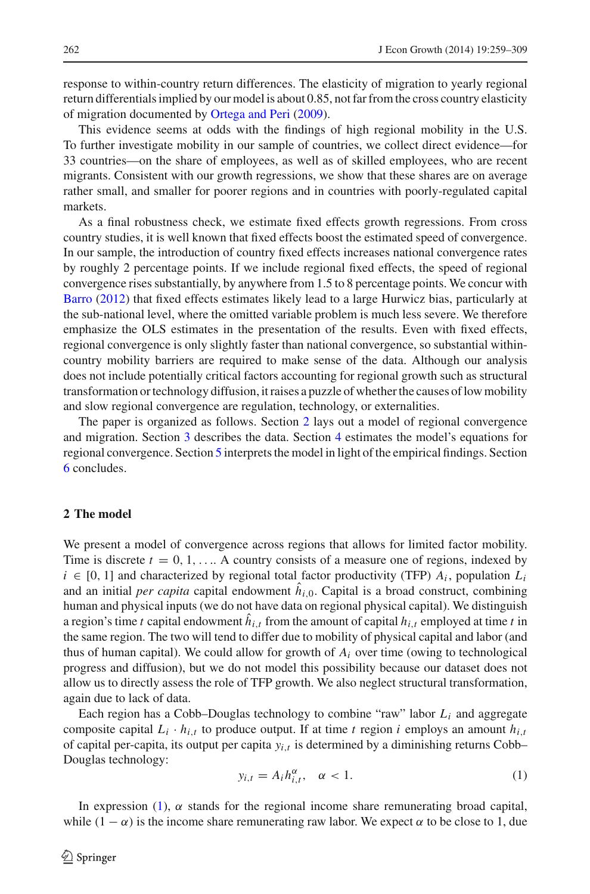response to within-country return differences. The elasticity of migration to yearly regional return differentials implied by our model is about 0.85, not far from the cross country elasticity of migration documented by [Ortega and Peri](#page-50-3) [\(2009\)](#page-50-3).

This evidence seems at odds with the findings of high regional mobility in the U.S. To further investigate mobility in our sample of countries, we collect direct evidence—for 33 countries—on the share of employees, as well as of skilled employees, who are recent migrants. Consistent with our growth regressions, we show that these shares are on average rather small, and smaller for poorer regions and in countries with poorly-regulated capital markets.

As a final robustness check, we estimate fixed effects growth regressions. From cross country studies, it is well known that fixed effects boost the estimated speed of convergence. In our sample, the introduction of country fixed effects increases national convergence rates by roughly 2 percentage points. If we include regional fixed effects, the speed of regional convergence rises substantially, by anywhere from 1.5 to 8 percentage points. We concur with [Barro](#page-49-4) [\(2012\)](#page-49-4) that fixed effects estimates likely lead to a large Hurwicz bias, particularly at the sub-national level, where the omitted variable problem is much less severe. We therefore emphasize the OLS estimates in the presentation of the results. Even with fixed effects, regional convergence is only slightly faster than national convergence, so substantial withincountry mobility barriers are required to make sense of the data. Although our analysis does not include potentially critical factors accounting for regional growth such as structural transformation or technology diffusion, it raises a puzzle of whether the causes of low mobility and slow regional convergence are regulation, technology, or externalities.

The paper is organized as follows. Section [2](#page-3-0) lays out a model of regional convergence and migration. Section [3](#page-7-0) describes the data. Section [4](#page-21-0) estimates the model's equations for regional convergence. Section [5](#page-39-0) interprets the model in light of the empirical findings. Section [6](#page-41-0) concludes.

# <span id="page-3-0"></span>**2 The model**

We present a model of convergence across regions that allows for limited factor mobility. Time is discrete  $t = 0, 1, \ldots$  A country consists of a measure one of regions, indexed by  $i \in [0, 1]$  and characterized by regional total factor productivity (TFP)  $A_i$ , population  $L_i$ and an initial *per capita* capital endowment  $h_{i,0}$ . Capital is a broad construct, combining human and physical inputs (we do not have data on regional physical capital). We distinguish a region's time *t* capital endowment  $h_{i,t}$  from the amount of capital  $h_{i,t}$  employed at time *t* in the same region. The two will tend to differ due to mobility of physical capital and labor (and thus of human capital). We could allow for growth of  $A_i$  over time (owing to technological progress and diffusion), but we do not model this possibility because our dataset does not allow us to directly assess the role of TFP growth. We also neglect structural transformation, again due to lack of data.

Each region has a Cobb–Douglas technology to combine "raw" labor *Li* and aggregate composite capital  $L_i \cdot h_{i,t}$  to produce output. If at time *t* region *i* employs an amount  $h_{i,t}$ of capital per-capita, its output per capita *yi*,*<sup>t</sup>* is determined by a diminishing returns Cobb– Douglas technology:

$$
y_{i,t} = A_i h_{i,t}^{\alpha}, \quad \alpha < 1. \tag{1}
$$

<span id="page-3-1"></span>In expression [\(1\)](#page-3-1),  $\alpha$  stands for the regional income share remunerating broad capital, while  $(1 - \alpha)$  is the income share remunerating raw labor. We expect  $\alpha$  to be close to 1, due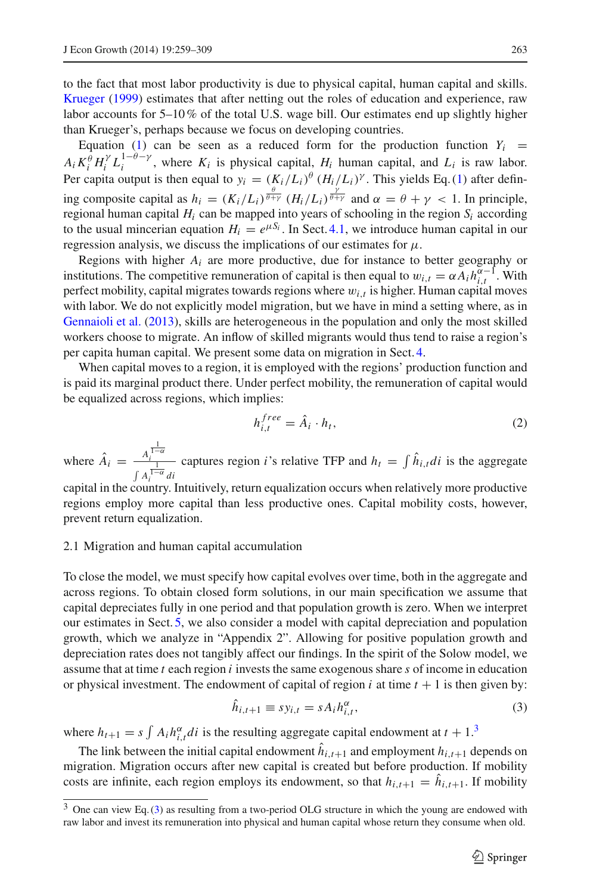to the fact that most labor productivity is due to physical capital, human capital and skills. [Krueger](#page-50-4) [\(1999](#page-50-4)) estimates that after netting out the roles of education and experience, raw labor accounts for 5–10% of the total U.S. wage bill. Our estimates end up slightly higher than Krueger's, perhaps because we focus on developing countries.

Equation [\(1\)](#page-3-1) can be seen as a reduced form for the production function  $Y_i$  =  $A_i K_i^{\theta} H_i^{\gamma} L_i^{1-\theta-\gamma}$ , where  $K_i$  is physical capital,  $H_i$  human capital, and  $L_i$  is raw labor. Per capita output is then equal to  $y_i = (K_i/L_i)^{\theta} (H_i/L_i)^{\gamma}$ . This yields Eq. [\(1\)](#page-3-1) after defining composite capital as  $h_i = (K_i/L_i)^{\frac{\theta}{\theta + \gamma}} (H_i/L_i)^{\frac{\gamma}{\theta + \gamma}}$  and  $\alpha = \theta + \gamma < 1$ . In principle, regional human capital *Hi* can be mapped into years of schooling in the region *Si* according to the usual mincerian equation  $H_i = e^{\mu S_i}$ . In Sect. [4.1,](#page-21-1) we introduce human capital in our regression analysis, we discuss the implications of our estimates for  $\mu$ .

Regions with higher *Ai* are more productive, due for instance to better geography or institutions. The competitive remuneration of capital is then equal to  $w_{i,t} = \alpha A_i h_{i,t}^{\alpha-1}$ . With perfect mobility, capital migrates towards regions where  $w_{i,t}$  is higher. Human capital moves with labor. We do not explicitly model migration, but we have in mind a setting where, as in [Gennaioli et al.](#page-49-13) [\(2013\)](#page-49-13), skills are heterogeneous in the population and only the most skilled workers choose to migrate. An inflow of skilled migrants would thus tend to raise a region's per capita human capital. We present some data on migration in Sect. [4.](#page-21-0)

When capital moves to a region, it is employed with the regions' production function and is paid its marginal product there. Under perfect mobility, the remuneration of capital would be equalized across regions, which implies:

$$
h_{i,t}^{free} = \hat{A}_i \cdot h_t,\tag{2}
$$

<span id="page-4-2"></span>where  $\hat{A}_i = \frac{A_i^{\frac{1}{1-\alpha}}}{A_i^{\frac{1}{1-\alpha}}}$  $\int A_i^{\frac{1}{1-\alpha}} di$ captures region *i*'s relative TFP and  $h_t = \int h_{i,t} dt$  is the aggregate

capital in the country. Intuitively, return equalization occurs when relatively more productive regions employ more capital than less productive ones. Capital mobility costs, however, prevent return equalization.

#### 2.1 Migration and human capital accumulation

To close the model, we must specify how capital evolves over time, both in the aggregate and across regions. To obtain closed form solutions, in our main specification we assume that capital depreciates fully in one period and that population growth is zero. When we interpret our estimates in Sect. [5,](#page-39-0) we also consider a model with capital depreciation and population growth, which we analyze in "Appendix 2". Allowing for positive population growth and depreciation rates does not tangibly affect our findings. In the spirit of the Solow model, we assume that at time *t* each region *i* invests the same exogenous share *s* of income in education or physical investment. The endowment of capital of region  $i$  at time  $t + 1$  is then given by:

$$
\hat{h}_{i,t+1} \equiv s y_{i,t} = s A_i h_{i,t}^{\alpha},\tag{3}
$$

<span id="page-4-1"></span>where  $h_{t+1} = s \int A_i h_{i,t}^{\alpha} dt$  is the resulting aggregate capital endowment at  $t + 1$ .<sup>[3](#page-4-0)</sup>

The link between the initial capital endowment  $\hat{h}_{i,t+1}$  and employment  $h_{i,t+1}$  depends on migration. Migration occurs after new capital is created but before production. If mobility costs are infinite, each region employs its endowment, so that  $h_{i,t+1} = \hat{h}_{i,t+1}$ . If mobility

<span id="page-4-0"></span><sup>3</sup> One can view Eq. [\(3\)](#page-4-1) as resulting from a two-period OLG structure in which the young are endowed with raw labor and invest its remuneration into physical and human capital whose return they consume when old.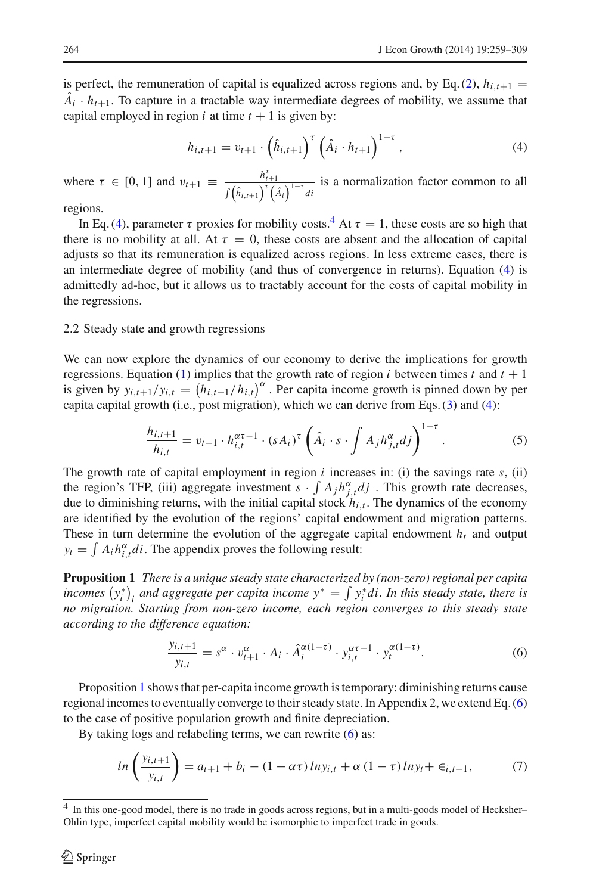is perfect, the remuneration of capital is equalized across regions and, by Eq. [\(2\)](#page-4-2),  $h_{i,t+1}$  =  $\hat{A}_i \cdot h_{t+1}$ . To capture in a tractable way intermediate degrees of mobility, we assume that capital employed in region *i* at time  $t + 1$  is given by:

$$
h_{i,t+1} = v_{t+1} \cdot (\hat{h}_{i,t+1})^{\tau} (\hat{A}_i \cdot h_{t+1})^{1-\tau}, \qquad (4)
$$

<span id="page-5-0"></span>where  $\tau \in [0, 1]$  and  $v_{t+1} \equiv \frac{h_{t+1}^{\tau}}{\int_{0}^{t} h_{t+1}^{\tau}}$  $\frac{n_{t+1}}{\int (\hat{h}_{i,t+1})^{\tau} (\hat{A}_i)^{1-\tau} di}$  is a normalization factor common to all

regions.

In Eq. [\(4\)](#page-5-0), parameter  $\tau$  proxies for mobility costs.<sup>[4](#page-5-1)</sup> At  $\tau = 1$ , these costs are so high that there is no mobility at all. At  $\tau = 0$ , these costs are absent and the allocation of capital adjusts so that its remuneration is equalized across regions. In less extreme cases, there is an intermediate degree of mobility (and thus of convergence in returns). Equation [\(4\)](#page-5-0) is admittedly ad-hoc, but it allows us to tractably account for the costs of capital mobility in the regressions.

#### <span id="page-5-5"></span>2.2 Steady state and growth regressions

We can now explore the dynamics of our economy to derive the implications for growth regressions. Equation [\(1\)](#page-3-1) implies that the growth rate of region *i* between times *t* and  $t + 1$ is given by  $y_{i,t+1}/y_{i,t} = (h_{i,t+1}/h_{i,t})^{\alpha}$ . Per capita income growth is pinned down by per capita capital growth (i.e., post migration), which we can derive from Eqs. [\(3\)](#page-4-1) and [\(4\)](#page-5-0):

$$
\frac{h_{i,t+1}}{h_{i,t}} = v_{t+1} \cdot h_{i,t}^{\alpha \tau - 1} \cdot (sA_i)^{\tau} \left( \hat{A}_i \cdot s \cdot \int A_j h_{j,t}^{\alpha} dj \right)^{1-\tau}.
$$
 (5)

<span id="page-5-6"></span>The growth rate of capital employment in region  $i$  increases in: (i) the savings rate  $s$ , (ii) the region's TFP, (iii) aggregate investment  $s \cdot \int A_j h_{j,t}^{\alpha} dj$ . This growth rate decreases, due to diminishing returns, with the initial capital stock  $h_{i,t}$ . The dynamics of the economy are identified by the evolution of the regions' capital endowment and migration patterns. These in turn determine the evolution of the aggregate capital endowment  $h_t$  and output  $y_t = \int A_i h_{i,t}^{\alpha} dt$ . The appendix proves the following result:

<span id="page-5-2"></span>**Proposition 1** *There is a unique steady state characterized by (non-zero) regional per capita incomes*  $(y_i^*)$ <sub>*i*</sub> and aggregate per capita income  $y^* = \int y_i^* di$ . In this steady state, there is *no migration. Starting from non-zero income, each region converges to this steady state according to the difference equation:*

$$
\frac{y_{i,t+1}}{y_{i,t}} = s^{\alpha} \cdot v_{t+1}^{\alpha} \cdot A_i \cdot \hat{A}_i^{\alpha(1-\tau)} \cdot y_{i,t}^{\alpha\tau-1} \cdot y_t^{\alpha(1-\tau)}.
$$
(6)

<span id="page-5-3"></span>Proposition [1](#page-5-2) shows that per-capita income growth is temporary: diminishing returns cause regional incomes to eventually converge to their steady state. In Appendix 2, we extend Eq. [\(6\)](#page-5-3) to the case of positive population growth and finite depreciation.

By taking logs and relabeling terms, we can rewrite [\(6\)](#page-5-3) as:

$$
ln\left(\frac{y_{i,t+1}}{y_{i,t}}\right) = a_{t+1} + b_i - (1 - \alpha \tau) ln y_{i,t} + \alpha (1 - \tau) ln y_t + \epsilon_{i,t+1},
$$
 (7)

<span id="page-5-4"></span><span id="page-5-1"></span>In this one-good model, there is no trade in goods across regions, but in a multi-goods model of Hecksher– Ohlin type, imperfect capital mobility would be isomorphic to imperfect trade in goods.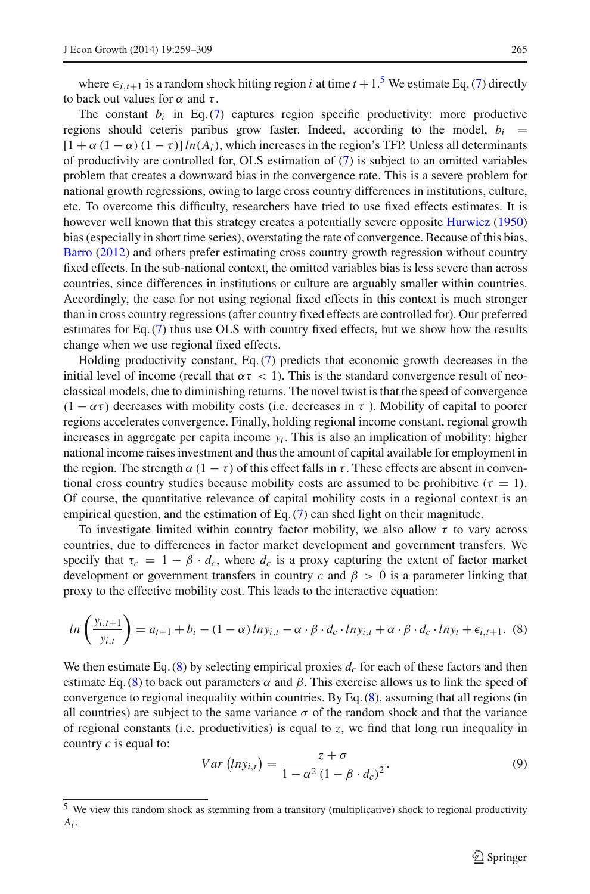where  $\epsilon_{i,t+1}$  is a random shock hitting region *i* at time  $t+1$ .<sup>[5](#page-6-0)</sup> We estimate Eq. [\(7\)](#page-5-4) directly to back out values for  $\alpha$  and  $\tau$ .

The constant  $b_i$  in Eq. [\(7\)](#page-5-4) captures region specific productivity: more productive regions should ceteris paribus grow faster. Indeed, according to the model,  $b_i$  $[1 + \alpha (1 - \alpha) (1 - \tau)] ln(A_i)$ , which increases in the region's TFP. Unless all determinants of productivity are controlled for, OLS estimation of [\(7\)](#page-5-4) is subject to an omitted variables problem that creates a downward bias in the convergence rate. This is a severe problem for national growth regressions, owing to large cross country differences in institutions, culture, etc. To overcome this difficulty, researchers have tried to use fixed effects estimates. It is however well known that this strategy creates a potentially severe opposite [Hurwicz](#page-49-17) [\(1950\)](#page-49-17) bias (especially in short time series), overstating the rate of convergence. Because of this bias, [Barro](#page-49-4) [\(2012](#page-49-4)) and others prefer estimating cross country growth regression without country fixed effects. In the sub-national context, the omitted variables bias is less severe than across countries, since differences in institutions or culture are arguably smaller within countries. Accordingly, the case for not using regional fixed effects in this context is much stronger than in cross country regressions (after country fixed effects are controlled for). Our preferred estimates for Eq. [\(7\)](#page-5-4) thus use OLS with country fixed effects, but we show how the results change when we use regional fixed effects.

Holding productivity constant, Eq. [\(7\)](#page-5-4) predicts that economic growth decreases in the initial level of income (recall that  $\alpha \tau < 1$ ). This is the standard convergence result of neoclassical models, due to diminishing returns. The novel twist is that the speed of convergence  $(1 - \alpha \tau)$  decreases with mobility costs (i.e. decreases in  $\tau$ ). Mobility of capital to poorer regions accelerates convergence. Finally, holding regional income constant, regional growth increases in aggregate per capita income  $y_t$ . This is also an implication of mobility: higher national income raises investment and thus the amount of capital available for employment in the region. The strength  $\alpha (1 - \tau)$  of this effect falls in  $\tau$ . These effects are absent in conventional cross country studies because mobility costs are assumed to be prohibitive ( $\tau = 1$ ). Of course, the quantitative relevance of capital mobility costs in a regional context is an empirical question, and the estimation of Eq. [\(7\)](#page-5-4) can shed light on their magnitude.

To investigate limited within country factor mobility, we also allow  $\tau$  to vary across countries, due to differences in factor market development and government transfers. We specify that  $\tau_c = 1 - \beta \cdot d_c$ , where  $d_c$  is a proxy capturing the extent of factor market development or government transfers in country  $c$  and  $\beta > 0$  is a parameter linking that proxy to the effective mobility cost. This leads to the interactive equation:

<span id="page-6-1"></span>
$$
ln\left(\frac{y_{i,t+1}}{y_{i,t}}\right) = a_{t+1} + b_i - (1 - \alpha) ln y_{i,t} - \alpha \cdot \beta \cdot d_c \cdot ln y_{i,t} + \alpha \cdot \beta \cdot d_c \cdot ln y_t + \epsilon_{i,t+1}.
$$
 (8)

We then estimate Eq.  $(8)$  by selecting empirical proxies  $d_c$  for each of these factors and then estimate Eq. [\(8\)](#page-6-1) to back out parameters  $\alpha$  and  $\beta$ . This exercise allows us to link the speed of convergence to regional inequality within countries. By Eq. [\(8\)](#page-6-1), assuming that all regions (in all countries) are subject to the same variance  $\sigma$  of the random shock and that the variance of regional constants (i.e. productivities) is equal to  $z$ , we find that long run inequality in country *c* is equal to:

$$
Var\left(lny_{i,t}\right) = \frac{z+\sigma}{1-\alpha^2\left(1-\beta \cdot d_c\right)^2}.\tag{9}
$$

<span id="page-6-2"></span><span id="page-6-0"></span><sup>5</sup> We view this random shock as stemming from a transitory (multiplicative) shock to regional productivity *Ai* .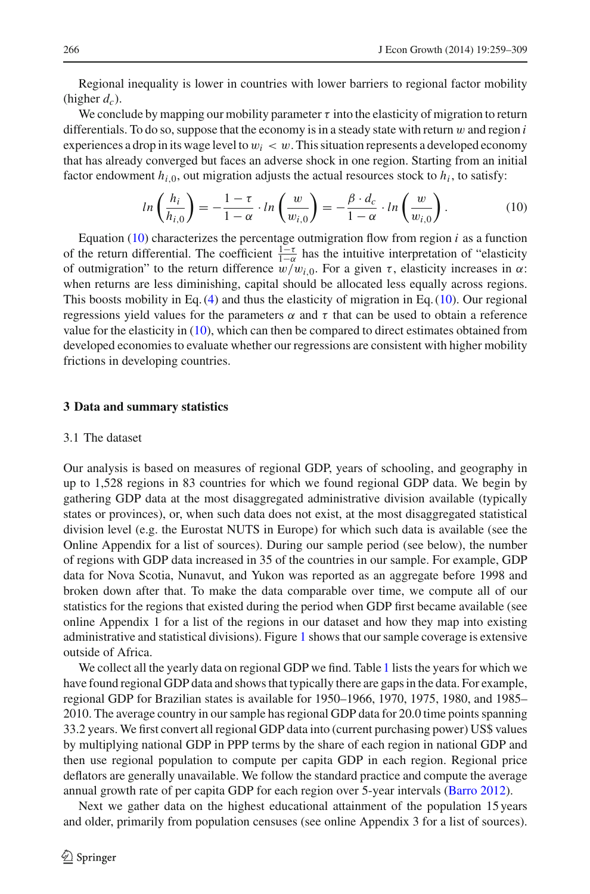Regional inequality is lower in countries with lower barriers to regional factor mobility  $(higher d<sub>c</sub>)$ .

We conclude by mapping our mobility parameter  $\tau$  into the elasticity of migration to return differentials. To do so, suppose that the economy is in a steady state with return  $w$  and region  $i$ experiences a drop in its wage level to  $w_i < w$ . This situation represents a developed economy that has already converged but faces an adverse shock in one region. Starting from an initial factor endowment  $h_{i,0}$ , out migration adjusts the actual resources stock to  $h_i$ , to satisfy:

$$
ln\left(\frac{h_i}{h_{i,0}}\right) = -\frac{1-\tau}{1-\alpha} \cdot ln\left(\frac{w}{w_{i,0}}\right) = -\frac{\beta \cdot d_c}{1-\alpha} \cdot ln\left(\frac{w}{w_{i,0}}\right). \tag{10}
$$

<span id="page-7-1"></span>Equation [\(10\)](#page-7-1) characterizes the percentage outmigration flow from region *i* as a function of the return differential. The coefficient  $\frac{1-\tau}{1-\alpha}$  has the intuitive interpretation of "elasticity of outmigration" to the return difference  $w/w_{i,0}$ . For a given  $\tau$ , elasticity increases in  $\alpha$ : when returns are less diminishing, capital should be allocated less equally across regions. This boosts mobility in Eq.  $(4)$  and thus the elasticity of migration in Eq.  $(10)$ . Our regional regressions yield values for the parameters  $\alpha$  and τ that can be used to obtain a reference value for the elasticity in [\(10\)](#page-7-1), which can then be compared to direct estimates obtained from developed economies to evaluate whether our regressions are consistent with higher mobility frictions in developing countries.

#### <span id="page-7-0"></span>**3 Data and summary statistics**

#### 3.1 The dataset

Our analysis is based on measures of regional GDP, years of schooling, and geography in up to 1,528 regions in 83 countries for which we found regional GDP data. We begin by gathering GDP data at the most disaggregated administrative division available (typically states or provinces), or, when such data does not exist, at the most disaggregated statistical division level (e.g. the Eurostat NUTS in Europe) for which such data is available (see the Online Appendix for a list of sources). During our sample period (see below), the number of regions with GDP data increased in 35 of the countries in our sample. For example, GDP data for Nova Scotia, Nunavut, and Yukon was reported as an aggregate before 1998 and broken down after that. To make the data comparable over time, we compute all of our statistics for the regions that existed during the period when GDP first became available (see online Appendix 1 for a list of the regions in our dataset and how they map into existing administrative and statistical divisions). Figure [1](#page-8-0) shows that our sample coverage is extensive outside of Africa.

We collect all the yearly data on regional GDP we find. Table [1](#page-9-0) lists the years for which we have found regional GDP data and shows that typically there are gaps in the data. For example, regional GDP for Brazilian states is available for 1950–1966, 1970, 1975, 1980, and 1985– 2010. The average country in our sample has regional GDP data for 20.0 time points spanning 33.2 years. We first convert all regional GDP data into (current purchasing power) US\$ values by multiplying national GDP in PPP terms by the share of each region in national GDP and then use regional population to compute per capita GDP in each region. Regional price deflators are generally unavailable. We follow the standard practice and compute the average annual growth rate of per capita GDP for each region over 5-year intervals [\(Barro 2012\)](#page-49-4).

Next we gather data on the highest educational attainment of the population 15 years and older, primarily from population censuses (see online Appendix 3 for a list of sources).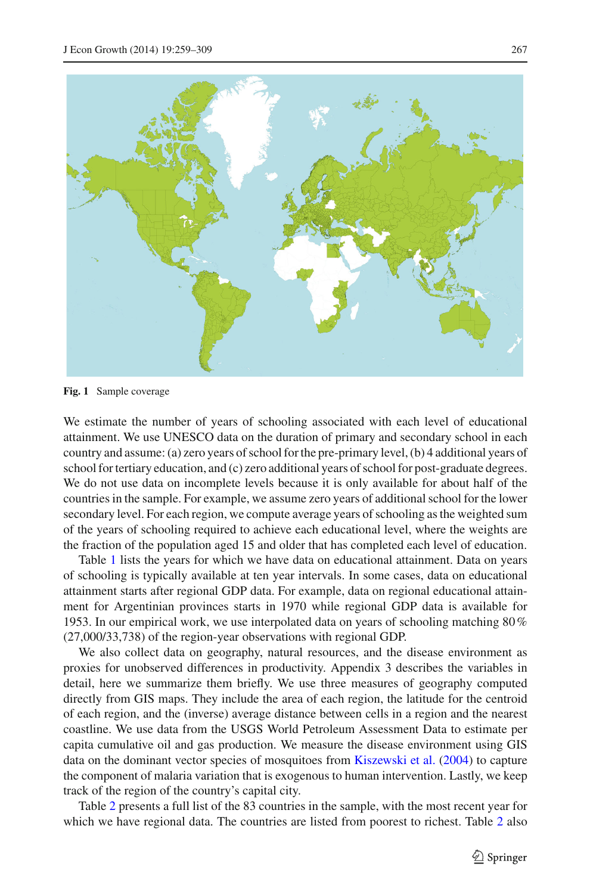

**Fig. 1** Sample coverage

<span id="page-8-0"></span>We estimate the number of years of schooling associated with each level of educational attainment. We use UNESCO data on the duration of primary and secondary school in each country and assume: (a) zero years of school for the pre-primary level, (b) 4 additional years of school for tertiary education, and (c) zero additional years of school for post-graduate degrees. We do not use data on incomplete levels because it is only available for about half of the countries in the sample. For example, we assume zero years of additional school for the lower secondary level. For each region, we compute average years of schooling as the weighted sum of the years of schooling required to achieve each educational level, where the weights are the fraction of the population aged 15 and older that has completed each level of education.

Table [1](#page-9-0) lists the years for which we have data on educational attainment. Data on years of schooling is typically available at ten year intervals. In some cases, data on educational attainment starts after regional GDP data. For example, data on regional educational attainment for Argentinian provinces starts in 1970 while regional GDP data is available for 1953. In our empirical work, we use interpolated data on years of schooling matching 80% (27,000/33,738) of the region-year observations with regional GDP.

We also collect data on geography, natural resources, and the disease environment as proxies for unobserved differences in productivity. Appendix 3 describes the variables in detail, here we summarize them briefly. We use three measures of geography computed directly from GIS maps. They include the area of each region, the latitude for the centroid of each region, and the (inverse) average distance between cells in a region and the nearest coastline. We use data from the USGS World Petroleum Assessment Data to estimate per capita cumulative oil and gas production. We measure the disease environment using GIS data on the dominant vector species of mosquitoes from [Kiszewski et al.](#page-50-5) [\(2004](#page-50-5)) to capture the component of malaria variation that is exogenous to human intervention. Lastly, we keep track of the region of the country's capital city.

Table [2](#page-12-0) presents a full list of the 83 countries in the sample, with the most recent year for which we have regional data. The countries are listed from poorest to richest. Table [2](#page-12-0) also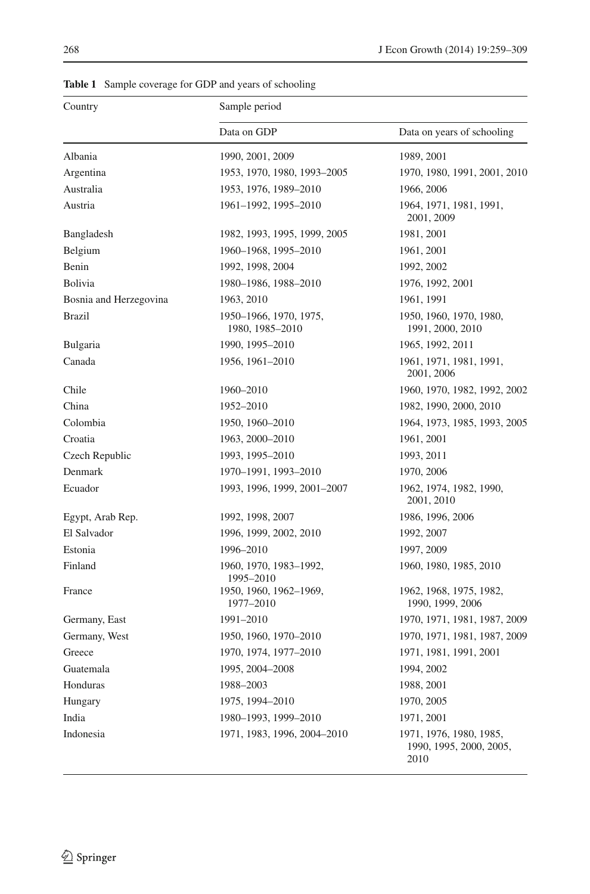| Country                | Sample period                             |                                                            |
|------------------------|-------------------------------------------|------------------------------------------------------------|
|                        | Data on GDP                               | Data on years of schooling                                 |
| Albania                | 1990, 2001, 2009                          | 1989, 2001                                                 |
| Argentina              | 1953, 1970, 1980, 1993-2005               | 1970, 1980, 1991, 2001, 2010                               |
| Australia              | 1953, 1976, 1989-2010                     | 1966, 2006                                                 |
| Austria                | 1961-1992, 1995-2010                      | 1964, 1971, 1981, 1991,<br>2001, 2009                      |
| Bangladesh             | 1982, 1993, 1995, 1999, 2005              | 1981, 2001                                                 |
| Belgium                | 1960-1968, 1995-2010                      | 1961, 2001                                                 |
| Benin                  | 1992, 1998, 2004                          | 1992, 2002                                                 |
| <b>Bolivia</b>         | 1980-1986, 1988-2010                      | 1976, 1992, 2001                                           |
| Bosnia and Herzegovina | 1963, 2010                                | 1961, 1991                                                 |
| <b>Brazil</b>          | 1950–1966, 1970, 1975,<br>1980, 1985–2010 | 1950, 1960, 1970, 1980,<br>1991, 2000, 2010                |
| Bulgaria               | 1990, 1995–2010                           | 1965, 1992, 2011                                           |
| Canada                 | 1956, 1961–2010                           | 1961, 1971, 1981, 1991,<br>2001, 2006                      |
| Chile                  | 1960-2010                                 | 1960, 1970, 1982, 1992, 2002                               |
| China                  | 1952-2010                                 | 1982, 1990, 2000, 2010                                     |
| Colombia               | 1950, 1960–2010                           | 1964, 1973, 1985, 1993, 2005                               |
| Croatia                | 1963, 2000–2010                           | 1961, 2001                                                 |
| Czech Republic         | 1993, 1995–2010                           | 1993, 2011                                                 |
| Denmark                | 1970–1991, 1993–2010                      | 1970, 2006                                                 |
| Ecuador                | 1993, 1996, 1999, 2001–2007               | 1962, 1974, 1982, 1990,<br>2001, 2010                      |
| Egypt, Arab Rep.       | 1992, 1998, 2007                          | 1986, 1996, 2006                                           |
| El Salvador            | 1996, 1999, 2002, 2010                    | 1992, 2007                                                 |
| Estonia                | 1996-2010                                 | 1997, 2009                                                 |
| Finland                | 1960, 1970, 1983-1992,<br>1995-2010       | 1960, 1980, 1985, 2010                                     |
| France                 | 1950, 1960, 1962-1969,<br>1977-2010       | 1962, 1968, 1975, 1982,<br>1990, 1999, 2006                |
| Germany, East          | 1991-2010                                 | 1970, 1971, 1981, 1987, 2009                               |
| Germany, West          | 1950, 1960, 1970–2010                     | 1970, 1971, 1981, 1987, 2009                               |
| Greece                 | 1970, 1974, 1977–2010                     | 1971, 1981, 1991, 2001                                     |
| Guatemala              | 1995, 2004–2008                           | 1994, 2002                                                 |
| Honduras               | 1988-2003                                 | 1988, 2001                                                 |
| Hungary                | 1975, 1994–2010                           | 1970, 2005                                                 |
| India                  | 1980-1993, 1999-2010                      | 1971, 2001                                                 |
| Indonesia              | 1971, 1983, 1996, 2004-2010               | 1971, 1976, 1980, 1985,<br>1990, 1995, 2000, 2005,<br>2010 |

<span id="page-9-0"></span>**Table 1** Sample coverage for GDP and years of schooling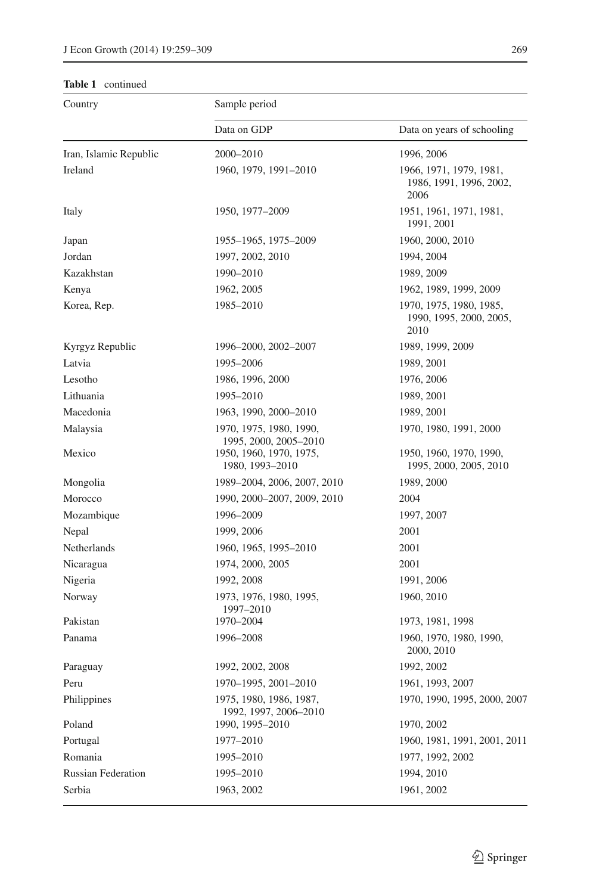**Table 1** continued

| Country                   | Sample period                                    |                                                            |
|---------------------------|--------------------------------------------------|------------------------------------------------------------|
|                           | Data on GDP                                      | Data on years of schooling                                 |
| Iran, Islamic Republic    | 2000–2010                                        | 1996, 2006                                                 |
| Ireland                   | 1960, 1979, 1991-2010                            | 1966, 1971, 1979, 1981,<br>1986, 1991, 1996, 2002,<br>2006 |
| Italy                     | 1950, 1977–2009                                  | 1951, 1961, 1971, 1981,<br>1991, 2001                      |
| Japan                     | 1955–1965, 1975–2009                             | 1960, 2000, 2010                                           |
| Jordan                    | 1997, 2002, 2010                                 | 1994, 2004                                                 |
| Kazakhstan                | 1990-2010                                        | 1989, 2009                                                 |
| Kenya                     | 1962, 2005                                       | 1962, 1989, 1999, 2009                                     |
| Korea, Rep.               | 1985-2010                                        | 1970, 1975, 1980, 1985,<br>1990, 1995, 2000, 2005,<br>2010 |
| Kyrgyz Republic           | 1996-2000, 2002-2007                             | 1989, 1999, 2009                                           |
| Latvia                    | 1995-2006                                        | 1989, 2001                                                 |
| Lesotho                   | 1986, 1996, 2000                                 | 1976, 2006                                                 |
| Lithuania                 | 1995-2010                                        | 1989, 2001                                                 |
| Macedonia                 | 1963, 1990, 2000-2010                            | 1989, 2001                                                 |
| Malaysia                  | 1970, 1975, 1980, 1990,<br>1995, 2000, 2005-2010 | 1970, 1980, 1991, 2000                                     |
| Mexico                    | 1950, 1960, 1970, 1975,<br>1980, 1993–2010       | 1950, 1960, 1970, 1990,<br>1995, 2000, 2005, 2010          |
| Mongolia                  | 1989-2004, 2006, 2007, 2010                      | 1989, 2000                                                 |
| Morocco                   | 1990, 2000-2007, 2009, 2010                      | 2004                                                       |
| Mozambique                | 1996-2009                                        | 1997, 2007                                                 |
| Nepal                     | 1999, 2006                                       | 2001                                                       |
| Netherlands               | 1960, 1965, 1995–2010                            | 2001                                                       |
| Nicaragua                 | 1974, 2000, 2005                                 | 2001                                                       |
| Nigeria                   | 1992, 2008                                       | 1991, 2006                                                 |
| Norway                    | 1973, 1976, 1980, 1995,<br>1997-2010             | 1960, 2010                                                 |
| Pakistan                  | 1970–2004                                        | 1973, 1981, 1998                                           |
| Panama                    | 1996-2008                                        | 1960, 1970, 1980, 1990,<br>2000, 2010                      |
| Paraguay                  | 1992, 2002, 2008                                 | 1992, 2002                                                 |
| Peru                      | 1970–1995, 2001–2010                             | 1961, 1993, 2007                                           |
| Philippines               | 1975, 1980, 1986, 1987,<br>1992, 1997, 2006-2010 | 1970, 1990, 1995, 2000, 2007                               |
| Poland                    | 1990, 1995–2010                                  | 1970, 2002                                                 |
| Portugal                  | 1977-2010                                        | 1960, 1981, 1991, 2001, 2011                               |
| Romania                   | 1995-2010                                        | 1977, 1992, 2002                                           |
| <b>Russian Federation</b> | 1995-2010                                        | 1994, 2010                                                 |
| Serbia                    | 1963, 2002                                       | 1961, 2002                                                 |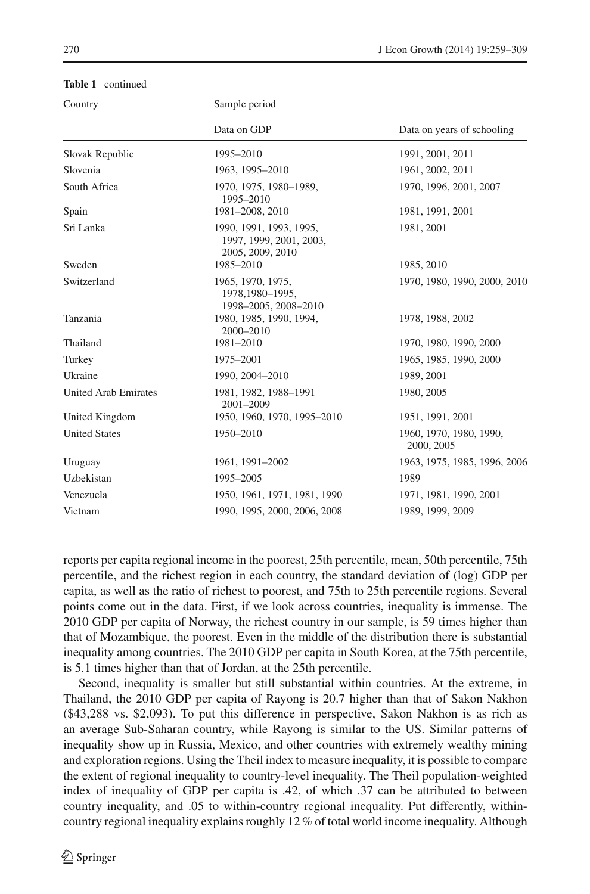| Country                     | Sample period                                                          |                                       |
|-----------------------------|------------------------------------------------------------------------|---------------------------------------|
|                             | Data on GDP                                                            | Data on years of schooling            |
| Slovak Republic             | 1995-2010                                                              | 1991, 2001, 2011                      |
| Slovenia                    | 1963, 1995-2010                                                        | 1961, 2002, 2011                      |
| South Africa                | 1970, 1975, 1980–1989,<br>1995-2010                                    | 1970, 1996, 2001, 2007                |
| Spain                       | 1981-2008, 2010                                                        | 1981, 1991, 2001                      |
| Sri Lanka                   | 1990, 1991, 1993, 1995,<br>1997, 1999, 2001, 2003,<br>2005, 2009, 2010 | 1981, 2001                            |
| Sweden                      | 1985-2010                                                              | 1985, 2010                            |
| Switzerland                 | 1965, 1970, 1975,<br>1978, 1980-1995,<br>1998-2005, 2008-2010          | 1970, 1980, 1990, 2000, 2010          |
| Tanzania                    | 1980, 1985, 1990, 1994,<br>2000-2010                                   | 1978, 1988, 2002                      |
| Thailand                    | 1981-2010                                                              | 1970, 1980, 1990, 2000                |
| Turkey                      | 1975-2001                                                              | 1965, 1985, 1990, 2000                |
| Ukraine                     | 1990, 2004-2010                                                        | 1989, 2001                            |
| <b>United Arab Emirates</b> | 1981, 1982, 1988-1991<br>2001-2009                                     | 1980, 2005                            |
| United Kingdom              | 1950, 1960, 1970, 1995-2010                                            | 1951, 1991, 2001                      |
| <b>United States</b>        | 1950-2010                                                              | 1960, 1970, 1980, 1990,<br>2000, 2005 |
| Uruguay                     | 1961, 1991-2002                                                        | 1963, 1975, 1985, 1996, 2006          |
| Uzbekistan                  | 1995-2005                                                              | 1989                                  |
| Venezuela                   | 1950, 1961, 1971, 1981, 1990                                           | 1971, 1981, 1990, 2001                |
| Vietnam                     | 1990, 1995, 2000, 2006, 2008                                           | 1989, 1999, 2009                      |

reports per capita regional income in the poorest, 25th percentile, mean, 50th percentile, 75th percentile, and the richest region in each country, the standard deviation of (log) GDP per capita, as well as the ratio of richest to poorest, and 75th to 25th percentile regions. Several points come out in the data. First, if we look across countries, inequality is immense. The 2010 GDP per capita of Norway, the richest country in our sample, is 59 times higher than that of Mozambique, the poorest. Even in the middle of the distribution there is substantial inequality among countries. The 2010 GDP per capita in South Korea, at the 75th percentile, is 5.1 times higher than that of Jordan, at the 25th percentile.

Second, inequality is smaller but still substantial within countries. At the extreme, in Thailand, the 2010 GDP per capita of Rayong is 20.7 higher than that of Sakon Nakhon (\$43,288 vs. \$2,093). To put this difference in perspective, Sakon Nakhon is as rich as an average Sub-Saharan country, while Rayong is similar to the US. Similar patterns of inequality show up in Russia, Mexico, and other countries with extremely wealthy mining and exploration regions. Using the Theil index to measure inequality, it is possible to compare the extent of regional inequality to country-level inequality. The Theil population-weighted index of inequality of GDP per capita is .42, of which .37 can be attributed to between country inequality, and .05 to within-country regional inequality. Put differently, withincountry regional inequality explains roughly 12% of total world income inequality. Although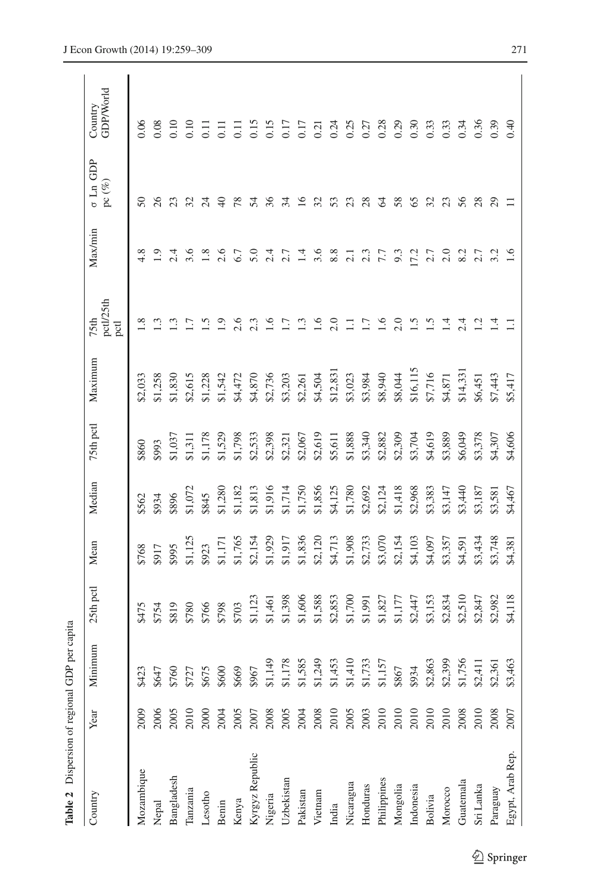<span id="page-12-0"></span>

| Table 2 Dispersion of regional GDP |      | per capita         |           |         |         |           |          |                           |                |                           |                      |
|------------------------------------|------|--------------------|-----------|---------|---------|-----------|----------|---------------------------|----------------|---------------------------|----------------------|
| Country                            | Year | imum<br>Жin        | 25th pctl | Mean    | Median  | 75th pctl | Maximum  | pctl/25th<br>75th<br>pctl | Max/min        | $\sigma$ Ln GDP pc $(\%)$ | GDP/World<br>Country |
| Mozambique                         | 2009 | \$42.              | \$475     | \$768   | \$562   | \$860     | \$2,033  | $\infty$                  | 4.8            |                           | 0.06                 |
| Nepal                              | 2006 | \$647              | \$754     | \$917   | \$934   | \$993     | \$1,258  | نى                        |                | $\delta$                  | 0.08                 |
| Bangladesh                         | 2005 | \$760              | \$819     | \$995   | \$896   | \$1,037   | \$1,830  | نی                        |                |                           | 0.10                 |
| Tanzania                           | 2010 | \$727              | \$780     | \$1,125 | \$1,072 | \$1,311   | \$2,615  | Ŀ                         | 3.6            | 25                        | 0.10                 |
| Lesotho                            | 2000 | \$675              | \$766     | \$923   | \$845   | \$1,178   | \$1,228  | r.                        |                | 24                        | $\overline{0}$ .     |
| Benin                              | 2004 | \$600              | \$798     | \$1,171 | \$1,280 | \$1,529   | \$1,542  | $\tilde{\mathbf{c}}$      | 2.6            | ÷                         | $\overline{0}$ .     |
| Kenya                              | 2005 | \$669              | \$703     | \$1,765 | \$1,182 | \$1,798   | \$4,472  | 2.6                       | 6.7            | $\frac{8}{2}$             | $\overline{0}$ .     |
| Kyrgyz Republic                    | 2007 | \$967              | \$1,123   | \$2,154 | \$1,813 | \$2,533   | \$4,870  | 2.3                       | 5.0            | 54                        | 0.15                 |
| Nigeria                            | 2008 | $^{49}$<br>\$1,1   | \$1,461   | \$1,929 | \$1,916 | \$2,398   | \$2,736  | $\overline{9}$ l          | 2.4            | 36                        | 0.15                 |
| Uzbekistan                         | 2005 | $78$<br>\$1,1      | \$1,398   | \$1,917 | \$1,714 | \$2,321   | \$3,203  | Ξ                         | 2.7            | 34                        | 0.17                 |
| Pakistan                           | 2004 | \$1,585            | \$1,606   | \$1,836 | \$1,750 | \$2,067   | \$2,261  | $\frac{3}{2}$             | 1.4            | $\mathbf{\underline{\ }}$ | 0.17                 |
| Vietnam                            | 2008 | \$1,249            | \$1,588   | \$2,120 | \$1,856 | \$2,619   | \$4,504  | $\frac{6}{2}$             | 3.6            |                           | 0.21                 |
| India                              | 2010 | \$1,453            | \$2,853   | \$4,713 | \$4,125 | \$5,611   | \$12,831 | 2.0                       | 8.8            |                           | 0.24                 |
| Nicaragua                          | 2005 | \$1,410            | \$1,700   | \$1,908 | \$1,780 | \$1,888   | \$3,023  | Ξ                         | $\overline{c}$ |                           | 0.25                 |
| Honduras                           | 2003 | 53<br>\$1,7        | \$1,991   | \$2,733 | \$2,692 | \$3,340   | \$3,984  | 1.7                       | 2.3            | 28                        | 0.27                 |
| Philippines                        | 2010 | 57<br>\$1,1        | \$1,827   | \$3,070 | \$2,124 | \$2,882   | \$8,940  | 1.6                       | 7.7            | 2                         | 0.28                 |
| Mongolia                           | 2010 | \$867              | \$1,177   | \$2,154 | \$1,418 | \$2,309   | \$8,044  | 2.0                       | 9.3            | 58                        | 0.29                 |
| Indonesia                          | 2010 | \$934              | \$2,447   | \$4,103 | \$2,968 | \$3,704   | \$16,115 | 1.5                       | 17.2           | 65                        | 0.30                 |
| Bolivia                            | 2010 |                    | \$3,153   | \$4,097 | \$3,383 | \$4,619   | \$7,716  | $\ddot{1}$ .5             | 2.7            | 32                        | 0.33                 |
| Morocco                            | 2010 | \$2,863<br>\$2,399 | \$2,834   | \$3,357 | \$3,147 | \$3,889   | \$4,871  | $\vec{=}$                 | 2.0            | 23                        | 0.33                 |
| Guatemala                          | 2008 | \$1,756            | \$2,510   | \$4,591 | \$3,440 | \$6,049   | \$14,331 | 2.4                       | 8.2            | 56                        | 0.34                 |
| Sri Lanka                          | 2010 |                    | \$2,847   | \$3,434 | \$3,187 | \$3,378   | \$6,451  | 12                        | 2.7            | 28                        | 0.36                 |
| Paraguay                           | 2008 | \$2,411<br>\$2,361 | \$2,982   | \$3,748 | \$3,581 | \$4,307   | \$7,443  | _न                        |                | 29                        | 0.39                 |
| Egypt, Arab Rep.                   | 2007 | \$3,463            | \$4,118   | \$4,381 | \$4,467 | \$4,606   | \$5,417  |                           | $\frac{6}{1}$  |                           | 0.40                 |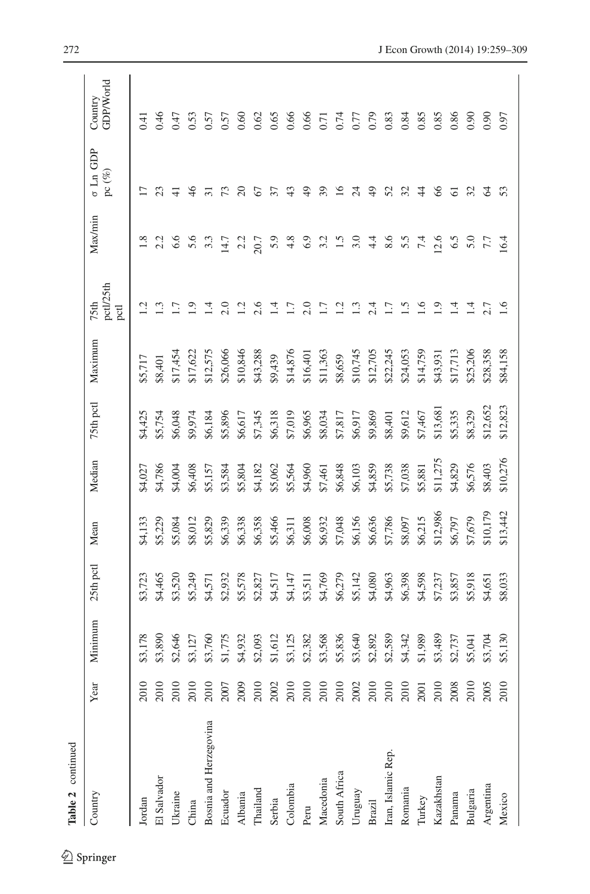| Table 2 continued      |      |         |           |          |          |           |          |                           |               |                              |                      |
|------------------------|------|---------|-----------|----------|----------|-----------|----------|---------------------------|---------------|------------------------------|----------------------|
| Country                | Year | Minimum | 25th pctl | Mean     | Median   | 75th pctl | Maximum  | pctl/25th<br>75th<br>pctl | Max/min       | $\sigma$ Ln GDP<br>pc $(\%)$ | GDP/World<br>Country |
| Jordan                 | 2010 | \$3,178 | \$3,723   | \$4,133  | \$4,027  | \$4,425   | \$5,717  | Ċ                         |               | Ξ                            | 0.41                 |
| El Salvador            | 2010 | \$3,890 | \$4,465   | \$5,229  | \$4,786  | \$5,754   | \$8,401  | $\mathbf{r}$              |               | g                            | 0.46                 |
| Ukraine                | 2010 | \$2,646 | \$3,520   | \$5,084  | \$4,004  | \$6,048   | \$17,454 | 17                        | 6.6           | ਚ                            | 0.47                 |
| China                  | 2010 | \$3,127 | \$5,249   | \$8,012  | \$6,408  | \$9,974   | \$17,622 | $\tilde{\mathbf{c}}$      | 5.6           | $\frac{1}{2}$                | 0.53                 |
| Bosnia and Herzegovina | 2010 | \$3,760 | \$4,571   | \$5,829  | \$5,157  | \$6,184   | \$12,575 | प्                        | 3.3           | ಸ                            | 0.57                 |
| Ecuador                | 2007 | \$1,775 | \$2,932   | \$6,339  | \$3,584  | \$5,896   | \$26,066 | ິ<br>ລ                    | 14.7          | R                            | 0.57                 |
| Albania                | 2009 | \$4,932 | \$5,578   | \$6,338  | \$5,804  | \$6,617   | \$10,846 | $\overline{c}$            | 2.2           | నె                           | 0.60                 |
| Thailand               | 2010 | \$2,093 | \$2,827   | \$6,358  | \$4,182  | \$7,345   | \$43,288 | 2.6                       | 20.7          | 6                            | 0.62                 |
| Serbia                 | 2002 | \$1,612 | \$4,517   | \$5,466  | \$5,062  | \$6,318   | \$9,439  | $\vec{=}$                 | 5.9           |                              | 0.65                 |
| Colombia               | 2010 | \$3,125 | \$4,147   | \$6,311  | \$5,564  | \$7,019   | \$14,876 | 17                        | 4.8           | ₩                            | 0.66                 |
| Peru                   | 2010 | \$2,382 | \$3,511   | \$6,008  | \$4,960  | \$6,965   | \$16,401 | $\frac{0}{2}$             | 6.9           | $\frac{1}{2}$                | 0.66                 |
| Macedonia              | 2010 | \$3,568 | \$4,769   | \$6,932  | \$7,461  | \$8,034   | \$11,363 | $\overline{1}$            |               | 39                           | $\overline{0.71}$    |
| South Africa           | 2010 | \$5,836 | \$6,279   | \$7,048  | \$6,848  | \$7,817   | \$8,659  | $\frac{1}{2}$             | <u>ي</u><br>= | $\widetilde{\Xi}$            | 0.74                 |
| Uruguay                | 2002 | \$3,640 | \$5,142   | \$6,156  | \$6,103  | \$6,917   | \$10,745 | $\frac{3}{2}$             | 3.0           | र्द                          | 0.77                 |
| <b>Brazil</b>          | 2010 | \$2,892 | \$4,080   | \$6,636  | \$4,859  | \$9,869   | \$12,705 | 2.4                       | $4\cdot$      | $\Theta$                     | 0.79                 |
| Iran, Islamic Rep.     | 2010 | \$2,589 | \$4,963   | \$7,786  | \$5,738  | \$8,401   | \$22,245 | $\overline{17}$           | 8.6           | 52                           | 0.83                 |
| Romania                | 2010 | \$4,342 | \$6,398   | \$8,097  | \$7,038  | \$9,612   | \$24,053 | <u>ن</u>                  | 5.5           | 32                           | 0.84                 |
| Turkey                 | 2001 | \$1,989 | \$4,598   | \$6,215  | \$5,881  | \$7,467   | \$14,759 | 1.6                       | 7.4           | 彑                            | 0.85                 |
| Kazakhstan             | 2010 | \$3,489 | \$7,237   | \$12,986 | \$11,275 | \$13,681  | \$43,931 | $\overline{0}$            | 12.6          | 8                            | 0.85                 |
| Panama                 | 2008 | \$2,737 | \$3,857   | \$6,797  | \$4,829  | \$5,335   | \$17,713 | $\vec{=}$                 | 6.5           | 5                            | 0.86                 |
| Bulgaria               | 2010 | \$5,041 | \$5,918   | \$7,679  | \$6,576  | \$8,329   | \$25,206 | ∑                         | 5.0           | 32                           | 0.90                 |
| Argentina              | 2005 | \$3,704 | \$4,651   | \$10,179 | \$8,403  | \$12,652  | \$28,358 |                           | 7.7           | 2                            | 0.90                 |
| Mexico                 | 2010 | \$5,130 | \$8,033   | \$13,442 | \$10,276 | \$12,823  | \$84,158 | $\frac{6}{1}$             | 16.4          | 53                           | 0.97                 |
|                        |      |         |           |          |          |           |          |                           |               |                              |                      |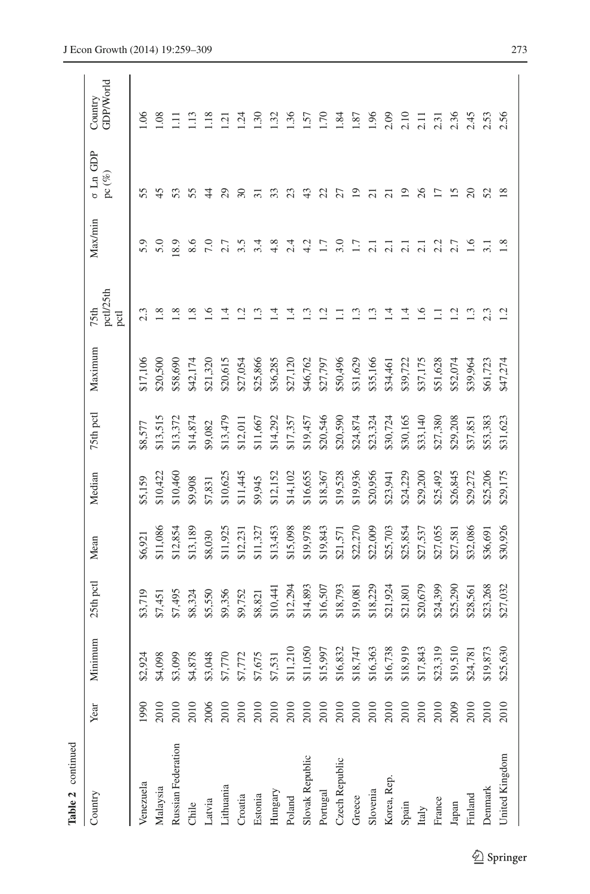| Table 2 continued  |      |               |           |          |          |           |          |                           |                  |                          |                      |
|--------------------|------|---------------|-----------|----------|----------|-----------|----------|---------------------------|------------------|--------------------------|----------------------|
| Country            | Year | Minimum       | 25th pctl | Mean     | Median   | 75th pctl | Maximum  | pctl/25th<br>75th<br>pctl | Max/min          | σ Ln GDP<br>pc $(\%)$    | GDP/World<br>Country |
| Venezuela          | 0661 | \$2,924       | \$3,719   | \$6,921  | \$5,159  | \$8,577   | \$17,106 | 2.3                       | 5.9              | 55                       | 90.                  |
| Malaysia           | 2010 | \$4,098       | \$7,451   | \$11,086 | \$10,422 | \$13,515  | \$20,500 | $\frac{8}{1}$             | 5.0              | 45                       | $\overline{0}$       |
| Russian Federation | 2010 | \$3,099       | \$7,495   | \$12,854 | \$10,460 | \$13,372  | \$58,690 | $\frac{8}{1}$             | 18.9             | 53                       | Ę                    |
| Chile              | 2010 | \$4,878       | \$8,324   | \$13,189 | \$9,908  | \$14,874  | \$42,174 | $\infty$                  | 8.6              | 55                       | Ë                    |
| Latvia             | 2006 | \$3,048       | \$5,550   | \$8,030  | \$7,831  | \$9,082   | \$21,320 | ڢ                         | 7.0              | $\sharp$                 | $\frac{8}{18}$       |
| Lithuania          | 2010 | \$7,770       | \$9,356   | \$11,925 | \$10,625 | \$13,479  | \$20,615 |                           | 2.7              | 29                       | $\Xi$                |
| Croatia            | 2010 | \$7,772       | \$9,752   | \$12,231 | \$11,445 | \$12,011  | \$27,054 |                           | 3.5              | $\overline{\mathrm{30}}$ | $\vec{z}$            |
| Estonia            | 2010 | \$7,675       | \$8,821   | \$11,327 | \$9,945  | \$11,667  | \$25,866 |                           | 3.4              | ಸ                        | $\frac{30}{2}$       |
| Hungary            | 2010 | \$7,531       | \$10,441  | \$13,453 | \$12,152 | \$14,292  | \$36,285 |                           | 4.8              | 33                       | $\overline{32}$      |
| Poland             | 2010 | \$11,210      | \$12,294  | \$15,098 | \$14,102 | \$17,357  | \$27,120 |                           | $\frac{4}{2}$    | 23                       | 1.36                 |
| Slovak Republic    | 2010 | \$11,050      | \$14,893  | \$19,978 | \$16,655 | \$19,457  | \$46,762 |                           | $\frac{2}{4}$    | 43                       | $-57$                |
| Portugal           | 2010 | \$15,997      | \$16,507  | \$19,843 | \$18,367 | \$20,546  | \$27,797 |                           | $\overline{1.7}$ | 22                       | SC 1                 |
| Czech Republic     | 2010 | ,832<br>\$16  | \$18,793  | \$21,571 | \$19,528 | \$20,590  | \$50,496 |                           | 3.0              | 27                       | $\overline{3}$       |
| Greece             | 2010 | ,747<br>\$18, | \$19,081  | \$22,270 | \$19,936 | \$24,874  | \$31,629 |                           | Ξ                | $\Xi$                    | 1.87                 |
| Slovenia           | 2010 | \$16,363      | \$18,229  | \$22,009 | \$20,956 | \$23,324  | \$35,166 |                           | $\overline{c}$   | ಸ                        | 1.96                 |
| Korea, Rep.        | 2010 | \$16,738      | \$21,924  | \$25,703 | \$23,941 | \$30,724  | \$34,461 |                           | $\overline{c}$   | $\overline{\Omega}$      | 2.09                 |
| Spain              | 2010 | 919<br>\$18   | \$21,801  | \$25,854 | \$24,229 | \$30,165  | \$39,722 | 4.                        | $\overline{c}$   | $\overline{19}$          | 2.10                 |
| Italy              | 2010 | ,843<br>\$17, | \$20,679  | \$27,537 | \$29,200 | \$33,140  | \$37,175 | <u>ہ</u>                  | $\overline{c}$   | 26                       | $\overline{2.11}$    |
| France             | 2010 | \$23,319      | \$24,399  | \$27,055 | \$25,492 | \$27,380  | \$51,628 |                           | 2.2              | 17                       | 2.31                 |
| Japan              | 2009 | 510<br>\$19   | \$25,290  | \$27,581 | \$26,845 | \$29,208  | \$52,074 |                           | 2.7              | 51                       | 2.36                 |
| Finland            | 2010 | \$24,781      | \$28,561  | \$32,086 | \$29,272 | \$37,851  | \$39,964 | ني                        | $\tilde{=}$      | $\overline{\Omega}$      | 2.45                 |
| Denmark            | 2010 | \$19,873      | \$23,268  | \$36,691 | \$25,206 | \$53,383  | \$61,723 | 2.3                       | $\overline{3.1}$ | 52                       | 2.53                 |
| United Kingdom     | 2010 | ,630<br>\$25, | \$27,032  | \$30,926 | \$29,175 | \$31,623  | \$47,274 | 1.2                       | $\frac{8}{1}$    | $\frac{8}{2}$            | 2.56                 |
|                    |      |               |           |          |          |           |          |                           |                  |                          |                      |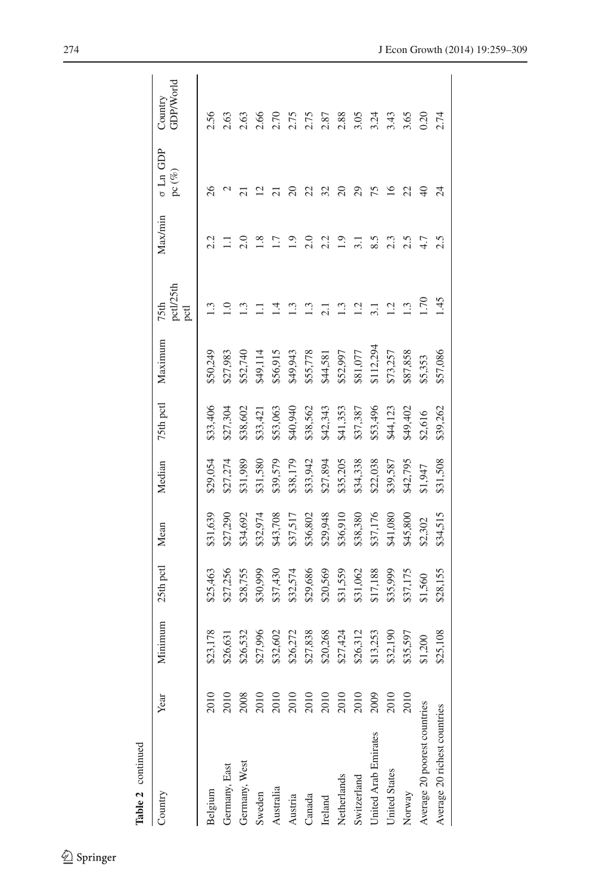| Table 2 continued            |      |          |          |          |          |           |           |                           |         |                              |                      |
|------------------------------|------|----------|----------|----------|----------|-----------|-----------|---------------------------|---------|------------------------------|----------------------|
| Country                      | Year | Minimum  | 25th pct | Mean     | Median   | 75th pctl | Maximum   | pctl/25th<br>75th<br>pctl | Max/min | $\sigma$ Ln GDP<br>pc $(\%)$ | GDP/World<br>Country |
| Belgium                      | 2010 | \$23,178 | \$25,463 | \$31,639 | \$29,054 | \$33,406  | \$50,249  | Ċ.                        |         | 26                           | 2.56                 |
| Germany, East                | 2010 | \$26,631 | \$27,256 | \$27,290 | \$27,274 | \$27,304  | \$27,983  |                           |         |                              | 2.63                 |
| Germany, West                | 2008 | \$26,532 | \$28,755 | \$34,692 | \$31,989 | \$38,602  | \$52,740  |                           |         |                              | 2.63                 |
| Sweden                       | 2010 | \$27,996 | \$30,999 | \$32,974 | \$31,580 | \$33,421  | \$49,114  |                           |         |                              | 2.66                 |
| Australia                    | 2010 | \$32,602 | \$37,430 | \$43,708 | \$39,579 | \$53,063  | \$56,915  |                           |         |                              | 2.70                 |
| Austria                      | 2010 | \$26,272 | \$32,574 | \$37,517 | \$38,179 | \$40,940  | \$49,943  |                           |         |                              | 2.75                 |
| Canada                       | 2010 | \$27,838 | \$29,686 | \$36,802 | \$33,942 | \$38,562  | \$55,778  |                           |         |                              | 2.75                 |
| Ireland                      | 2010 | \$20,268 | \$20,569 | \$29,948 | \$27,894 | \$42,343  | \$44,581  |                           |         |                              | 2.87                 |
| Netherlands                  | 2010 | \$27,424 | \$31,559 | \$36,910 | \$35,205 | \$41,353  | \$52,997  | a,                        |         |                              | 2.88                 |
| Switzerland                  | 2010 | \$26,312 | \$31,062 | \$38,380 | \$34,338 | \$37,387  | \$81,077  |                           |         |                              | 3.05                 |
| United Arab Emirates         | 2009 | \$13,253 | \$17,188 | \$37,176 | \$22,038 | \$53,496  | \$112,294 |                           |         | 75                           | 3.24                 |
| <b>United States</b>         | 2010 | \$32,190 | \$35,999 | \$41,080 | \$39,587 | \$44,123  | \$73,257  | ö                         |         | $\geq$                       | 3.43                 |
| Norway                       | 2010 | \$35,597 | \$37,175 | \$45,800 | \$42,795 | \$49,402  | \$87,858  | $\tilde{\mathbf{c}}$      |         | 22                           | 3.65                 |
| Average 20 poorest countries |      | \$1,200  | \$1,560  | \$2,302  | \$1,947  | \$2,616   | \$5,353   | $\overline{\mathcal{L}}$  |         | $\overline{40}$              | 0.20                 |
| Average 20 richest countries |      | \$25,108 | \$28,155 | \$34,515 | \$31,508 | \$39,262  | \$57,086  | $-1.45$                   |         | 24                           | 2.74                 |
|                              |      |          |          |          |          |           |           |                           |         |                              |                      |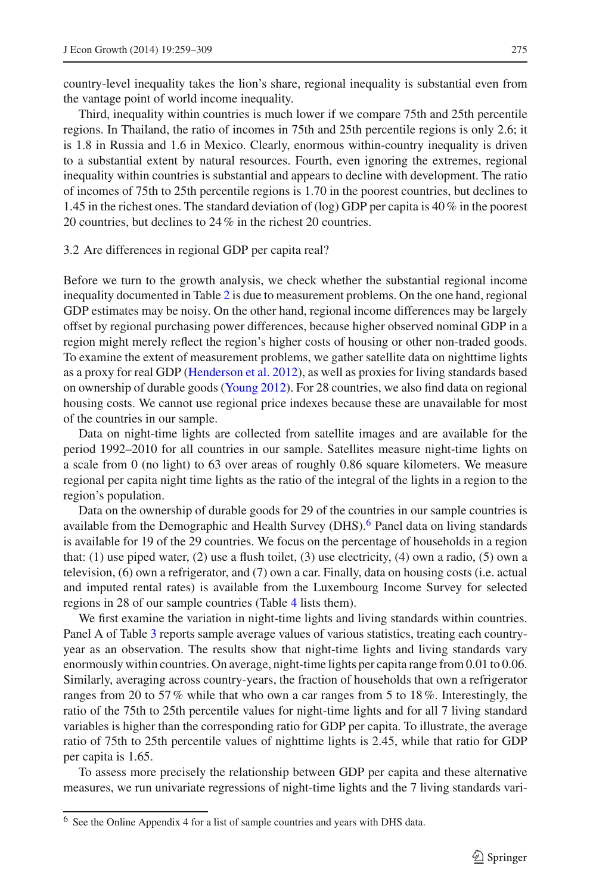country-level inequality takes the lion's share, regional inequality is substantial even from the vantage point of world income inequality.

Third, inequality within countries is much lower if we compare 75th and 25th percentile regions. In Thailand, the ratio of incomes in 75th and 25th percentile regions is only 2.6; it is 1.8 in Russia and 1.6 in Mexico. Clearly, enormous within-country inequality is driven to a substantial extent by natural resources. Fourth, even ignoring the extremes, regional inequality within countries is substantial and appears to decline with development. The ratio of incomes of 75th to 25th percentile regions is 1.70 in the poorest countries, but declines to 1.45 in the richest ones. The standard deviation of (log) GDP per capita is 40% in the poorest 20 countries, but declines to 24% in the richest 20 countries.

## 3.2 Are differences in regional GDP per capita real?

Before we turn to the growth analysis, we check whether the substantial regional income inequality documented in Table [2](#page-12-0) is due to measurement problems. On the one hand, regional GDP estimates may be noisy. On the other hand, regional income differences may be largely offset by regional purchasing power differences, because higher observed nominal GDP in a region might merely reflect the region's higher costs of housing or other non-traded goods. To examine the extent of measurement problems, we gather satellite data on nighttime lights as a proxy for real GDP [\(Henderson et al. 2012\)](#page-49-14), as well as proxies for living standards based on ownership of durable goods [\(Young 2012](#page-50-2)). For 28 countries, we also find data on regional housing costs. We cannot use regional price indexes because these are unavailable for most of the countries in our sample.

Data on night-time lights are collected from satellite images and are available for the period 1992–2010 for all countries in our sample. Satellites measure night-time lights on a scale from 0 (no light) to 63 over areas of roughly 0.86 square kilometers. We measure regional per capita night time lights as the ratio of the integral of the lights in a region to the region's population.

Data on the ownership of durable goods for 29 of the countries in our sample countries is available from the Demographic and Health Survey (DHS).<sup>6</sup> Panel data on living standards is available for 19 of the 29 countries. We focus on the percentage of households in a region that:  $(1)$  use piped water,  $(2)$  use a flush toilet,  $(3)$  use electricity,  $(4)$  own a radio,  $(5)$  own a television, (6) own a refrigerator, and (7) own a car. Finally, data on housing costs (i.e. actual and imputed rental rates) is available from the Luxembourg Income Survey for selected regions in 28 of our sample countries (Table [4](#page-19-0) lists them).

We first examine the variation in night-time lights and living standards within countries. Panel A of Table [3](#page-17-0) reports sample average values of various statistics, treating each countryyear as an observation. The results show that night-time lights and living standards vary enormously within countries. On average, night-time lights per capita range from 0.01 to 0.06. Similarly, averaging across country-years, the fraction of households that own a refrigerator ranges from 20 to 57% while that who own a car ranges from 5 to 18%. Interestingly, the ratio of the 75th to 25th percentile values for night-time lights and for all 7 living standard variables is higher than the corresponding ratio for GDP per capita. To illustrate, the average ratio of 75th to 25th percentile values of nighttime lights is 2.45, while that ratio for GDP per capita is 1.65.

To assess more precisely the relationship between GDP per capita and these alternative measures, we run univariate regressions of night-time lights and the 7 living standards vari-

<span id="page-16-0"></span><sup>6</sup> See the Online Appendix 4 for a list of sample countries and years with DHS data.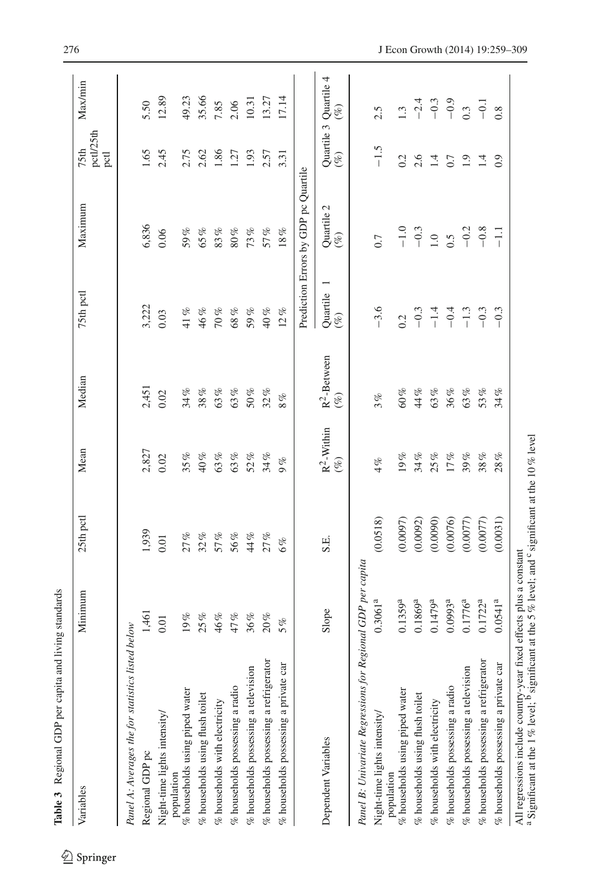<span id="page-17-0"></span>

| Table 3 Regional GDP per capita and living standards                                                                                                                                          |                     |           |                         |                          |                    |                                      |                           |                      |
|-----------------------------------------------------------------------------------------------------------------------------------------------------------------------------------------------|---------------------|-----------|-------------------------|--------------------------|--------------------|--------------------------------------|---------------------------|----------------------|
| Variables                                                                                                                                                                                     | Minimum             | 25th pctl | Mean                    | Median                   | 75th pctl          | Maximum                              | pctl/25th<br>75th<br>pctl | Max/min              |
| listed below<br>Panel A: Averages the for statistics                                                                                                                                          |                     |           |                         |                          |                    |                                      |                           |                      |
| Regional GDP pc                                                                                                                                                                               | 1,461               | 1,939     | 2,827                   | 2,451                    | 3,222              | 6,836                                | $-1.65$                   | 5.50                 |
| Night-time lights intensity/                                                                                                                                                                  | 0.01                | 0.01      | 0.02                    | 0.02                     | 0.03               | 0.06                                 | 2.45                      | 12.89                |
| $%$ households using piped water<br>population                                                                                                                                                | $19\,\%$            | 27%       | 35%                     | 34%                      | 41%                | 59%                                  | 2.75                      | 49.23                |
| $\%$ households using flush toilet                                                                                                                                                            | 25%                 | 32%       | 40%                     | 38%                      | 46%                | 65%                                  | 2.62                      | 35.66                |
| $\%$ households with electricity                                                                                                                                                              | 46%                 | $22.2\%$  | 63%                     | 63%                      | 70%                | 83%                                  | .86                       | 7.85                 |
| $\%$ households possessing a radio                                                                                                                                                            | 47%                 | 56%       | 63%                     | 63%                      | 68%                | $90\,\%$                             | 1.27                      | 2.06                 |
| $\%$ households possessing a television                                                                                                                                                       | $36\%$              | $44\%$    | 52%                     | $20\,\%$                 | $59\%$             | 73%                                  | 1.93                      | 10.31                |
| % households possessing a refrigerator                                                                                                                                                        | 20%                 | 27%       | 34%                     | 32%                      | $40\%$             | 57%                                  | 2.57                      | 13.27                |
| % households possessing a private car                                                                                                                                                         | 5%                  | 6%        | $\frac{2}{6}$           | 8%                       | $12\%$             | $18\,\%$                             | 3.31                      | 17.14                |
|                                                                                                                                                                                               |                     |           |                         |                          |                    | Prediction Errors by GDP pc Quartile |                           |                      |
| Dependent Variables                                                                                                                                                                           | Slope               | S.E.      | $R^2$ -Within<br>$(\%)$ | $R^2$ -Between<br>$(\%)$ | Quartile<br>$(\%)$ | Quartile 2<br>$(\%)$                 | Quartile 3<br>$(\%)$      | Quartile 4<br>$(\%)$ |
| Panel B: Univariate Regressions for Regional GDP per capita                                                                                                                                   |                     |           |                         |                          |                    |                                      |                           |                      |
| Night-time lights intensity/<br>population                                                                                                                                                    | $0.3061^{a}$        | (0.0518)  | 4%                      | 3%                       | $-3.6$             | 0.7                                  | $-1.5$                    | 2.5                  |
| $%$ households using piped water                                                                                                                                                              | $0.1359^{a}$        | (0.0097)  | 19%                     | $90\,\%$                 | 0.2                | $-1.0$                               | 0.2                       | $\mathbb{C}$         |
| $\%$ households using flush toilet                                                                                                                                                            | $0.1869^{a}$        | (0.0092)  | 34%                     | $44\%$                   | $-0.3$             | $-0.3$                               | 2.6                       | $-2.4$               |
| % households with electricity                                                                                                                                                                 | $0.1479^{a}$        | (0.0090)  | 25%                     | 63%                      | $-1.4$             | $\overline{1.0}$                     | 1.4                       | $-0.3$               |
| % households possessing a radio                                                                                                                                                               | 0.0993 <sup>a</sup> | (0.0076)  | 17%                     | 36%                      | $-0.4$             | 0.5                                  | 0.7                       | $-0.9$               |
| $%$ households possessing a television                                                                                                                                                        | $0.1776^{a}$        | (0.0077)  | 39%                     | 63%                      | $-1.3$             | $-0.2$                               | 1.9                       | $0.\overline{3}$     |
| % households possessing a refrigerator                                                                                                                                                        | $0.1722^{a}$        | (0.0077)  | 38%                     | 53%                      | $-0.3$             | $-0.8$                               | $\overline{14}$           | $\overline{q}$       |
| % households possessing a private car                                                                                                                                                         | $0.0541^{a}$        | (0.0031)  | 28%                     | 34%                      | $-0.3$             | $\overline{11}$                      | 0.9                       | 0.8                  |
| <sup>a</sup> Significant at the 1% level; $\frac{1}{2}$ significant at the 5% level; and ° significant at the 10% level<br>All regressions include country-year fixed effects plus a constant |                     |           |                         |                          |                    |                                      |                           |                      |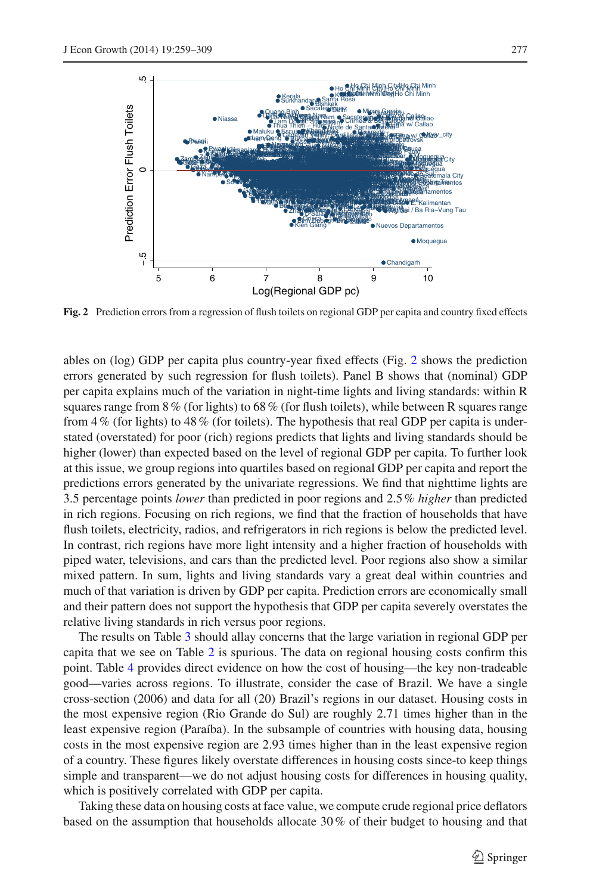

<span id="page-18-0"></span>**Fig. 2** Prediction errors from a regression of flush toilets on regional GDP per capita and country fixed effects

ables on (log) GDP per capita plus country-year fixed effects (Fig. [2](#page-18-0) shows the prediction errors generated by such regression for flush toilets). Panel B shows that (nominal) GDP per capita explains much of the variation in night-time lights and living standards: within R squares range from  $8\%$  (for lights) to  $68\%$  (for flush toilets), while between R squares range from  $4\%$  (for lights) to  $48\%$  (for toilets). The hypothesis that real GDP per capita is understated (overstated) for poor (rich) regions predicts that lights and living standards should be higher (lower) than expected based on the level of regional GDP per capita. To further look at this issue, we group regions into quartiles based on regional GDP per capita and report the predictions errors generated by the univariate regressions. We find that nighttime lights are 3.5 percentage points *lower* than predicted in poor regions and 2.5% *higher* than predicted in rich regions. Focusing on rich regions, we find that the fraction of households that have flush toilets, electricity, radios, and refrigerators in rich regions is below the predicted level. In contrast, rich regions have more light intensity and a higher fraction of households with piped water, televisions, and cars than the predicted level. Poor regions also show a similar mixed pattern. In sum, lights and living standards vary a great deal within countries and much of that variation is driven by GDP per capita. Prediction errors are economically small and their pattern does not support the hypothesis that GDP per capita severely overstates the relative living standards in rich versus poor regions.

The results on Table [3](#page-17-0) should allay concerns that the large variation in regional GDP per capita that we see on Table [2](#page-12-0) is spurious. The data on regional housing costs confirm this point. Table [4](#page-19-0) provides direct evidence on how the cost of housing—the key non-tradeable good—varies across regions. To illustrate, consider the case of Brazil. We have a single cross-section (2006) and data for all (20) Brazil's regions in our dataset. Housing costs in the most expensive region (Rio Grande do Sul) are roughly 2.71 times higher than in the least expensive region (Paraíba). In the subsample of countries with housing data, housing costs in the most expensive region are 2.93 times higher than in the least expensive region of a country. These figures likely overstate differences in housing costs since-to keep things simple and transparent—we do not adjust housing costs for differences in housing quality, which is positively correlated with GDP per capita.

Taking these data on housing costs at face value, we compute crude regional price deflators based on the assumption that households allocate 30% of their budget to housing and that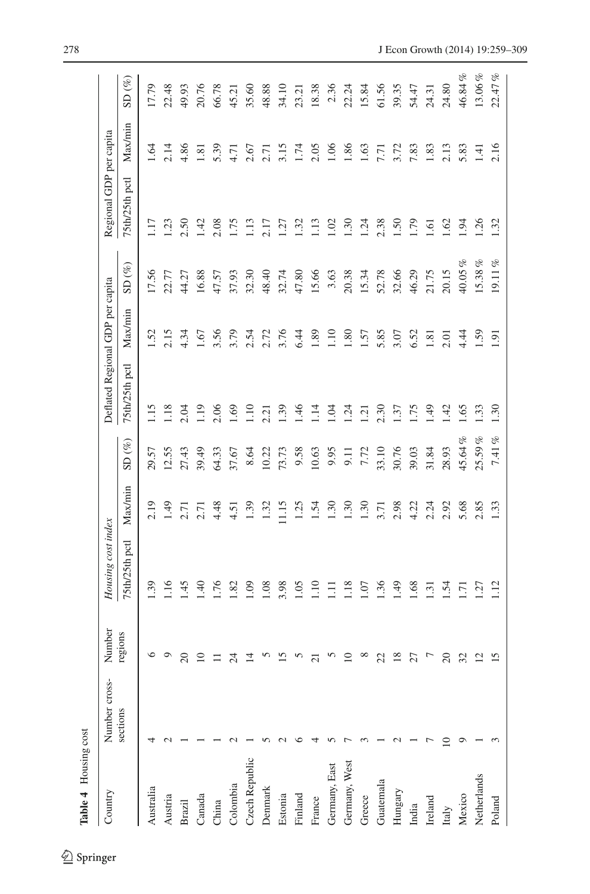<span id="page-19-0"></span>

| Table 4 Housing cost |               |                 |                      |         |                    |                                  |                |                                 |                         |                   |           |
|----------------------|---------------|-----------------|----------------------|---------|--------------------|----------------------------------|----------------|---------------------------------|-------------------------|-------------------|-----------|
| Country              | Number cross- | Number          | Housing cost index   |         |                    | Deflated Regional GDP per capita |                |                                 | Regional GDP per capita |                   |           |
|                      | sections      | regions         | 75th/25th pctl       | Max/min | $\mathrm{SD}~(\%)$ | 75th/25th pctl                   | Max/min        | $\mathrm{SD} \left( \% \right)$ | 75th/25th pctl          | Max/min           | SD(%)     |
| Australia            |               | ७               | $\ddot{3}$           | 2.19    | 29.57              | 1.15                             | 1.52           | 17.56                           | 1.17                    | 1.64              | 17.79     |
| Austria              |               | $\circ$         | 16                   | 1.49    | 12.55              | 1.18                             | 2.15           | 22.77                           | $\overline{23}$         | 2.14              | 22.48     |
| <b>Brazil</b>        |               | $\overline{c}$  | 45                   | 2.71    | 27.43              | 2.04                             | 4.34           | 44.27                           | 2.50                    | 4.86              | 49.93     |
| Canada               |               | $\approx$       | €.                   | 2.71    | 39.49              | 1.19                             | $-1.67$        | 16.88                           | 1.42                    | $\overline{1.81}$ | 20.76     |
| China                |               | $\Box$          | $-76$                | 4.48    | 64.33              | 2.06                             | 3.56           | 47.57                           | 2.08                    | 5.39              | 66.78     |
| Colombia             |               | $\overline{24}$ | $\ddot{\mathcal{S}}$ | 4.51    | 37.67              | 0.69                             | 3.79           | 37.93                           | 1.75                    | 4.71              | 45.21     |
| Czech Republic       |               | $\overline{1}$  | $^{00.1}$            | 1.39    | 8.64               | 1.10                             | 2.54           | 32.30                           | 1.13                    | 2.67              | 35.60     |
| Denmark              |               | n               | 1.08                 | 1.32    | 10.22              | 2.21                             | 2.72           | 48.40                           | 2.17                    | 2.71              | 48.88     |
| Estonia              |               | 15              | 3.98                 | 1.15    | 73.73              | 1.39                             | 3.76           | 32.74                           | $\overline{127}$        | 3.15              | 34.10     |
| Finland              |               | n               | 1.05                 | 1.25    | 9.58               | 1.46                             | 6.44           | 47.80                           | 1.32                    | 1.74              | 23.21     |
| France               |               | $\overline{c}$  | 1.10                 | 1.54    | 10.63              | 14                               | 1.89           | 15.66                           | 1.13                    | 2.05              | 18.38     |
| Germany, East        |               | n               | Ξ                    | 1.30    | 9.95               | 1.04                             | 1.10           | 3.63                            | 1.02                    | 1.06              | 2.36      |
| Germany, West        |               | ≘               | 1.18                 | 1.30    | 9.11               | 1.24                             | $^{1.80}$      | 20.38                           | 1.30                    | 1.86              | 22.24     |
| Greece               |               | $\infty$        | $\overline{0}$       | 1.30    | 7.72               | $\overline{5}$                   | 1.57           | 15.34                           | 1.24                    | 1.63              | 15.84     |
| Guatemala            |               | 22              | .36                  | 3.71    | 33.10              | 2.30                             | 5.85           | 52.78                           | 2.38                    | 7.71              | 61.56     |
| Hungary              |               | $\frac{8}{2}$   | 64.1                 | 2.98    | 30.76              | 1.37                             | 3.07           | 32.66                           | 1.50                    | 3.72              | 39.35     |
| India                |               | 27              | 1.68                 | 4.22    | 39.03              | L.75                             | 6.52           | 46.29                           | 1.79                    | 7.83              | 54.47     |
| Ireland              |               | Γ               | $\tilde{\cdot}$      | 2.24    | 31.84              | $\ddot{ }$                       | $\overline{8}$ | 21.75                           | ত্                      | 1.83              | 24.31     |
| Italy                | $\supseteq$   | $\overline{c}$  | $\cdot$ 54           | 2.92    | 28.93              | 42                               | 2.01           | 20.15                           | .62                     | 2.13              | 24.80     |
| Mexico               | σ             | 32              | $\overline{1}$       | 5.68    | 45.64%             | .65                              | 4.44           | 40.05%                          | $\dot{9}$               | 5.83              | 46.84%    |
| Netherlands          |               | $\overline{c}$  | ĽČ.                  | 2.85    | 25.59%             | 33                               | $-59$          | $15.38\,\%$                     | .26                     | $\overline{4}$    | $13.06\%$ |
| Poland               |               | 15              | 1.12                 | 1.33    | 7.41 %             | 1.30                             | 1.91           | 19.11%                          | 1.32                    | 2.16              | 22.47%    |
|                      |               |                 |                      |         |                    |                                  |                |                                 |                         |                   |           |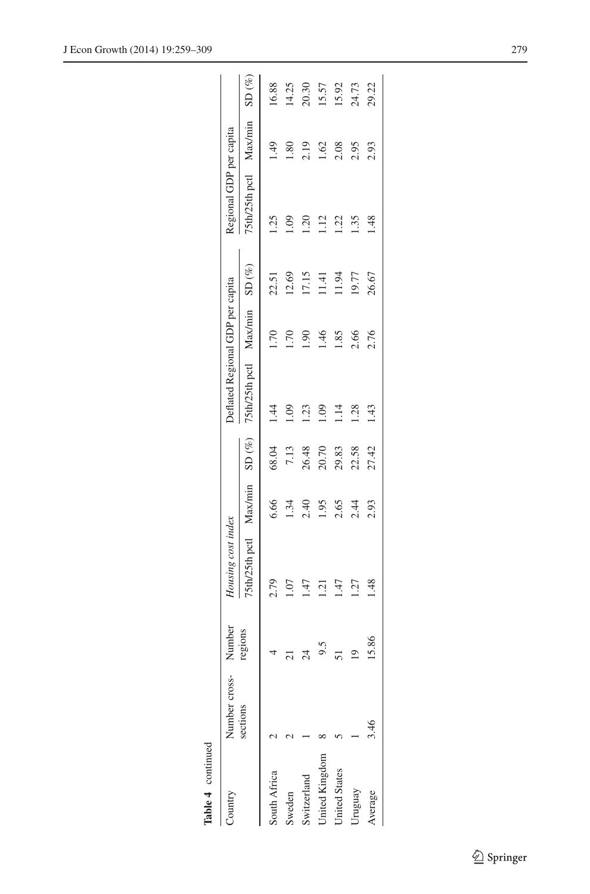| ountry         | Number cross- | Number         | Housing cost index            |                            |       | Deflated Regional GDP per capita |                    |                    | Regional GDP per capita |                      |                                                                             |
|----------------|---------------|----------------|-------------------------------|----------------------------|-------|----------------------------------|--------------------|--------------------|-------------------------|----------------------|-----------------------------------------------------------------------------|
|                | sections      | regions        | 75th/25th pctl Max/min SD (%) |                            |       | 75th/25th pctl Max/min SD (%)    |                    |                    | 75th/25th pctl Max/min  |                      | SD(%)                                                                       |
| South Africa   |               | 4              | 2.79                          | 6.66                       | 68.04 | 1.44                             |                    | 22.51              | 1.25                    | $\frac{49}{5}$       | 16.88                                                                       |
| weden          |               |                | 1.07                          | 1.34                       | 7.13  | $\overline{5}$                   | $\frac{170}{1.70}$ | 12.69              | 99                      | .80                  |                                                                             |
| witzerland     |               | $\overline{z}$ | 1.47                          | 2.40                       | 26.48 | 1.23                             | 1.90               |                    | 1.20                    |                      |                                                                             |
| inited Kingdom |               | 9.5            | 1.21                          |                            | 20.70 | 09                               | 1.46               | $17.15$<br>$11.41$ | 1.12                    |                      |                                                                             |
| Inited States  |               |                | 147                           | $1.95$<br>$2.65$<br>$2.44$ | 29.83 | $\overline{14}$                  |                    | 11.94              | 1.22                    |                      |                                                                             |
| Jruguay        |               | $\overline{9}$ | 1.27                          |                            | 22.58 | 1.28                             | $1.85$<br>2.66     | 19.77              | 1.35                    | 2.19<br>1.62<br>2.95 | $\begin{array}{c} 14.25 \\ 20.30 \\ 15.57 \\ 15.92 \\ 24.73 \\ \end{array}$ |
| Werage         | 3.46          | 15.86          | $\frac{48}{5}$                | 2.93                       | 27.42 | 1.43                             | 2.76               | 26.67              | $\frac{48}{5}$          | 2.93                 |                                                                             |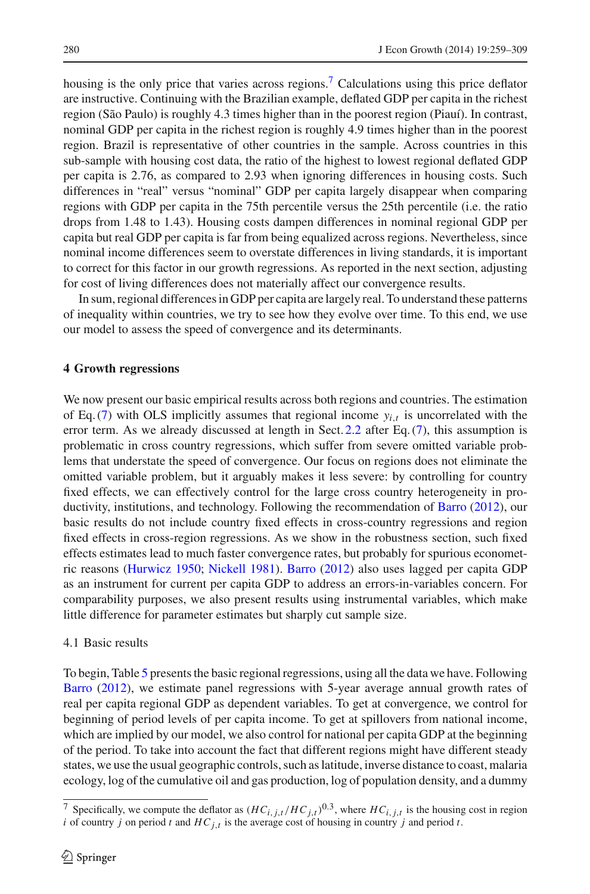housing is the only price that varies across regions.<sup>7</sup> Calculations using this price deflator are instructive. Continuing with the Brazilian example, deflated GDP per capita in the richest region (São Paulo) is roughly 4.3 times higher than in the poorest region (Piauí). In contrast, nominal GDP per capita in the richest region is roughly 4.9 times higher than in the poorest region. Brazil is representative of other countries in the sample. Across countries in this sub-sample with housing cost data, the ratio of the highest to lowest regional deflated GDP per capita is 2.76, as compared to 2.93 when ignoring differences in housing costs. Such differences in "real" versus "nominal" GDP per capita largely disappear when comparing regions with GDP per capita in the 75th percentile versus the 25th percentile (i.e. the ratio drops from 1.48 to 1.43). Housing costs dampen differences in nominal regional GDP per capita but real GDP per capita is far from being equalized across regions. Nevertheless, since nominal income differences seem to overstate differences in living standards, it is important to correct for this factor in our growth regressions. As reported in the next section, adjusting for cost of living differences does not materially affect our convergence results.

In sum, regional differences in GDP per capita are largely real. To understand these patterns of inequality within countries, we try to see how they evolve over time. To this end, we use our model to assess the speed of convergence and its determinants.

#### <span id="page-21-0"></span>**4 Growth regressions**

We now present our basic empirical results across both regions and countries. The estimation of Eq.  $(7)$  with OLS implicitly assumes that regional income  $y_{i,t}$  is uncorrelated with the error term. As we already discussed at length in Sect. [2.2](#page-5-5) after Eq. [\(7\)](#page-5-4), this assumption is problematic in cross country regressions, which suffer from severe omitted variable problems that understate the speed of convergence. Our focus on regions does not eliminate the omitted variable problem, but it arguably makes it less severe: by controlling for country fixed effects, we can effectively control for the large cross country heterogeneity in productivity, institutions, and technology. Following the recommendation of [Barro](#page-49-4) [\(2012](#page-49-4)), our basic results do not include country fixed effects in cross-country regressions and region fixed effects in cross-region regressions. As we show in the robustness section, such fixed effects estimates lead to much faster convergence rates, but probably for spurious econometric reasons [\(Hurwicz 1950;](#page-49-17) [Nickell 1981](#page-50-6)). [Barro](#page-49-4) [\(2012\)](#page-49-4) also uses lagged per capita GDP as an instrument for current per capita GDP to address an errors-in-variables concern. For comparability purposes, we also present results using instrumental variables, which make little difference for parameter estimates but sharply cut sample size.

#### <span id="page-21-1"></span>4.1 Basic results

To begin, Table [5](#page-23-0) presents the basic regional regressions, using all the data we have. Following [Barro](#page-49-4) [\(2012](#page-49-4)), we estimate panel regressions with 5-year average annual growth rates of real per capita regional GDP as dependent variables. To get at convergence, we control for beginning of period levels of per capita income. To get at spillovers from national income, which are implied by our model, we also control for national per capita GDP at the beginning of the period. To take into account the fact that different regions might have different steady states, we use the usual geographic controls, such as latitude, inverse distance to coast, malaria ecology, log of the cumulative oil and gas production, log of population density, and a dummy

<span id="page-21-2"></span>Specifically, we compute the deflator as  $(HC_{i,j,t}/HC_{j,t})^{0.3}$ , where  $HC_{i,j,t}$  is the housing cost in region *i* of country *j* on period *t* and *HCj*,*t* is the average cost of housing in country *j* and period *t*.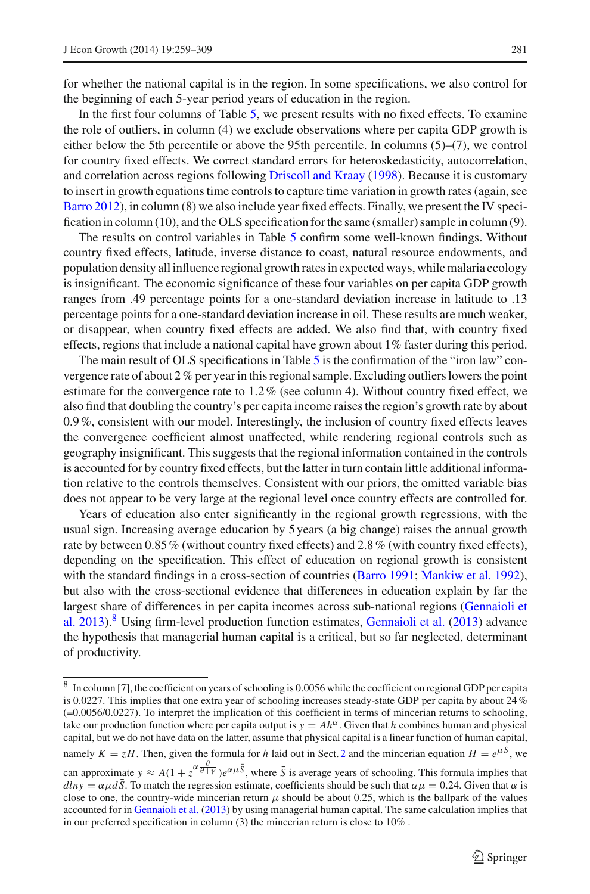for whether the national capital is in the region. In some specifications, we also control for the beginning of each 5-year period years of education in the region.

In the first four columns of Table [5,](#page-23-0) we present results with no fixed effects. To examine the role of outliers, in column (4) we exclude observations where per capita GDP growth is either below the 5th percentile or above the 95th percentile. In columns (5)–(7), we control for country fixed effects. We correct standard errors for heteroskedasticity, autocorrelation, and correlation across regions following [Driscoll and Kraay](#page-49-18) [\(1998](#page-49-18)). Because it is customary to insert in growth equations time controls to capture time variation in growth rates (again, see [Barro 2012](#page-49-4)), in column (8) we also include year fixed effects. Finally, we present the IV specification in column (10), and the OLS specification for the same (smaller) sample in column (9).

The results on control variables in Table [5](#page-23-0) confirm some well-known findings. Without country fixed effects, latitude, inverse distance to coast, natural resource endowments, and population density all influence regional growth rates in expected ways, while malaria ecology is insignificant. The economic significance of these four variables on per capita GDP growth ranges from .49 percentage points for a one-standard deviation increase in latitude to .13 percentage points for a one-standard deviation increase in oil. These results are much weaker, or disappear, when country fixed effects are added. We also find that, with country fixed effects, regions that include a national capital have grown about 1% faster during this period.

The main result of OLS specifications in Table [5](#page-23-0) is the confirmation of the "iron law" convergence rate of about 2% per year in this regional sample. Excluding outliers lowers the point estimate for the convergence rate to  $1.2\%$  (see column 4). Without country fixed effect, we also find that doubling the country's per capita income raises the region's growth rate by about  $0.9\%$ , consistent with our model. Interestingly, the inclusion of country fixed effects leaves the convergence coefficient almost unaffected, while rendering regional controls such as geography insignificant. This suggests that the regional information contained in the controls is accounted for by country fixed effects, but the latter in turn contain little additional information relative to the controls themselves. Consistent with our priors, the omitted variable bias does not appear to be very large at the regional level once country effects are controlled for.

Years of education also enter significantly in the regional growth regressions, with the usual sign. Increasing average education by 5 years (a big change) raises the annual growth rate by between 0.85% (without country fixed effects) and 2.8% (with country fixed effects), depending on the specification. This effect of education on regional growth is consistent with the standard findings in a cross-section of countries [\(Barro 1991;](#page-49-0) [Mankiw et al. 1992\)](#page-50-7), but also with the cross-sectional evidence that differences in education explain by far the la[rgest](#page-49-13) [share](#page-49-13) [of](#page-49-13) [differences](#page-49-13) [in](#page-49-13) [per](#page-49-13) [capita](#page-49-13) [incomes](#page-49-13) [across](#page-49-13) [sub-national](#page-49-13) [regions](#page-49-13) [\(](#page-49-13)Gennaioli et al.  $2013$ .<sup>[8](#page-22-0)</sup> Using firm-level production function estimates, [Gennaioli et al.](#page-49-13)  $(2013)$  $(2013)$  advance the hypothesis that managerial human capital is a critical, but so far neglected, determinant of productivity.

<span id="page-22-0"></span><sup>&</sup>lt;sup>8</sup> In column [7], the coefficient on years of schooling is 0.0056 while the coefficient on regional GDP per capita is 0.0227. This implies that one extra year of schooling increases steady-state GDP per capita by about 24% (=0.0056/0.0227). To interpret the implication of this coefficient in terms of mincerian returns to schooling, take our production function where per capita output is  $y = Ah^{\alpha}$ . Given that *h* combines human and physical capital, but we do not have data on the latter, assume that physical capital is a linear function of human capital, namely  $K = zH$ . Then, given the formula for *h* laid out in Sect. [2](#page-3-0) and the mincerian equation  $H = e^{\mu S}$ , we can approximate  $y \approx A(1 + z^{\alpha \frac{\theta}{\theta + \gamma}})e^{\alpha \mu \bar{S}}$ , where  $\bar{S}$  is average years of schooling. This formula implies that  $dln y = \alpha \mu d\bar{S}$ . To match the regression estimate, coefficients should be such that  $\alpha \mu = 0.24$ . Given that  $\alpha$  is close to one, the country-wide mincerian return  $\mu$  should be about 0.25, which is the ballpark of the values accounted for in [Gennaioli et al.](#page-49-13) [\(2013\)](#page-49-13) by using managerial human capital. The same calculation implies that in our preferred specification in column (3) the mincerian return is close to 10% .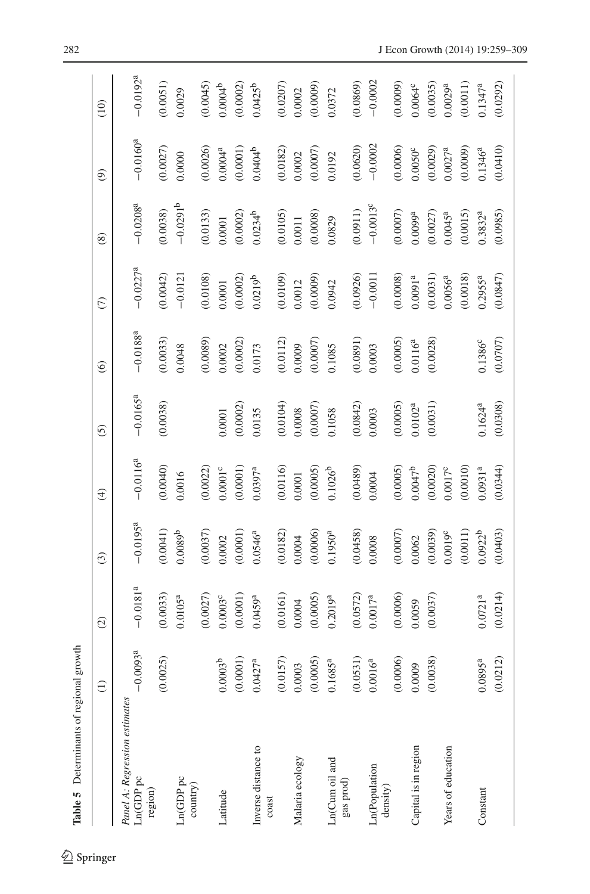<span id="page-23-0"></span>

| Table 5 Determinants of regional growth               |                 |                  |                     |                         |                |                   |                     |                   |                     |                  |
|-------------------------------------------------------|-----------------|------------------|---------------------|-------------------------|----------------|-------------------|---------------------|-------------------|---------------------|------------------|
|                                                       | $\widehat{\Xi}$ | $\widehat{c}$    | $\odot$             | $\widehat{\mathcal{F}}$ | $\overline{6}$ | $\widehat{\circ}$ | $\widehat{C}$       | $\circledS$       | $\odot$             | (10)             |
| Panel A: Regression estimates<br>Ln(GDP pc<br>region) | $-0.0093^{a}$   | $-0.0181a$       | $-0.0195^{a}$       | $-0.0116a$              | $-0.0165^a$    | $-0.0188^{a}$     | $-0.0227^a$         | $-0.0208^{a}$     | $-0.0160a$          | $-0.0192^{a}$    |
|                                                       | (0.0025)        | (0.0033)         | (0.0041)            | (0.0040)                | (0.0038)       | (0.0033)          | (0.0042)            | (0.0038)          | (0.0027)            | (0.0051)         |
| Ln(GDP pc<br>country)                                 |                 | $0.0105^{a}$     | 0.0089 <sup>b</sup> | 0.0016                  |                | 0.0048            | $-0.0121$           | $-0.0291^{b}$     | 0.0000              | 0.0029           |
|                                                       |                 | (0.0027)         | (0.0037)            | (0.0022)                |                | (0.0089)          | (0.0108)            | (0.0133)          | (0.0026)            | (0.0045)         |
| Latitude                                              | $0.0003^{b}$    | $0.0003^{c}$     | 0.0002              | $0.0001^{\rm c}$        | 0.0001         | 0.0002            | 0.0001              | 0.0001            | $0.0004^{a}$        | $0.0004^{b}$     |
|                                                       | (0.0001)        | (0.0001)         | (0.0001)            | (0.0001)                | (0.0002)       | (0.0002)          | (0.0002)            | $(0.0002)$        | (0.0001)            | $(0.0002)$       |
| Inverse distance to<br>$\cos t$                       | $0.0427^{a}$    | $0.0459^{a}$     | $0.0546^{a}$        | $0.0397^{a}$            | 0.0135         | 0.0173            | $0.0219^{b}$        | $0.0234^{b}$      | 0.0404 <sup>b</sup> | $0.0425^{b}$     |
|                                                       | 57)<br>$(0.01$  | (0.0161)         | (0.0182)            | (0.0116)                | (0.0104)       | (0.0112)          | (0.0109)            | (0.0105)          | (0.0182)            | (0.0207)         |
| Malaria ecology                                       | 0.0003          | 0.0004           | 0.0004              | 0.0001                  | 0.0008         | 0.0009            | 0.0012              | 0.0011            | 0.0002              | 0.0002           |
|                                                       | (0.0005)        | (0.0005)         | (0.0006)            | (0.0005)                | (0.0007)       | (0.0007)          | (0.0009)            | (0.0008)          | (0.0007)            | (0.0009)         |
| Ln(Cum oil and<br>gas prod)                           | $0.1685^{a}$    | $0.2019^{a}$     | $0.1950^{a}$        | $0.1026^{b}$            | 0.1058         | 0.1085            | 0.0942              | 0.0829            | 0.0192              | 0.0372           |
|                                                       | (0.0531)        | (0.0572)         | (0.0458)            | (0.0489)                | (0.0842)       | (0.0891)          | (0.0926)            | (0.0911)          | (0.0620)            | (0.0869)         |
| Ln(Population<br>density)                             | $0.0016^{a}$    | $0.0017^{\rm a}$ | 0.0008              | 0.0004                  | 0.0003         | 0.0003            | $-0.0011$           | $-0.0013^{\circ}$ | $-0.0002$           | $-0.0002$        |
|                                                       | (0.0006)        | (0.0006)         | (0.0007)            | (0.0005)                | (0.0005)       | (0.0005)          | (0.0008)            | (0.0007)          | (0.0006)            | (0.0009)         |
| Capital is in region                                  | 0.0009          | 0.0059           | 0.0062              | $0.0047^{b}$            | $0.0102^{a}$   | $0.0116^{a}$      | 0.0091 <sup>4</sup> | $0.0099^{a}$      | $0.0050^{\circ}$    | $0.0064^{\circ}$ |
|                                                       | (0.0038)        | (0.0037)         | (0.0039)            | (0.0020)                | (0.0031)       | (0.0028)          | (0.0031)            | (0.0027)          | (0.0029)            | (0.0035)         |
| Years of education                                    |                 |                  | 0.0019 <sup>c</sup> | $0.0017^{\rm c}$        |                |                   | $0.0056^{a}$        | $0.0045^{a}$      | $0.0027^{a}$        | $0.0029^{a}$     |
|                                                       |                 |                  | (0.0011)            | (0.0010)                |                |                   | (0.0018)            | (0.0015)          | (0.0009)            | (0.0011)         |
| Constant                                              | $0.0895^{a}$    | $0.0721^{a}$     | $0.0922^{b}$        | $0.0931^{a}$            | $0.1624^{a}$   | $0.1386^{c}$      | $0.2955^{a}$        | $0.3832^{a}$      | $0.1346^{a}$        | $0.1347^{a}$     |
|                                                       | (0.0212)        | (0.0214)         | (0.0403)            | (0.0344)                | (0.0308)       | (0.0707)          | (0.0847)            | (0.0985)          | (0.0410)            | (0.0292)         |
|                                                       |                 |                  |                     |                         |                |                   |                     |                   |                     |                  |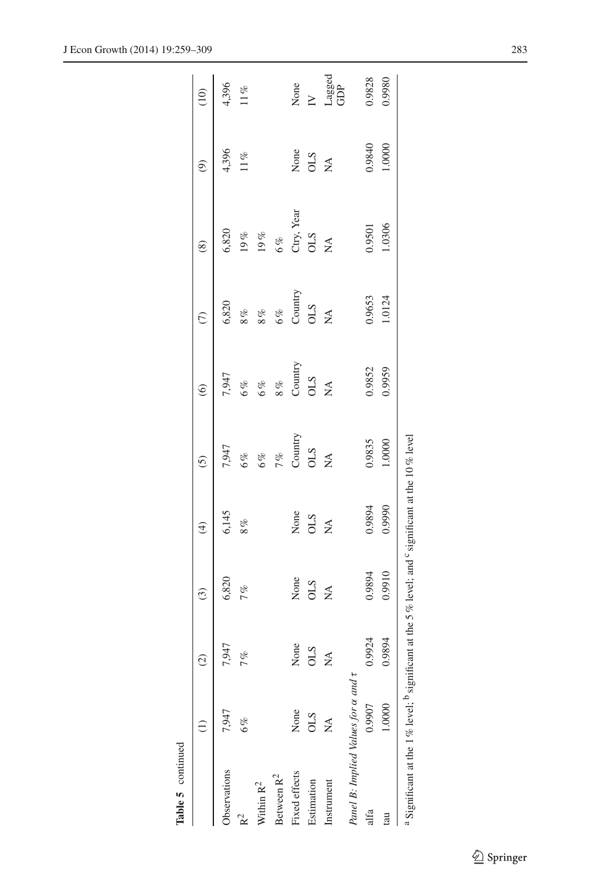| Table 5 continued                                                                                                                 |            |               |             |               |                |                                                                          |                                                           |             |                          |                |
|-----------------------------------------------------------------------------------------------------------------------------------|------------|---------------|-------------|---------------|----------------|--------------------------------------------------------------------------|-----------------------------------------------------------|-------------|--------------------------|----------------|
|                                                                                                                                   |            | $\widehat{c}$ | $\odot$     | $\widehat{f}$ | 6              | $\widehat{\circ}$                                                        | $\widehat{\in}$                                           | ⊗           | $\widehat{\mathfrak{G}}$ |                |
| <b>D</b> servations                                                                                                               | 7,947      | 7,947         | 6,820       | 6,145         | 7,947          | 7,947                                                                    | 6,820                                                     | 6,820       | 4,396                    | 4,396          |
| R <sup>2</sup>                                                                                                                    | 6%         | 7%            | 7%          | $8\%$         | 6%             | 6%                                                                       | 8%                                                        | $19\,\%$    | $11\,\%$                 | $11\%$         |
| Within R <sup>2</sup>                                                                                                             |            |               |             |               | 6%             | 6%                                                                       | 8%                                                        | 19%         |                          |                |
| Between R <sup>2</sup>                                                                                                            |            |               |             |               | 7%             | 8%                                                                       | 6%                                                        | 6%          |                          |                |
| <b>Fixed</b> effects                                                                                                              | None       | None          |             |               |                |                                                                          |                                                           | Ctry, Year  | None                     | None           |
| Estimation                                                                                                                        | <b>OLS</b> | OLS<br>NA     | None<br>OLS | None<br>OLS   | Country<br>OLS | $\begin{array}{l} \text{Country} \\ \text{OLS} \\ \text{NA} \end{array}$ | $\begin{array}{c}\text{Country} \\ \text{OLS}\end{array}$ | OLS         | OLS<br>NA                | $\overline{N}$ |
| Instrument                                                                                                                        | Ź          |               | $\tilde{z}$ | $\lessgtr$    | $\tilde{z}$    |                                                                          | $\tilde{z}$                                               | $\tilde{z}$ |                          | Lagged<br>GDP  |
| Panel B: Implied Values for $\alpha$ and v                                                                                        |            |               |             |               |                |                                                                          |                                                           |             |                          |                |
| alfa                                                                                                                              | 0.9907     | 0.9924        | 0.9894      | 0.9894        | 0.9835         | 0.9852                                                                   | 0.9653                                                    | 0.9501      | 0.9840                   | 0.9828         |
| tau                                                                                                                               | 1.0000     | 0.9894        | 0.9910      | 0.9990        | 1.0000         | 0.9959                                                                   | 1.0124                                                    | 1.0306      | 1.0000                   | 0.9980         |
| <sup>a</sup> Significant at the 1% level; <sup>b</sup> significant at the 5% level; and <sup>c</sup> significant at the 10% level |            |               |             |               |                |                                                                          |                                                           |             |                          |                |

J Econ Growth (2014) 19:259–309 283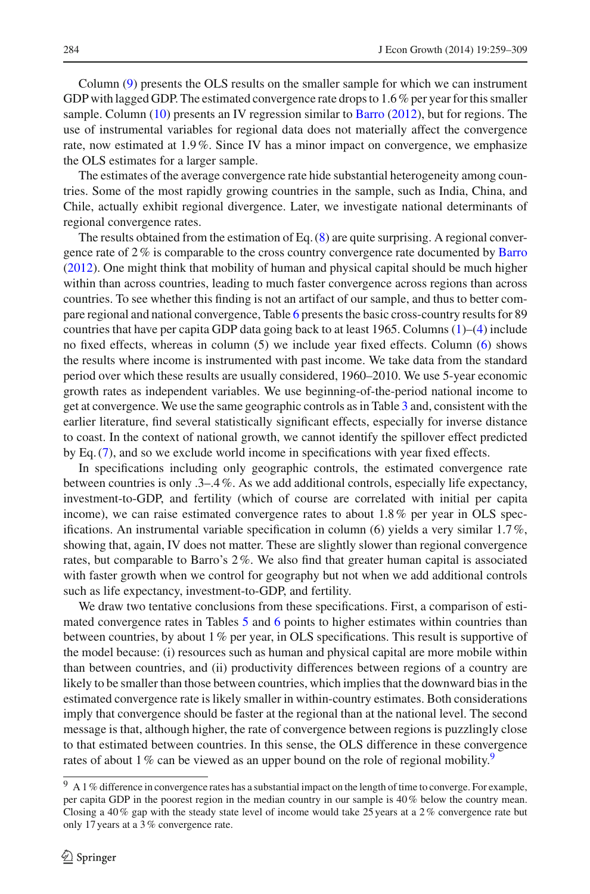Column [\(9\)](#page-6-2) presents the OLS results on the smaller sample for which we can instrument GDP with lagged GDP. The estimated convergence rate drops to 1.6% per year for this smaller sample. Column [\(10\)](#page-7-1) presents an IV regression similar to [Barro](#page-49-4) [\(2012\)](#page-49-4), but for regions. The use of instrumental variables for regional data does not materially affect the convergence rate, now estimated at 1.9%. Since IV has a minor impact on convergence, we emphasize the OLS estimates for a larger sample.

The estimates of the average convergence rate hide substantial heterogeneity among countries. Some of the most rapidly growing countries in the sample, such as India, China, and Chile, actually exhibit regional divergence. Later, we investigate national determinants of regional convergence rates.

The results obtained from the estimation of Eq. [\(8\)](#page-6-1) are quite surprising. A regional convergence rate of 2% is comparable to the cross country convergence rate documented by [Barro](#page-49-4) [\(2012](#page-49-4)). One might think that mobility of human and physical capital should be much higher within than across countries, leading to much faster convergence across regions than across countries. To see whether this finding is not an artifact of our sample, and thus to better compare regional and national convergence, Table [6](#page-26-0) presents the basic cross-country results for 89 countries that have per capita GDP data going back to at least 1965. Columns [\(1\)](#page-3-1)–[\(4\)](#page-5-0) include no fixed effects, whereas in column (5) we include year fixed effects. Column [\(6\)](#page-5-3) shows the results where income is instrumented with past income. We take data from the standard period over which these results are usually considered, 1960–2010. We use 5-year economic growth rates as independent variables. We use beginning-of-the-period national income to get at convergence. We use the same geographic controls as in Table [3](#page-17-0) and, consistent with the earlier literature, find several statistically significant effects, especially for inverse distance to coast. In the context of national growth, we cannot identify the spillover effect predicted by Eq. [\(7\)](#page-5-4), and so we exclude world income in specifications with year fixed effects.

In specifications including only geographic controls, the estimated convergence rate between countries is only .3–.4%. As we add additional controls, especially life expectancy, investment-to-GDP, and fertility (which of course are correlated with initial per capita income), we can raise estimated convergence rates to about 1.8% per year in OLS specifications. An instrumental variable specification in column (6) yields a very similar 1.7%, showing that, again, IV does not matter. These are slightly slower than regional convergence rates, but comparable to Barro's 2%. We also find that greater human capital is associated with faster growth when we control for geography but not when we add additional controls such as life expectancy, investment-to-GDP, and fertility.

We draw two tentative conclusions from these specifications. First, a comparison of estimated convergence rates in Tables [5](#page-23-0) and [6](#page-26-0) points to higher estimates within countries than between countries, by about 1% per year, in OLS specifications. This result is supportive of the model because: (i) resources such as human and physical capital are more mobile within than between countries, and (ii) productivity differences between regions of a country are likely to be smaller than those between countries, which implies that the downward bias in the estimated convergence rate is likely smaller in within-country estimates. Both considerations imply that convergence should be faster at the regional than at the national level. The second message is that, although higher, the rate of convergence between regions is puzzlingly close to that estimated between countries. In this sense, the OLS difference in these convergence rates of about 1% can be viewed as an upper bound on the role of regional mobility.<sup>9</sup>

<span id="page-25-0"></span><sup>&</sup>lt;sup>9</sup> A 1% difference in convergence rates has a substantial impact on the length of time to converge. For example, per capita GDP in the poorest region in the median country in our sample is 40% below the country mean. Closing a 40% gap with the steady state level of income would take 25 years at a 2% convergence rate but only 17 years at a 3% convergence rate.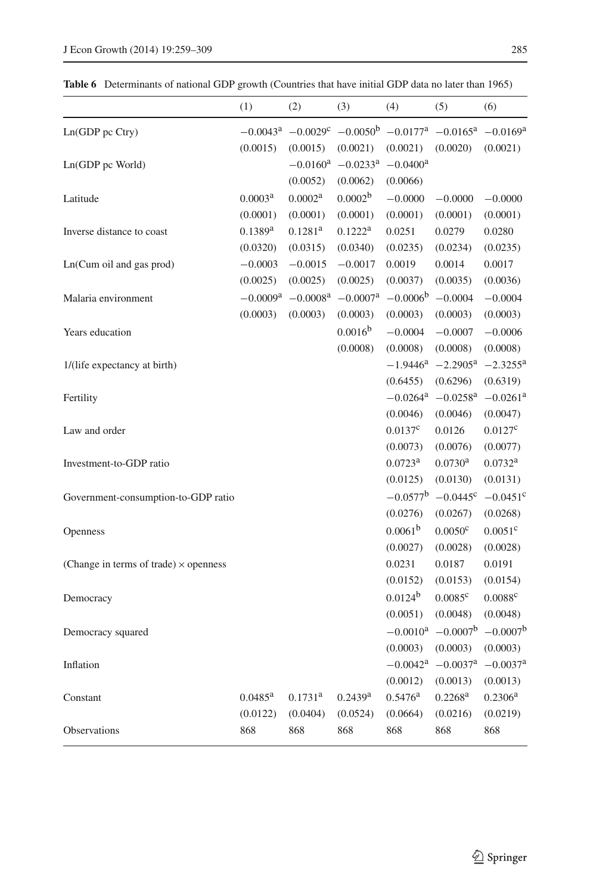Table 6 Determinants of national GDP growth (Countries that have initial GDP data no later than 1965)

<span id="page-26-0"></span>

|                                              | (1)                    | (2)                                           | (3)                                 | (4)                    | (5)                    | (6)                    |
|----------------------------------------------|------------------------|-----------------------------------------------|-------------------------------------|------------------------|------------------------|------------------------|
| $Ln(GDP$ pc $Ctry)$                          |                        | $-0.0043$ <sup>a</sup> $-0.0029$ <sup>c</sup> | $-0.0050^{b}$                       | $-0.0177$ <sup>a</sup> | $-0.0165^{\rm a}$      | $-0.0169$ <sup>a</sup> |
|                                              | (0.0015)               | (0.0015)                                      | (0.0021)                            | (0.0021)               | (0.0020)               | (0.0021)               |
| $Ln(GDP$ pc World)                           |                        |                                               | $-0.0160^a$ $-0.0233^a$ $-0.0400^a$ |                        |                        |                        |
|                                              |                        | (0.0052)                                      | (0.0062)                            | (0.0066)               |                        |                        |
| Latitude                                     | 0.0003 <sup>a</sup>    | 0.0002 <sup>a</sup>                           | 0.0002 <sup>b</sup>                 | $-0.0000$              | $-0.0000$              | $-0.0000$              |
|                                              | (0.0001)               | (0.0001)                                      | (0.0001)                            | (0.0001)               | (0.0001)               | (0.0001)               |
| Inverse distance to coast                    | $0.1389$ <sup>a</sup>  | $0.1281$ <sup>a</sup>                         | $0.1222^a$                          | 0.0251                 | 0.0279                 | 0.0280                 |
|                                              | (0.0320)               | (0.0315)                                      | (0.0340)                            | (0.0235)               | (0.0234)               | (0.0235)               |
| Ln(Cum oil and gas prod)                     | $-0.0003$              | $-0.0015$                                     | $-0.0017$                           | 0.0019                 | 0.0014                 | 0.0017                 |
|                                              | (0.0025)               | (0.0025)                                      | (0.0025)                            | (0.0037)               | (0.0035)               | (0.0036)               |
| Malaria environment                          | $-0.0009$ <sup>a</sup> | $-0.0008$ <sup>a</sup>                        | $-0.0007$ <sup>a</sup>              | $-0.0006^{\circ}$      | $-0.0004$              | $-0.0004$              |
|                                              | (0.0003)               | (0.0003)                                      | (0.0003)                            | (0.0003)               | (0.0003)               | (0.0003)               |
| Years education                              |                        |                                               | $0.0016^{b}$                        | $-0.0004$              | $-0.0007$              | $-0.0006$              |
|                                              |                        |                                               | (0.0008)                            | (0.0008)               | (0.0008)               | (0.0008)               |
| 1/(life expectancy at birth)                 |                        |                                               |                                     | $-1.9446$ <sup>a</sup> | $-2.2905^{\rm a}$      | $-2.3255^{\rm a}$      |
|                                              |                        |                                               |                                     | (0.6455)               | (0.6296)               | (0.6319)               |
| Fertility                                    |                        |                                               |                                     | $-0.0264$ <sup>a</sup> | $-0.0258$ <sup>a</sup> | $-0.0261$ <sup>a</sup> |
|                                              |                        |                                               |                                     | (0.0046)               | (0.0046)               | (0.0047)               |
| Law and order                                |                        |                                               |                                     | 0.0137c                | 0.0126                 | $0.0127^{\rm c}$       |
|                                              |                        |                                               |                                     | (0.0073)               | (0.0076)               | (0.0077)               |
| Investment-to-GDP ratio                      |                        |                                               |                                     | $0.0723^{\rm a}$       | $0.0730$ <sup>a</sup>  | $0.0732$ <sup>a</sup>  |
|                                              |                        |                                               |                                     | (0.0125)               | (0.0130)               | (0.0131)               |
| Government-consumption-to-GDP ratio          |                        |                                               |                                     | $-0.0577^{\rm b}$      | $-0.0445^{\circ}$      | $-0.0451$ <sup>c</sup> |
|                                              |                        |                                               |                                     | (0.0276)               | (0.0267)               | (0.0268)               |
| Openness                                     |                        |                                               |                                     | 0.0061 <sup>b</sup>    | $0.0050$ <sup>c</sup>  | $0.0051$ <sup>c</sup>  |
|                                              |                        |                                               |                                     | (0.0027)               | (0.0028)               | (0.0028)               |
| (Change in terms of trade) $\times$ openness |                        |                                               |                                     | 0.0231                 | 0.0187                 | 0.0191                 |
|                                              |                        |                                               |                                     | (0.0152)               | (0.0153)               | (0.0154)               |
| Democracy                                    |                        |                                               |                                     | 0.0124 <sup>b</sup>    | $0.0085^{\circ}$       | 0.0088c                |
|                                              |                        |                                               |                                     | (0.0051)               | (0.0048)               | (0.0048)               |
| Democracy squared                            |                        |                                               |                                     | $-0.0010^a$            | $-0.0007^{\rm b}$      | $-0.0007^{\rm b}$      |
|                                              |                        |                                               |                                     | (0.0003)               | (0.0003)               | (0.0003)               |
| Inflation                                    |                        |                                               |                                     | $-0.0042$ <sup>a</sup> | $-0.0037$ <sup>a</sup> | $-0.0037$ <sup>a</sup> |
|                                              |                        |                                               |                                     | (0.0012)               | (0.0013)               | (0.0013)               |
| Constant                                     | $0.0485^{\rm a}$       | $0.1731$ <sup>a</sup>                         | $0.2439$ <sup>a</sup>               | 0.5476a                | $0.2268$ <sup>a</sup>  | 0.2306 <sup>a</sup>    |
|                                              | (0.0122)               | (0.0404)                                      | (0.0524)                            | (0.0664)               | (0.0216)               | (0.0219)               |
| Observations                                 | 868                    | 868                                           | 868                                 | 868                    | 868                    | 868                    |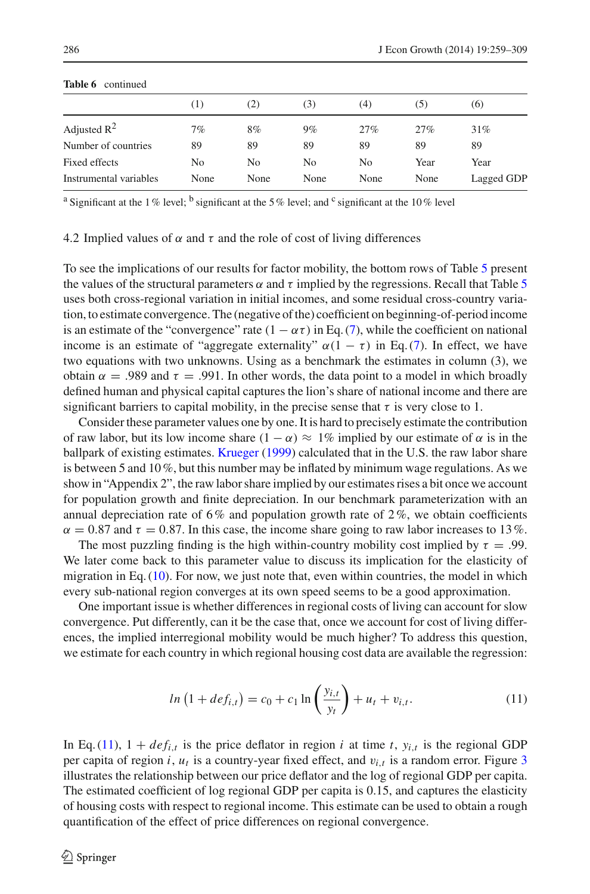| <b>Rapic v</b> community |      |                |      |      |      |            |
|--------------------------|------|----------------|------|------|------|------------|
|                          | (1)  | (2)            | (3)  | (4)  | (5)  | (6)        |
| Adjusted $\mathbb{R}^2$  | 7%   | 8%             | 9%   | 27%  | 27%  | 31%        |
| Number of countries      | 89   | 89             | 89   | 89   | 89   | 89         |
| Fixed effects            | No   | N <sub>0</sub> | No   | No   | Year | Year       |
| Instrumental variables   | None | None           | None | None | None | Lagged GDP |

#### **Table 6** continued

<sup>a</sup> Significant at the 1% level; <sup>b</sup> significant at the 5% level; and <sup>c</sup> significant at the 10% level

#### 4.2 Implied values of  $\alpha$  and  $\tau$  and the role of cost of living differences

To see the implications of our results for factor mobility, the bottom rows of Table [5](#page-23-0) present the values of the structural parameters  $\alpha$  and  $\tau$  implied by the regressions. Recall that Table [5](#page-23-0) uses both cross-regional variation in initial incomes, and some residual cross-country variation, to estimate convergence. The (negative of the) coefficient on beginning-of-period income is an estimate of the "convergence" rate  $(1 - \alpha \tau)$  in Eq. [\(7\)](#page-5-4), while the coefficient on national income is an estimate of "aggregate externality"  $\alpha(1 - \tau)$  in Eq. [\(7\)](#page-5-4). In effect, we have two equations with two unknowns. Using as a benchmark the estimates in column (3), we obtain  $\alpha = .989$  and  $\tau = .991$ . In other words, the data point to a model in which broadly defined human and physical capital captures the lion's share of national income and there are significant barriers to capital mobility, in the precise sense that  $\tau$  is very close to 1.

Consider these parameter values one by one. It is hard to precisely estimate the contribution of raw labor, but its low income share  $(1 - \alpha) \approx 1\%$  implied by our estimate of  $\alpha$  is in the ballpark of existing estimates. [Krueger](#page-50-4) [\(1999](#page-50-4)) calculated that in the U.S. the raw labor share is between 5 and 10%, but this number may be inflated by minimum wage regulations. As we show in "Appendix 2", the raw labor share implied by our estimates rises a bit once we account for population growth and finite depreciation. In our benchmark parameterization with an annual depreciation rate of 6% and population growth rate of 2%, we obtain coefficients  $\alpha = 0.87$  and  $\tau = 0.87$ . In this case, the income share going to raw labor increases to 13%.

The most puzzling finding is the high within-country mobility cost implied by  $\tau = .99$ . We later come back to this parameter value to discuss its implication for the elasticity of migration in Eq.  $(10)$ . For now, we just note that, even within countries, the model in which every sub-national region converges at its own speed seems to be a good approximation.

One important issue is whether differences in regional costs of living can account for slow convergence. Put differently, can it be the case that, once we account for cost of living differences, the implied interregional mobility would be much higher? To address this question, we estimate for each country in which regional housing cost data are available the regression:

$$
ln (1 + def_{i,t}) = c_0 + c_1 ln \left( \frac{y_{i,t}}{y_t} \right) + u_t + v_{i,t}.
$$
 (11)

<span id="page-27-0"></span>In Eq. [\(11\)](#page-27-0),  $1 + def_{i,t}$  is the price deflator in region *i* at time *t*,  $y_{i,t}$  is the regional GDP per capita of region  $i$ ,  $u_t$  is a country-year fixed effect, and  $v_{i,t}$  is a random error. Figure [3](#page-28-0) illustrates the relationship between our price deflator and the log of regional GDP per capita. The estimated coefficient of log regional GDP per capita is 0.15, and captures the elasticity of housing costs with respect to regional income. This estimate can be used to obtain a rough quantification of the effect of price differences on regional convergence.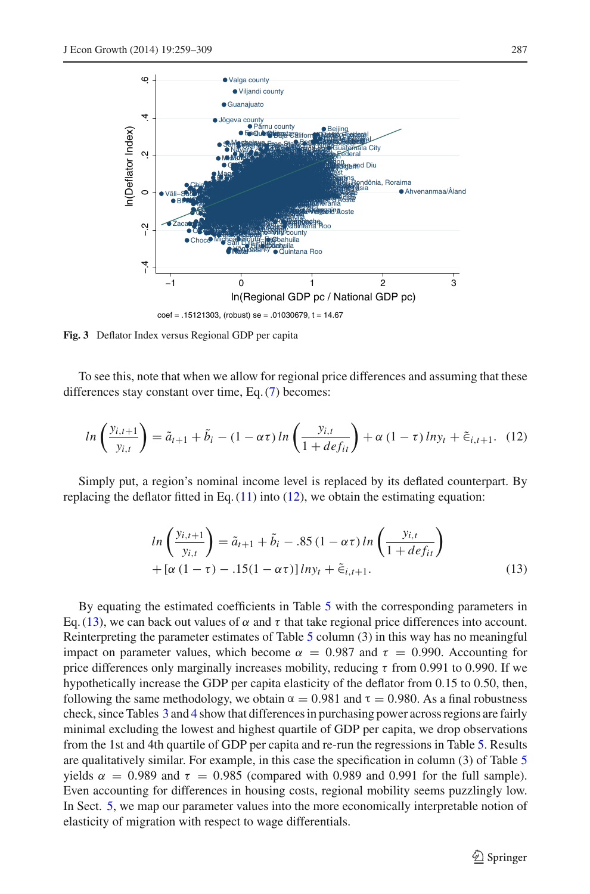

<span id="page-28-0"></span>**Fig. 3** Deflator Index versus Regional GDP per capita

To see this, note that when we allow for regional price differences and assuming that these differences stay constant over time, Eq. [\(7\)](#page-5-4) becomes:

$$
ln\left(\frac{y_{i,t+1}}{y_{i,t}}\right) = \tilde{a}_{t+1} + \tilde{b}_i - (1 - \alpha \tau) \ln\left(\frac{y_{i,t}}{1 + \det_{it}}\right) + \alpha (1 - \tau) \ln y_t + \tilde{\epsilon}_{i,t+1}.
$$
 (12)

<span id="page-28-2"></span><span id="page-28-1"></span>Simply put, a region's nominal income level is replaced by its deflated counterpart. By replacing the deflator fitted in Eq.  $(11)$  into  $(12)$ , we obtain the estimating equation:

$$
ln\left(\frac{y_{i,t+1}}{y_{i,t}}\right) = \tilde{a}_{t+1} + \tilde{b}_i - .85 (1 - \alpha \tau) ln\left(\frac{y_{i,t}}{1 + def_{it}}\right) + [\alpha (1 - \tau) - .15(1 - \alpha \tau)] ln y_t + \tilde{\epsilon}_{i,t+1}.
$$
\n(13)

By equating the estimated coefficients in Table [5](#page-23-0) with the corresponding parameters in Eq. [\(13\)](#page-28-2), we can back out values of  $\alpha$  and  $\tau$  that take regional price differences into account. Reinterpreting the parameter estimates of Table [5](#page-23-0) column (3) in this way has no meaningful impact on parameter values, which become  $\alpha = 0.987$  and  $\tau = 0.990$ . Accounting for price differences only marginally increases mobility, reducing  $\tau$  from 0.991 to 0.990. If we hypothetically increase the GDP per capita elasticity of the deflator from 0.15 to 0.50, then, following the same methodology, we obtain  $\alpha = 0.981$  and  $\tau = 0.980$ . As a final robustness check, since Tables [3](#page-17-0) and [4](#page-19-0) show that differences in purchasing power across regions are fairly minimal excluding the lowest and highest quartile of GDP per capita, we drop observations from the 1st and 4th quartile of GDP per capita and re-run the regressions in Table [5.](#page-23-0) Results are qualitatively similar. For example, in this case the specification in column (3) of Table [5](#page-23-0) yields  $\alpha = 0.989$  and  $\tau = 0.985$  (compared with 0.989 and 0.991 for the full sample). Even accounting for differences in housing costs, regional mobility seems puzzlingly low. In Sect. [5,](#page-23-0) we map our parameter values into the more economically interpretable notion of elasticity of migration with respect to wage differentials.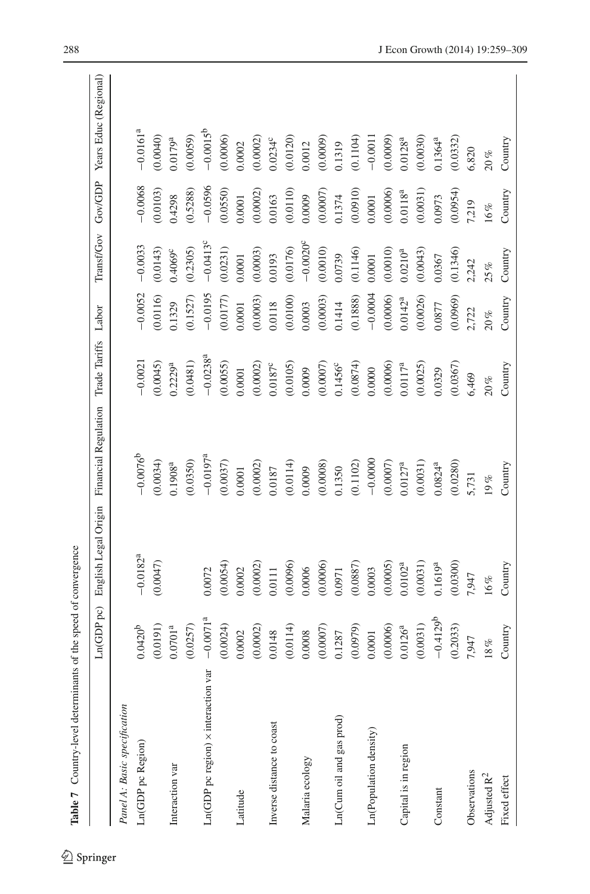<span id="page-29-0"></span>

| Table 7 Country-level determinants           | of the speed of convergence |                      |                       |                  |              |                   |                |                       |
|----------------------------------------------|-----------------------------|----------------------|-----------------------|------------------|--------------|-------------------|----------------|-----------------------|
|                                              | Ln(GDPpc)                   | English Legal Origin | Financial Regulation  | Trade Tariffs    | Labor        | Transf/Gov        | <b>Gov/GDP</b> | Years Educ (Regional) |
| Panel A: Basic specification                 |                             |                      |                       |                  |              |                   |                |                       |
| Ln(GDP pc Region)                            | $0.0420^{b}$                | $-0.0182^{a}$        | $-0.0076^{b}$         | $-0.0021$        | $-0.0052$    | $-0.0033$         | $-0.0068$      | $-0.0161a$            |
|                                              | (0.0191)                    | (0.0047)             | (0.0034)              | (0.0045)         | (0.0116)     | (0.0143)          | (0.0103)       | (0.0040)              |
| Interaction var                              | $0.0701^{a}$                |                      | $0.1908^{a}$          | $0.2229^{a}$     | 0.1329       | 0.4069c           | 0.4298         | $0.0179^{a}$          |
|                                              | (0.0257)                    |                      | (0.0350)              | (0.0481)         | (0.1527)     | (0.2305)          | (0.5288)       | (0.0059)              |
| $Ln(GDP$ pc region) $\times$ interaction var | $-0.0071a$                  | 0.0072               | $-0.0197a$            | $-0.0238^{a}$    | $-0.0195$    | $-0.0413^{\circ}$ | $-0.0596$      | $-0.0015^{b}$         |
|                                              | (0.0024)                    | (0.0054)             | (0.0037)              | (0.0055)         | (0.0177)     | (0.0231)          | (0.0550)       | (0.0006)              |
| Latitude                                     | 0.0002                      | 0.0002               | 0.0001                | 0.0001           | 0.0001       | 0.0001            | 0.0001         | 0.0002                |
|                                              | (0.0002)                    | (0.0002)             | $\left(0.0002\right)$ | (0.0002)         | (0.0003)     | (0.0003)          | (0.0002)       | (0.0002)              |
| Inverse distance to coast                    | 0.0148                      | 0.0111               | 0.0187                | $0.0187^{\circ}$ | 0.0118       | 0.0193            | 0.0163         | $0.0234^{\circ}$      |
|                                              | (0.0114)                    | (0.0096)             | (0.0114)              | (0.0105)         | (0.0100)     | (0.0176)          | (0.0110)       | (0.0120)              |
| Malaria ecology                              | 0.0008                      | 0.0006               | 0.0009                | 0.0009           | 0.0003       | $-0.0020^{\circ}$ | 0.0009         | 0.0012                |
|                                              | (0.0007)                    | (0.0006)             | (0.0008)              | (0.0007)         | (0.0003)     | (0.0010)          | (0.0007)       | (0.0009)              |
| Ln(Cum oil and gas prod)                     | 0.1287                      | 0.0971               | 0.1350                | $0.1456^c$       | 0.1414       | 0.0739            | 0.1374         | 0.1319                |
|                                              | (0.0979)                    | (0.0887)             | (0.1102)              | (0.0874)         | (0.1888)     | (0.1146)          | (0.0910)       | (0.1104)              |
| Ln(Population density)                       | 0.0001                      | 0.0003               | $-0.0000$             | 0.0000           | $-0.0004$    | 0.0001            | 0.0001         | $-0.0011$             |
|                                              | (0.0006)                    | (0.0005)             | (0.0007)              | (0.0006)         | (0.0006)     | (0.0010)          | (0.0006)       | (0.0009)              |
| Capital is in region                         | $0.0126^{a}$                | $0.0102^{a}$         | $0.0127^{a}$          | $0.0117^{a}$     | $0.0142^{a}$ | $0.0210^{a}$      | $0.0118^{a}$   | $0.0128^{a}$          |
|                                              | (0.0031)                    | (0.0031)             | (0.0031)              | (0.0025)         | (0.0026)     | (0.0043)          | (0.0031)       | (0.0030)              |
| Constant                                     | $-0.4129^{b}$               | $0.1619^{a}$         | $0.0824^{a}$          | 0.0329           | 0.0877       | 0.0367            | 0.0973         | $0.1364^{a}$          |
|                                              | (0.2033)                    | (0.0300)             | (0.0280)              | (0.0367)         | (0.0969)     | (0.1346)          | (0.0954)       | (0.0332)              |
| Observations                                 | 7,947                       | 7,947                | 5,731                 | 6,469            | 2,722        | 2,242             | 7,219          | 6,820                 |
| Adjusted R <sup>2</sup>                      | $18~\%$                     | $16\,\%$             | 19%                   | $20\,\%$         | $20\,\%$     | 25%               | $16\%$         | $20\,\%$              |
| <b>Fixed effect</b>                          | Country                     | Country              | Country               | Country          | Country      | Country           | Country        | Country               |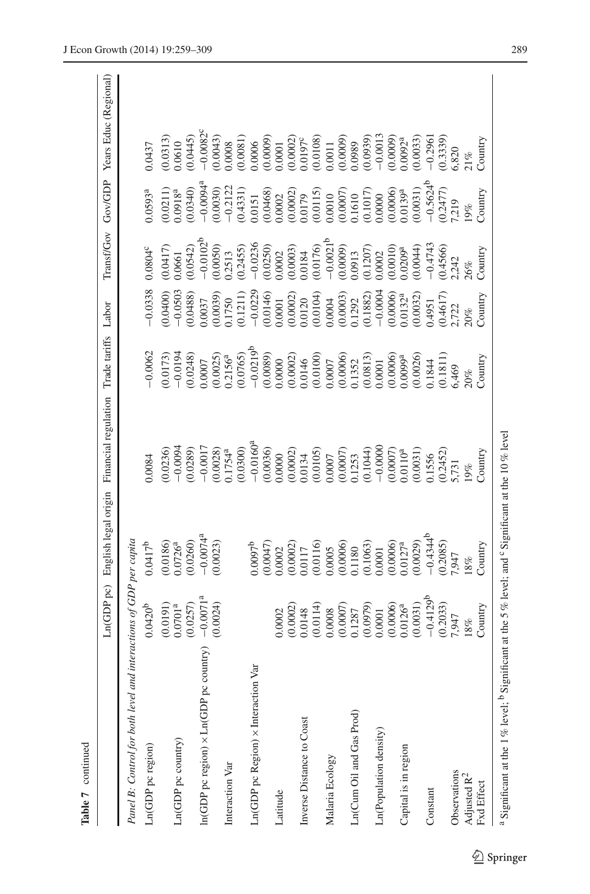| Table 7 continued                                                  |                                                                                   | Ln(GDP pc) English legal origin Financial regulation Trade tariffs Labor                                                           |                                                                                                                       |                                                                                                                                                                               |                                                                                                                                    |                                                                                                                                                   |                                                                                                                                                                                                                                                                   | Transf/Gov Gov/GDP Years Educ (Regional)                                                                    |
|--------------------------------------------------------------------|-----------------------------------------------------------------------------------|------------------------------------------------------------------------------------------------------------------------------------|-----------------------------------------------------------------------------------------------------------------------|-------------------------------------------------------------------------------------------------------------------------------------------------------------------------------|------------------------------------------------------------------------------------------------------------------------------------|---------------------------------------------------------------------------------------------------------------------------------------------------|-------------------------------------------------------------------------------------------------------------------------------------------------------------------------------------------------------------------------------------------------------------------|-------------------------------------------------------------------------------------------------------------|
| Panel B: Control for both level and interactions of GDP per capita |                                                                                   |                                                                                                                                    |                                                                                                                       |                                                                                                                                                                               |                                                                                                                                    |                                                                                                                                                   |                                                                                                                                                                                                                                                                   |                                                                                                             |
| Ln(GDP pc region)                                                  | $0.0420^{b}$                                                                      | $0.0417^{b}$                                                                                                                       | 1.0084                                                                                                                | $-0.0062$                                                                                                                                                                     | $-0.0338$                                                                                                                          | 0.0804°                                                                                                                                           | 0.0593 <sup>a</sup>                                                                                                                                                                                                                                               | 0.0437                                                                                                      |
|                                                                    |                                                                                   |                                                                                                                                    |                                                                                                                       |                                                                                                                                                                               |                                                                                                                                    | 0.0417                                                                                                                                            |                                                                                                                                                                                                                                                                   |                                                                                                             |
| n(GDP pc country)                                                  | $(0.0191)$<br>$0.07013$                                                           | $(0.0186)$<br>$0.07263$                                                                                                            | (0.0236)                                                                                                              |                                                                                                                                                                               |                                                                                                                                    | 1,0661                                                                                                                                            | $\frac{(0.0211)}{0.0918^a}$                                                                                                                                                                                                                                       | $\begin{array}{c} (0.0313) \\ 0.0610 \end{array}$                                                           |
|                                                                    | (0.0257)                                                                          | (0.0260)                                                                                                                           | (0.0289)                                                                                                              | $\begin{array}{c} 0.0173) \\ -0.0194 \\ 0.0248) \end{array}$                                                                                                                  | $\begin{array}{c} 0.0400 \\ -0.0503 \\ 0.0488 \end{array}$                                                                         | 0.0542)                                                                                                                                           |                                                                                                                                                                                                                                                                   | 0.0445                                                                                                      |
| In (GDP pc region) $\times$ Ln(GDP pc country)                     | $-0.0071a$<br>(0.0024)                                                            | $-0.0074$ <sup>a</sup>                                                                                                             | $-0.0017$                                                                                                             | 1.0007                                                                                                                                                                        | 1.0037                                                                                                                             | $-0.0102$ <sup>t</sup>                                                                                                                            | $\begin{array}{c} 0.0340 \\ -0.0094^{\rm a} \\ 0.0030 \end{array}$                                                                                                                                                                                                | $-0.0082$                                                                                                   |
|                                                                    |                                                                                   | (0.0023)                                                                                                                           | $(0.0028)$<br>$0.1754$ <sup>a</sup>                                                                                   |                                                                                                                                                                               | (0.0039)                                                                                                                           | 0.0050                                                                                                                                            |                                                                                                                                                                                                                                                                   | (0.0043)                                                                                                    |
| Interaction Var                                                    |                                                                                   |                                                                                                                                    |                                                                                                                       | $\begin{array}{c} (0.0025) \\ 0.2156^a \\ (0.0765) \end{array}$                                                                                                               | 1.750                                                                                                                              | 0.2513                                                                                                                                            |                                                                                                                                                                                                                                                                   | 0.0008                                                                                                      |
|                                                                    |                                                                                   |                                                                                                                                    | (0.0300)                                                                                                              |                                                                                                                                                                               |                                                                                                                                    | (0.2455)                                                                                                                                          |                                                                                                                                                                                                                                                                   |                                                                                                             |
| Ln(GDP pc Region) x Interaction Var                                |                                                                                   | $0.0097^{b}$                                                                                                                       | $-0.0160^{a}$<br>(0.0036)                                                                                             | $\begin{array}{r} -0.0219^{\mathrm{b}} \\ -0.039 \\ 0.0089) \\ 0.0000 \\ 0.0000 \\ 0.0146 \\ 0.0100 \\ 0.0000 \\ 0.0000 \\ 0.0000 \\ 0.1352 \\ 0.0313) \\ 0.0001 \end{array}$ | $\begin{array}{l} (0.1211) \\ -0.0229 \\ (0.0146) \\ 0.0001 \\ (0.0002) \\ (0.0002) \\ 0.0120 \\ (0.0104) \end{array}$             | $\begin{array}{r} -0.0256 \\ (0.0250) \\ 0.0002 \\ (0.0003) \\ (0.003) \\ (0.0184) \\ (0.0176) \\ -0.0021 \\ (0.0009) \\ (0.0009) \\ \end{array}$ | $\begin{array}{l} -0.2122\\ -0.2131)\\ 0.0431)\\ 0.0151\\ 0.00468)\\ 0.0002\\ 0.0002)\\ 0.0179\\ 0.0011\\ 0.0115)\\ 0.0000\\ 0.0160\\ 0.0000\\ 0.0000\\ 0.0006)\\ 0.00060\\ 0.00060\\ 0.00060\\ 0.00060\\ 0.00060\\ 0.00060\\ 0.00060\\ 0.00060\\ 0.00060\\ 0.00$ | $(0.0081)$<br>$(0.0006$<br>$(0.0009)$<br>$(0.0002)$<br>$(0.0002)$<br>$(0.0108)$<br>$(0.0108)$<br>$(0.0009)$ |
|                                                                    |                                                                                   |                                                                                                                                    |                                                                                                                       |                                                                                                                                                                               |                                                                                                                                    |                                                                                                                                                   |                                                                                                                                                                                                                                                                   |                                                                                                             |
| <i>atitude</i>                                                     | 1.0002                                                                            |                                                                                                                                    |                                                                                                                       |                                                                                                                                                                               |                                                                                                                                    |                                                                                                                                                   |                                                                                                                                                                                                                                                                   |                                                                                                             |
|                                                                    | $\begin{array}{c} (0.0002) \\ 0.0148 \\ (0.0114) \end{array}$                     |                                                                                                                                    |                                                                                                                       |                                                                                                                                                                               |                                                                                                                                    |                                                                                                                                                   |                                                                                                                                                                                                                                                                   |                                                                                                             |
| Inverse Distance to Coast                                          |                                                                                   |                                                                                                                                    |                                                                                                                       |                                                                                                                                                                               |                                                                                                                                    |                                                                                                                                                   |                                                                                                                                                                                                                                                                   |                                                                                                             |
|                                                                    |                                                                                   |                                                                                                                                    |                                                                                                                       |                                                                                                                                                                               |                                                                                                                                    |                                                                                                                                                   |                                                                                                                                                                                                                                                                   |                                                                                                             |
| Malaria Ecology                                                    | $\begin{array}{c} 0.0008 \\ (0.0007) \\ 0.1287 \\ (0.0979) \\ 0.0001 \end{array}$ | $\begin{array}{l} 0.0002 \\ 0.0002) \\ 0.0117 \\ 0.0116) \\ 0.0005 \\ 0.0006) \\ 0.1180 \\ 0.1180 \\ 0.103) \\ 0.0001 \end{array}$ | $\begin{array}{c} 0.0000 \\ (0.0002) \\ 0.0134 \\ (0.0105) \\ (0.0007) \\ (0.0007) \\ (0.0007) \\ 0.1253 \end{array}$ |                                                                                                                                                                               | $\begin{array}{l} 0.0004 \\ (0.0003) \\ 0.1292 \\ (0.1882) \\ -0.0004 \\ (0.0006) \\ (0.0006) \\ 0.0132^3 \\ (0.0032) \end{array}$ |                                                                                                                                                   |                                                                                                                                                                                                                                                                   |                                                                                                             |
|                                                                    |                                                                                   |                                                                                                                                    |                                                                                                                       |                                                                                                                                                                               |                                                                                                                                    |                                                                                                                                                   |                                                                                                                                                                                                                                                                   |                                                                                                             |
| Ln(Cum Oil and Gas Prod)                                           |                                                                                   |                                                                                                                                    |                                                                                                                       |                                                                                                                                                                               |                                                                                                                                    |                                                                                                                                                   |                                                                                                                                                                                                                                                                   |                                                                                                             |
|                                                                    |                                                                                   |                                                                                                                                    |                                                                                                                       |                                                                                                                                                                               |                                                                                                                                    | $\begin{array}{c} (0.1207) \\ 0.0002 \end{array}$                                                                                                 |                                                                                                                                                                                                                                                                   | $(0.0939)$<br>-0.0013                                                                                       |
| Ln(Population density)                                             |                                                                                   |                                                                                                                                    | $(0.1044)$<br>-0.0000                                                                                                 |                                                                                                                                                                               |                                                                                                                                    |                                                                                                                                                   |                                                                                                                                                                                                                                                                   |                                                                                                             |
|                                                                    |                                                                                   | $(0.0006)$<br>$(0.0127a)$<br>$(0.0029)$                                                                                            |                                                                                                                       |                                                                                                                                                                               |                                                                                                                                    |                                                                                                                                                   |                                                                                                                                                                                                                                                                   |                                                                                                             |
| Capital is in region                                               |                                                                                   |                                                                                                                                    |                                                                                                                       |                                                                                                                                                                               |                                                                                                                                    |                                                                                                                                                   |                                                                                                                                                                                                                                                                   |                                                                                                             |
|                                                                    | $\begin{array}{c} (0.0006) \\ 0.0126^a \\ (0.0031) \end{array}$                   |                                                                                                                                    | $\begin{array}{c} (0.0007) \\ 0.0110^{a} \\ (0.0031) \end{array}$                                                     | $(0.0006)$<br>0.0099 <sup>a</sup><br>(0.0026)                                                                                                                                 |                                                                                                                                    | $\begin{array}{l} (0.0010) \\ 0.0209^a \\ (0.0044) \\ -0.4743 \end{array}$                                                                        | 0.0031)                                                                                                                                                                                                                                                           | $(0.0009)$<br>0.0092 <sup>a</sup><br>(0.0033)                                                               |
| Constant                                                           | $-0.4129^{b}$                                                                     | $-0.4344$ <sup>t</sup>                                                                                                             | 0.1556                                                                                                                | 0.1844                                                                                                                                                                        | 1567.(                                                                                                                             |                                                                                                                                                   | $-0.5624^{b}$                                                                                                                                                                                                                                                     | $-0.2961$                                                                                                   |
|                                                                    | (0.2033)                                                                          | (0.2085)                                                                                                                           | (0.2452)                                                                                                              |                                                                                                                                                                               |                                                                                                                                    |                                                                                                                                                   | (0.2477)                                                                                                                                                                                                                                                          | (0.3339)                                                                                                    |
| Observations                                                       | ,947                                                                              | ,947                                                                                                                               | 5,731                                                                                                                 | $\binom{0.1811}{6,469}$                                                                                                                                                       | $\frac{(0.4617)}{2.722}$                                                                                                           | 0.4566)<br>2,242                                                                                                                                  | 219                                                                                                                                                                                                                                                               | 5,820                                                                                                       |
| Adjusted R <sup>2</sup>                                            | $8\%$                                                                             | 8%                                                                                                                                 | $0\%$                                                                                                                 | 20%                                                                                                                                                                           | $50\%$                                                                                                                             | 209                                                                                                                                               | 9%                                                                                                                                                                                                                                                                | $21\%$                                                                                                      |
| <b>Fxd Effect</b>                                                  | Country                                                                           | Country                                                                                                                            | Country                                                                                                               | Country                                                                                                                                                                       | Country                                                                                                                            | Country                                                                                                                                           | Country                                                                                                                                                                                                                                                           | Country                                                                                                     |
|                                                                    |                                                                                   |                                                                                                                                    |                                                                                                                       |                                                                                                                                                                               |                                                                                                                                    |                                                                                                                                                   |                                                                                                                                                                                                                                                                   |                                                                                                             |

<sup>a</sup> Significant at the 1% level; <sup>b</sup> Significant at the 5% level; and <sup>c</sup> Significant at the 10% level <sup>a</sup> Significant at the 1% level; <sup>b</sup> Significant at the 5% level; and ° Significant at the 10% level

Table 7 continued

 $\underline{\textcircled{\tiny 2}}$  Springer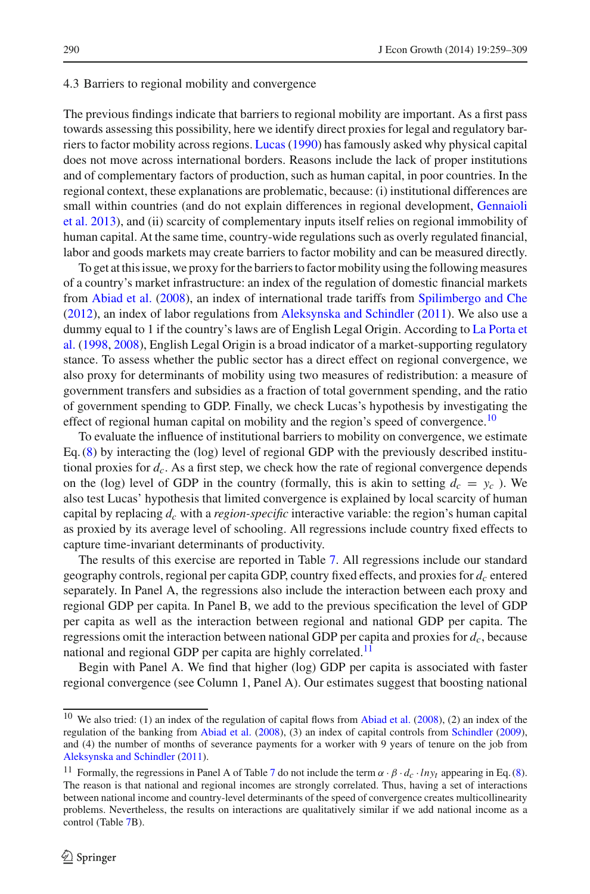#### <span id="page-31-2"></span>4.3 Barriers to regional mobility and convergence

The previous findings indicate that barriers to regional mobility are important. As a first pass towards assessing this possibility, here we identify direct proxies for legal and regulatory barriers to factor mobility across regions. [Lucas\(1990\)](#page-50-8) has famously asked why physical capital does not move across international borders. Reasons include the lack of proper institutions and of complementary factors of production, such as human capital, in poor countries. In the regional context, these explanations are problematic, because: (i) institutional differences are sma[ll](#page-49-13) [within](#page-49-13) [countries](#page-49-13) [\(and](#page-49-13) [do](#page-49-13) [not](#page-49-13) [explain](#page-49-13) [differences](#page-49-13) [in](#page-49-13) [regional](#page-49-13) [development,](#page-49-13) Gennaioli et al. [2013\)](#page-49-13), and (ii) scarcity of complementary inputs itself relies on regional immobility of human capital. At the same time, country-wide regulations such as overly regulated financial, labor and goods markets may create barriers to factor mobility and can be measured directly.

To get at this issue, we proxy for the barriers to factor mobility using the following measures of a country's market infrastructure: an index of the regulation of domestic financial markets from [Abiad et al.](#page-49-19) [\(2008](#page-49-19)), an index of international trade tariffs from [Spilimbergo and Che](#page-50-1) [\(2012](#page-50-1)), an index of labor regulations from [Aleksynska and Schindler](#page-49-20) [\(2011](#page-49-20)). We also use a d[ummy](#page-50-9) [equal](#page-50-9) [to](#page-50-9) [1](#page-50-9) [if](#page-50-9) [the](#page-50-9) [country's](#page-50-9) [laws](#page-50-9) [are](#page-50-9) [of](#page-50-9) [English](#page-50-9) [Legal](#page-50-9) [Origin.](#page-50-9) [According](#page-50-9) [to](#page-50-9) La Porta et al. [\(1998,](#page-50-9) [2008\)](#page-50-10), English Legal Origin is a broad indicator of a market-supporting regulatory stance. To assess whether the public sector has a direct effect on regional convergence, we also proxy for determinants of mobility using two measures of redistribution: a measure of government transfers and subsidies as a fraction of total government spending, and the ratio of government spending to GDP. Finally, we check Lucas's hypothesis by investigating the effect of regional human capital on mobility and the region's speed of convergence.<sup>[10](#page-31-0)</sup>

To evaluate the influence of institutional barriers to mobility on convergence, we estimate Eq. [\(8\)](#page-6-1) by interacting the (log) level of regional GDP with the previously described institutional proxies for *dc*. As a first step, we check how the rate of regional convergence depends on the (log) level of GDP in the country (formally, this is akin to setting  $d_c = y_c$ ). We also test Lucas' hypothesis that limited convergence is explained by local scarcity of human capital by replacing *dc* with a *region-specific* interactive variable: the region's human capital as proxied by its average level of schooling. All regressions include country fixed effects to capture time-invariant determinants of productivity.

The results of this exercise are reported in Table [7.](#page-29-0) All regressions include our standard geography controls, regional per capita GDP, country fixed effects, and proxies for  $d_c$  entered separately. In Panel A, the regressions also include the interaction between each proxy and regional GDP per capita. In Panel B, we add to the previous specification the level of GDP per capita as well as the interaction between regional and national GDP per capita. The regressions omit the interaction between national GDP per capita and proxies for  $d_c$ , because national and regional GDP per capita are highly correlated.<sup>11</sup>

Begin with Panel A. We find that higher (log) GDP per capita is associated with faster regional convergence (see Column 1, Panel A). Our estimates suggest that boosting national

<span id="page-31-0"></span><sup>10</sup> We also tried: (1) an index of the regulation of capital flows from [Abiad et al.](#page-49-19) [\(2008\)](#page-49-19), (2) an index of the regulation of the banking from [Abiad et al.](#page-49-19) [\(2008\)](#page-49-19), (3) an index of capital controls from [Schindler](#page-50-11) [\(2009](#page-50-11)), and (4) the number of months of severance payments for a worker with 9 years of tenure on the job from [Aleksynska and Schindler](#page-49-20) [\(2011](#page-49-20)).

<span id="page-31-1"></span><sup>&</sup>lt;sup>11</sup> Formally, the regressions in Panel A of Table [7](#page-29-0) do not include the term  $\alpha \cdot \beta \cdot d_c \cdot ln y_t$  appearing in Eq. [\(8\)](#page-6-1). The reason is that national and regional incomes are strongly correlated. Thus, having a set of interactions between national income and country-level determinants of the speed of convergence creates multicollinearity problems. Nevertheless, the results on interactions are qualitatively similar if we add national income as a control (Table [7B](#page-29-0)).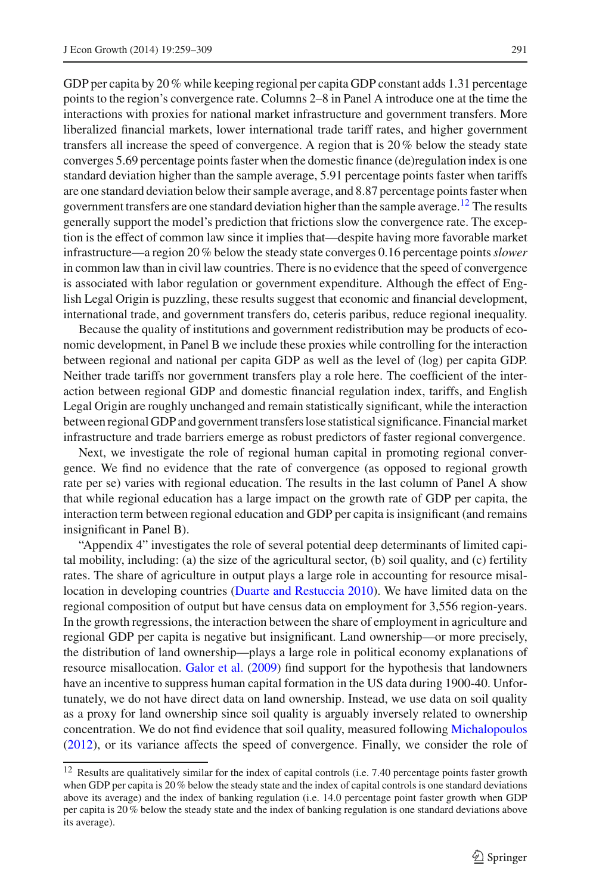GDP per capita by 20% while keeping regional per capita GDP constant adds 1.31 percentage points to the region's convergence rate. Columns 2–8 in Panel A introduce one at the time the interactions with proxies for national market infrastructure and government transfers. More liberalized financial markets, lower international trade tariff rates, and higher government transfers all increase the speed of convergence. A region that is 20% below the steady state converges 5.69 percentage points faster when the domestic finance (de)regulation index is one standard deviation higher than the sample average, 5.91 percentage points faster when tariffs are one standard deviation below their sample average, and 8.87 percentage points faster when government transfers are one standard deviation higher than the sample average.<sup>[12](#page-32-0)</sup> The results generally support the model's prediction that frictions slow the convergence rate. The exception is the effect of common law since it implies that—despite having more favorable market infrastructure—a region 20% below the steady state converges 0.16 percentage points*slower* in common law than in civil law countries. There is no evidence that the speed of convergence is associated with labor regulation or government expenditure. Although the effect of English Legal Origin is puzzling, these results suggest that economic and financial development, international trade, and government transfers do, ceteris paribus, reduce regional inequality.

Because the quality of institutions and government redistribution may be products of economic development, in Panel B we include these proxies while controlling for the interaction between regional and national per capita GDP as well as the level of (log) per capita GDP. Neither trade tariffs nor government transfers play a role here. The coefficient of the interaction between regional GDP and domestic financial regulation index, tariffs, and English Legal Origin are roughly unchanged and remain statistically significant, while the interaction between regional GDP and government transfers lose statistical significance. Financial market infrastructure and trade barriers emerge as robust predictors of faster regional convergence.

Next, we investigate the role of regional human capital in promoting regional convergence. We find no evidence that the rate of convergence (as opposed to regional growth rate per se) varies with regional education. The results in the last column of Panel A show that while regional education has a large impact on the growth rate of GDP per capita, the interaction term between regional education and GDP per capita is insignificant (and remains insignificant in Panel B).

"Appendix 4" investigates the role of several potential deep determinants of limited capital mobility, including: (a) the size of the agricultural sector, (b) soil quality, and (c) fertility rates. The share of agriculture in output plays a large role in accounting for resource misallocation in developing countries [\(Duarte and Restuccia 2010](#page-49-21)). We have limited data on the regional composition of output but have census data on employment for 3,556 region-years. In the growth regressions, the interaction between the share of employment in agriculture and regional GDP per capita is negative but insignificant. Land ownership—or more precisely, the distribution of land ownership—plays a large role in political economy explanations of resource misallocation. [Galor et al.](#page-49-22) [\(2009](#page-49-22)) find support for the hypothesis that landowners have an incentive to suppress human capital formation in the US data during 1900-40. Unfortunately, we do not have direct data on land ownership. Instead, we use data on soil quality as a proxy for land ownership since soil quality is arguably inversely related to ownership concentration. We do not find evidence that soil quality, measured following [Michalopoulos](#page-50-12) [\(2012](#page-50-12)), or its variance affects the speed of convergence. Finally, we consider the role of

<span id="page-32-0"></span><sup>&</sup>lt;sup>12</sup> Results are qualitatively similar for the index of capital controls (i.e. 7.40 percentage points faster growth when GDP per capita is 20% below the steady state and the index of capital controls is one standard deviations above its average) and the index of banking regulation (i.e. 14.0 percentage point faster growth when GDP per capita is 20% below the steady state and the index of banking regulation is one standard deviations above its average).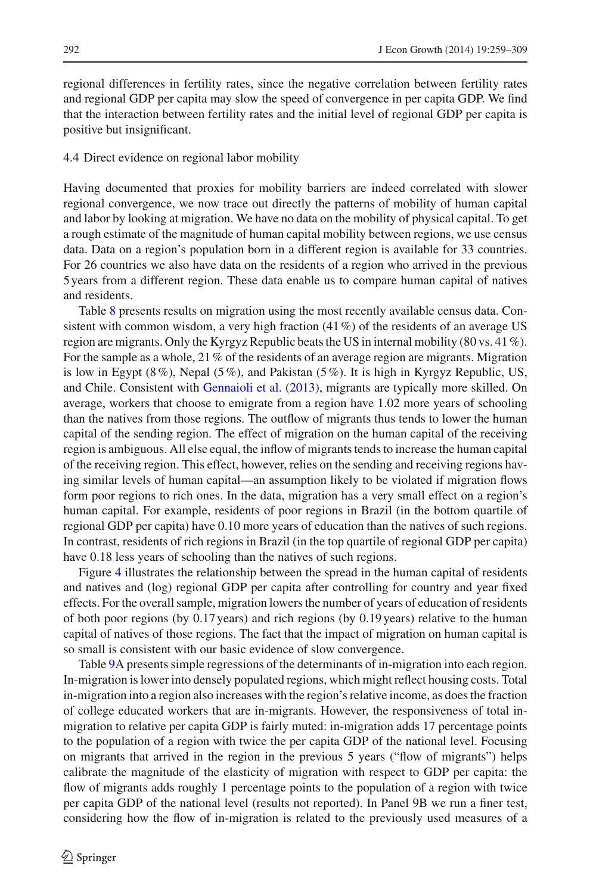regional differences in fertility rates, since the negative correlation between fertility rates and regional GDP per capita may slow the speed of convergence in per capita GDP. We find that the interaction between fertility rates and the initial level of regional GDP per capita is positive but insignificant.

#### 4.4 Direct evidence on regional labor mobility

Having documented that proxies for mobility barriers are indeed correlated with slower regional convergence, we now trace out directly the patterns of mobility of human capital and labor by looking at migration. We have no data on the mobility of physical capital. To get a rough estimate of the magnitude of human capital mobility between regions, we use census data. Data on a region's population born in a different region is available for 33 countries. For 26 countries we also have data on the residents of a region who arrived in the previous 5 years from a different region. These data enable us to compare human capital of natives and residents.

Table [8](#page-34-0) presents results on migration using the most recently available census data. Consistent with common wisdom, a very high fraction (41%) of the residents of an average US region are migrants. Only the Kyrgyz Republic beats the US in internal mobility (80 vs. 41%). For the sample as a whole, 21% of the residents of an average region are migrants. Migration is low in Egypt (8%), Nepal (5%), and Pakistan (5%). It is high in Kyrgyz Republic, US, and Chile. Consistent with [Gennaioli et al.](#page-49-13) [\(2013\)](#page-49-13), migrants are typically more skilled. On average, workers that choose to emigrate from a region have 1.02 more years of schooling than the natives from those regions. The outflow of migrants thus tends to lower the human capital of the sending region. The effect of migration on the human capital of the receiving region is ambiguous. All else equal, the inflow of migrants tends to increase the human capital of the receiving region. This effect, however, relies on the sending and receiving regions having similar levels of human capital—an assumption likely to be violated if migration flows form poor regions to rich ones. In the data, migration has a very small effect on a region's human capital. For example, residents of poor regions in Brazil (in the bottom quartile of regional GDP per capita) have 0.10 more years of education than the natives of such regions. In contrast, residents of rich regions in Brazil (in the top quartile of regional GDP per capita) have 0.18 less years of schooling than the natives of such regions.

Figure [4](#page-35-0) illustrates the relationship between the spread in the human capital of residents and natives and (log) regional GDP per capita after controlling for country and year fixed effects. For the overall sample, migration lowers the number of years of education of residents of both poor regions (by 0.17 years) and rich regions (by 0.19 years) relative to the human capital of natives of those regions. The fact that the impact of migration on human capital is so small is consistent with our basic evidence of slow convergence.

Table [9A](#page-36-0) presents simple regressions of the determinants of in-migration into each region. In-migration is lower into densely populated regions, which might reflect housing costs. Total in-migration into a region also increases with the region's relative income, as does the fraction of college educated workers that are in-migrants. However, the responsiveness of total inmigration to relative per capita GDP is fairly muted: in-migration adds 17 percentage points to the population of a region with twice the per capita GDP of the national level. Focusing on migrants that arrived in the region in the previous 5 years ("flow of migrants") helps calibrate the magnitude of the elasticity of migration with respect to GDP per capita: the flow of migrants adds roughly 1 percentage points to the population of a region with twice per capita GDP of the national level (results not reported). In Panel 9B we run a finer test, considering how the flow of in-migration is related to the previously used measures of a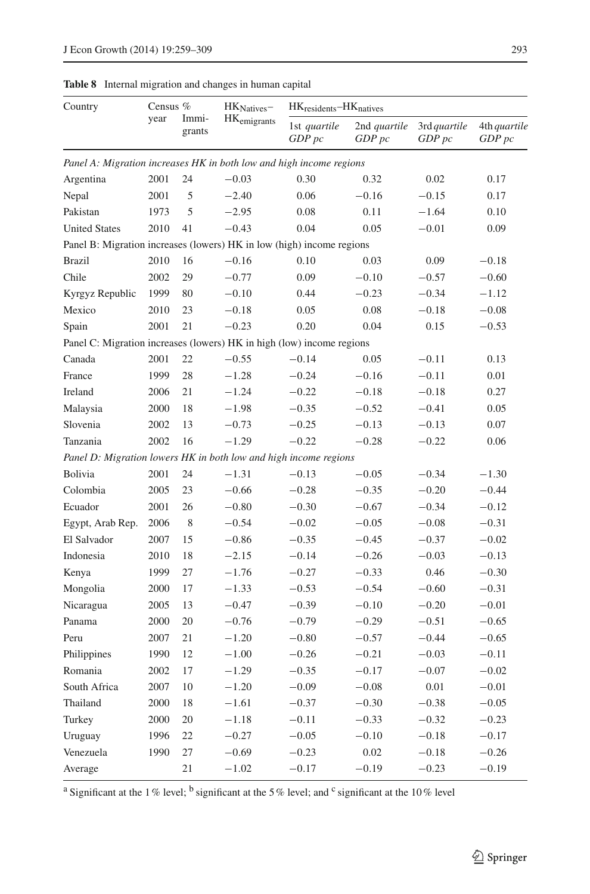<span id="page-34-0"></span>

| year<br>Immi-<br>$HK_{emigrants}$<br>1st quartile<br>2nd quartile<br>3rd quartile<br>grants<br>$GDP$ pc<br>$GDP$ $pc$<br>$GDP$ pc<br>Panel A: Migration increases HK in both low and high income regions<br>Argentina<br>2001<br>24<br>$-0.03$<br>0.30<br>0.32<br>0.02<br>5<br>Nepal<br>2001<br>$-2.40$<br>0.06<br>$-0.16$<br>$-0.15$<br>1973<br>5<br>$-2.95$<br>Pakistan<br>0.08<br>0.11<br>$-1.64$<br><b>United States</b><br>41<br>0.04<br>0.05<br>2010<br>$-0.43$<br>$-0.01$<br>Panel B: Migration increases (lowers) HK in low (high) income regions<br><b>Brazil</b><br>2010<br>16<br>$-0.16$<br>0.10<br>0.03<br>0.09<br>$-0.18$<br>Chile<br>2002<br>29<br>$-0.77$<br>0.09<br>$-0.57$<br>$-0.60$<br>$-0.10$<br>Kyrgyz Republic<br>1999<br>$-0.10$<br>0.44<br>$-0.23$<br>$-0.34$<br>$-1.12$<br>80<br>Mexico<br>2010<br>23<br>$-0.18$<br>0.05<br>0.08<br>$-0.18$<br>$-0.08$<br>21<br>0.20<br>0.04<br>Spain<br>2001<br>$-0.23$<br>0.15<br>$-0.53$<br>Panel C: Migration increases (lowers) HK in high (low) income regions<br>2001<br>22<br>$-0.55$<br>$-0.14$<br>Canada<br>0.05<br>$-0.11$<br>France<br>1999<br>28<br>$-1.28$<br>$-0.24$<br>$-0.16$<br>$-0.11$ |                            |
|--------------------------------------------------------------------------------------------------------------------------------------------------------------------------------------------------------------------------------------------------------------------------------------------------------------------------------------------------------------------------------------------------------------------------------------------------------------------------------------------------------------------------------------------------------------------------------------------------------------------------------------------------------------------------------------------------------------------------------------------------------------------------------------------------------------------------------------------------------------------------------------------------------------------------------------------------------------------------------------------------------------------------------------------------------------------------------------------------------------------------------------------------------------------|----------------------------|
|                                                                                                                                                                                                                                                                                                                                                                                                                                                                                                                                                                                                                                                                                                                                                                                                                                                                                                                                                                                                                                                                                                                                                                    | 4th quartile<br>$GDP$ $pc$ |
|                                                                                                                                                                                                                                                                                                                                                                                                                                                                                                                                                                                                                                                                                                                                                                                                                                                                                                                                                                                                                                                                                                                                                                    |                            |
|                                                                                                                                                                                                                                                                                                                                                                                                                                                                                                                                                                                                                                                                                                                                                                                                                                                                                                                                                                                                                                                                                                                                                                    | 0.17                       |
|                                                                                                                                                                                                                                                                                                                                                                                                                                                                                                                                                                                                                                                                                                                                                                                                                                                                                                                                                                                                                                                                                                                                                                    | 0.17                       |
|                                                                                                                                                                                                                                                                                                                                                                                                                                                                                                                                                                                                                                                                                                                                                                                                                                                                                                                                                                                                                                                                                                                                                                    | 0.10                       |
|                                                                                                                                                                                                                                                                                                                                                                                                                                                                                                                                                                                                                                                                                                                                                                                                                                                                                                                                                                                                                                                                                                                                                                    | 0.09                       |
|                                                                                                                                                                                                                                                                                                                                                                                                                                                                                                                                                                                                                                                                                                                                                                                                                                                                                                                                                                                                                                                                                                                                                                    |                            |
|                                                                                                                                                                                                                                                                                                                                                                                                                                                                                                                                                                                                                                                                                                                                                                                                                                                                                                                                                                                                                                                                                                                                                                    |                            |
|                                                                                                                                                                                                                                                                                                                                                                                                                                                                                                                                                                                                                                                                                                                                                                                                                                                                                                                                                                                                                                                                                                                                                                    |                            |
|                                                                                                                                                                                                                                                                                                                                                                                                                                                                                                                                                                                                                                                                                                                                                                                                                                                                                                                                                                                                                                                                                                                                                                    |                            |
|                                                                                                                                                                                                                                                                                                                                                                                                                                                                                                                                                                                                                                                                                                                                                                                                                                                                                                                                                                                                                                                                                                                                                                    |                            |
|                                                                                                                                                                                                                                                                                                                                                                                                                                                                                                                                                                                                                                                                                                                                                                                                                                                                                                                                                                                                                                                                                                                                                                    |                            |
|                                                                                                                                                                                                                                                                                                                                                                                                                                                                                                                                                                                                                                                                                                                                                                                                                                                                                                                                                                                                                                                                                                                                                                    |                            |
|                                                                                                                                                                                                                                                                                                                                                                                                                                                                                                                                                                                                                                                                                                                                                                                                                                                                                                                                                                                                                                                                                                                                                                    | 0.13                       |
|                                                                                                                                                                                                                                                                                                                                                                                                                                                                                                                                                                                                                                                                                                                                                                                                                                                                                                                                                                                                                                                                                                                                                                    | 0.01                       |
| Ireland<br>21<br>$-1.24$<br>$-0.22$<br>$-0.18$<br>$-0.18$<br>2006                                                                                                                                                                                                                                                                                                                                                                                                                                                                                                                                                                                                                                                                                                                                                                                                                                                                                                                                                                                                                                                                                                  | 0.27                       |
| 18<br>Malaysia<br>2000<br>$-1.98$<br>$-0.35$<br>$-0.52$<br>$-0.41$                                                                                                                                                                                                                                                                                                                                                                                                                                                                                                                                                                                                                                                                                                                                                                                                                                                                                                                                                                                                                                                                                                 | 0.05                       |
| $-0.25$<br>Slovenia<br>2002<br>13<br>$-0.73$<br>$-0.13$<br>$-0.13$                                                                                                                                                                                                                                                                                                                                                                                                                                                                                                                                                                                                                                                                                                                                                                                                                                                                                                                                                                                                                                                                                                 | 0.07                       |
| 2002<br>$-1.29$<br>$-0.22$<br>$-0.28$<br>Tanzania<br>16<br>$-0.22$                                                                                                                                                                                                                                                                                                                                                                                                                                                                                                                                                                                                                                                                                                                                                                                                                                                                                                                                                                                                                                                                                                 | 0.06                       |
| Panel D: Migration lowers HK in both low and high income regions                                                                                                                                                                                                                                                                                                                                                                                                                                                                                                                                                                                                                                                                                                                                                                                                                                                                                                                                                                                                                                                                                                   |                            |
| 2001<br>Bolivia<br>24<br>$-1.31$<br>$-0.13$<br>$-0.05$<br>$-0.34$<br>$-1.30$                                                                                                                                                                                                                                                                                                                                                                                                                                                                                                                                                                                                                                                                                                                                                                                                                                                                                                                                                                                                                                                                                       |                            |
| Colombia<br>2005<br>23<br>$-0.66$<br>$-0.28$<br>$-0.20$<br>$-0.44$<br>$-0.35$                                                                                                                                                                                                                                                                                                                                                                                                                                                                                                                                                                                                                                                                                                                                                                                                                                                                                                                                                                                                                                                                                      |                            |
| Ecuador<br>2001<br>26<br>$-0.80$<br>$-0.30$<br>$-0.67$<br>$-0.34$<br>$-0.12$                                                                                                                                                                                                                                                                                                                                                                                                                                                                                                                                                                                                                                                                                                                                                                                                                                                                                                                                                                                                                                                                                       |                            |
| Egypt, Arab Rep.<br>2006<br>8<br>$-0.54$<br>$-0.02$<br>$-0.05$<br>$-0.08$<br>$-0.31$                                                                                                                                                                                                                                                                                                                                                                                                                                                                                                                                                                                                                                                                                                                                                                                                                                                                                                                                                                                                                                                                               |                            |
| El Salvador<br>2007<br>15<br>$-0.86$<br>$-0.35$<br>$-0.45$<br>$-0.37$<br>$-0.02$                                                                                                                                                                                                                                                                                                                                                                                                                                                                                                                                                                                                                                                                                                                                                                                                                                                                                                                                                                                                                                                                                   |                            |
| Indonesia<br>2010<br>18<br>$-2.15$<br>$-0.14$<br>$-0.26$<br>$-0.03$<br>$-0.13$                                                                                                                                                                                                                                                                                                                                                                                                                                                                                                                                                                                                                                                                                                                                                                                                                                                                                                                                                                                                                                                                                     |                            |
| $-1.76$<br>$-0.27$<br>$-0.33$<br>0.46<br>$-0.30$<br>Kenya<br>1999<br>27                                                                                                                                                                                                                                                                                                                                                                                                                                                                                                                                                                                                                                                                                                                                                                                                                                                                                                                                                                                                                                                                                            |                            |
| Mongolia<br>$-1.33$<br>$-0.53$<br>$-0.54$<br>$-0.60$<br>$-0.31$<br>2000<br>17                                                                                                                                                                                                                                                                                                                                                                                                                                                                                                                                                                                                                                                                                                                                                                                                                                                                                                                                                                                                                                                                                      |                            |
| $-0.47$<br>$-0.39$<br>$-0.10$<br>$-0.20$<br>$-0.01$<br>Nicaragua<br>2005<br>13                                                                                                                                                                                                                                                                                                                                                                                                                                                                                                                                                                                                                                                                                                                                                                                                                                                                                                                                                                                                                                                                                     |                            |
| 20<br>$-0.76$<br>$-0.79$<br>$-0.29$<br>$-0.51$<br>Panama<br>2000<br>$-0.65$                                                                                                                                                                                                                                                                                                                                                                                                                                                                                                                                                                                                                                                                                                                                                                                                                                                                                                                                                                                                                                                                                        |                            |
| Peru<br>2007<br>21<br>$-1.20$<br>$-0.80$<br>$-0.57$<br>$-0.44$<br>$-0.65$                                                                                                                                                                                                                                                                                                                                                                                                                                                                                                                                                                                                                                                                                                                                                                                                                                                                                                                                                                                                                                                                                          |                            |
| Philippines<br>1990<br>12<br>$-1.00$<br>$-0.26$<br>$-0.21$<br>$-0.03$<br>$-0.11$                                                                                                                                                                                                                                                                                                                                                                                                                                                                                                                                                                                                                                                                                                                                                                                                                                                                                                                                                                                                                                                                                   |                            |
| Romania<br>2002<br>17<br>$-1.29$<br>$-0.35$<br>$-0.17$<br>$-0.07$<br>$-0.02$                                                                                                                                                                                                                                                                                                                                                                                                                                                                                                                                                                                                                                                                                                                                                                                                                                                                                                                                                                                                                                                                                       |                            |
| South Africa<br>2007<br>10<br>$-1.20$<br>$-0.09$<br>$-0.08$<br>0.01<br>$-0.01$                                                                                                                                                                                                                                                                                                                                                                                                                                                                                                                                                                                                                                                                                                                                                                                                                                                                                                                                                                                                                                                                                     |                            |
| 18<br>Thailand<br>2000<br>$-1.61$<br>$-0.37$<br>$-0.30$<br>$-0.38$<br>$-0.05$                                                                                                                                                                                                                                                                                                                                                                                                                                                                                                                                                                                                                                                                                                                                                                                                                                                                                                                                                                                                                                                                                      |                            |
| Turkey<br>$-1.18$<br>$-0.11$<br>$-0.33$<br>$-0.32$<br>$-0.23$<br>2000<br>20                                                                                                                                                                                                                                                                                                                                                                                                                                                                                                                                                                                                                                                                                                                                                                                                                                                                                                                                                                                                                                                                                        |                            |
| 22<br>$-0.27$<br>$-0.05$<br>$-0.10$<br>$-0.18$<br>$-0.17$<br>Uruguay<br>1996                                                                                                                                                                                                                                                                                                                                                                                                                                                                                                                                                                                                                                                                                                                                                                                                                                                                                                                                                                                                                                                                                       |                            |
| Venezuela<br>1990<br>27<br>$-0.69$<br>$-0.23$<br>0.02<br>$-0.18$<br>$-0.26$                                                                                                                                                                                                                                                                                                                                                                                                                                                                                                                                                                                                                                                                                                                                                                                                                                                                                                                                                                                                                                                                                        |                            |
| 21<br>$-1.02$<br>$-0.17$<br>$-0.19$<br>$-0.23$<br>$-0.19$<br>Average                                                                                                                                                                                                                                                                                                                                                                                                                                                                                                                                                                                                                                                                                                                                                                                                                                                                                                                                                                                                                                                                                               |                            |

**Table 8** Internal migration and changes in human capital

<sup>a</sup> Significant at the 1% level; <sup>b</sup> significant at the 5% level; and <sup>c</sup> significant at the 10% level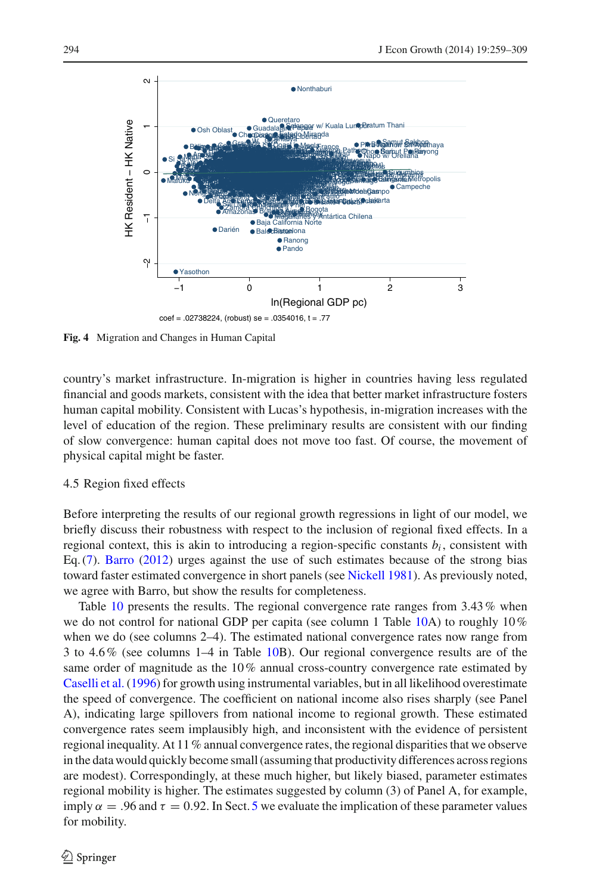

<span id="page-35-0"></span>**Fig. 4** Migration and Changes in Human Capital

country's market infrastructure. In-migration is higher in countries having less regulated financial and goods markets, consistent with the idea that better market infrastructure fosters human capital mobility. Consistent with Lucas's hypothesis, in-migration increases with the level of education of the region. These preliminary results are consistent with our finding of slow convergence: human capital does not move too fast. Of course, the movement of physical capital might be faster.

# 4.5 Region fixed effects

Before interpreting the results of our regional growth regressions in light of our model, we briefly discuss their robustness with respect to the inclusion of regional fixed effects. In a regional context, this is akin to introducing a region-specific constants  $b_i$ , consistent with Eq. [\(7\)](#page-5-4). [Barro](#page-49-4) [\(2012\)](#page-49-4) urges against the use of such estimates because of the strong bias toward faster estimated convergence in short panels (see [Nickell 1981\)](#page-50-6). As previously noted, we agree with Barro, but show the results for completeness.

Table [10](#page-38-0) presents the results. The regional convergence rate ranges from 3.43% when we do not control for national GDP per capita (see column 1 Table [10A](#page-38-0)) to roughly  $10\%$ when we do (see columns 2–4). The estimated national convergence rates now range from 3 to 4.6% (see columns 1–4 in Table [10B](#page-38-0)). Our regional convergence results are of the same order of magnitude as the 10% annual cross-country convergence rate estimated by [Caselli et al.](#page-49-2) [\(1996\)](#page-49-2) for growth using instrumental variables, but in all likelihood overestimate the speed of convergence. The coefficient on national income also rises sharply (see Panel A), indicating large spillovers from national income to regional growth. These estimated convergence rates seem implausibly high, and inconsistent with the evidence of persistent regional inequality. At 11% annual convergence rates, the regional disparities that we observe in the data would quickly become small (assuming that productivity differences across regions are modest). Correspondingly, at these much higher, but likely biased, parameter estimates regional mobility is higher. The estimates suggested by column (3) of Panel A, for example, imply  $\alpha = .96$  and  $\tau = 0.92$ . In Sect. [5](#page-39-0) we evaluate the implication of these parameter values for mobility.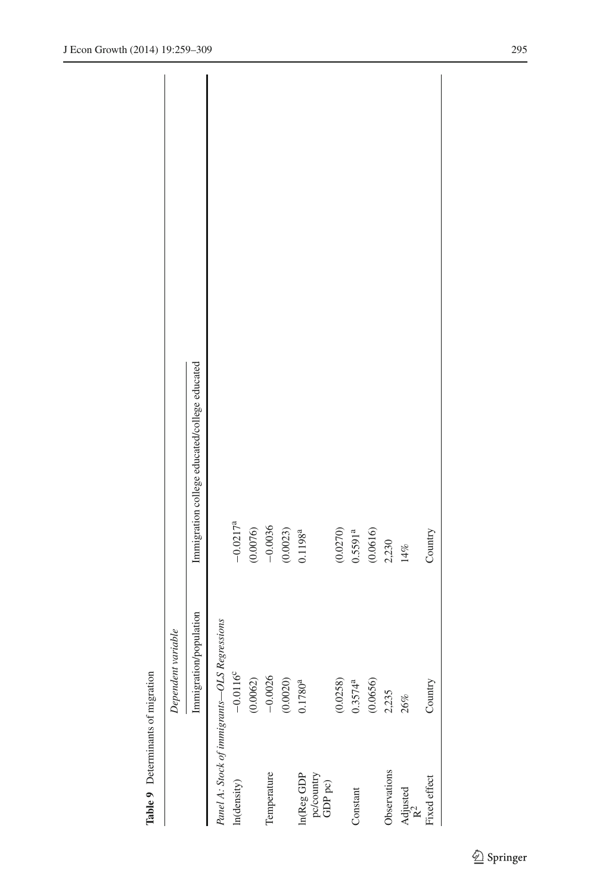| <b>Table 9</b> Determinants of migration                                              |                                              |                                               |
|---------------------------------------------------------------------------------------|----------------------------------------------|-----------------------------------------------|
|                                                                                       | Dependent variable                           |                                               |
|                                                                                       | Immigration/population                       | Immigration college educated/college educated |
|                                                                                       | Panel A: Stock of immigrants-OLS Regressions |                                               |
| ln(density)                                                                           | $-0.0116^c$                                  | $-0.0217^a$                                   |
|                                                                                       | (0.0062)                                     | (0.0076)                                      |
| Temperature                                                                           | $-0.0026$                                    | $-0.0036$                                     |
|                                                                                       | (0.0020)                                     | (0.0023)                                      |
| ln(RegGDP                                                                             | $0.1780^{a}$                                 | $0.1198^{a}$                                  |
| $\begin{array}{c} {\rm p}{\rm c}{\rm count}{\rm r}{\rm y} \\ {\rm GDP~pc}\end{array}$ |                                              |                                               |
|                                                                                       | (0.0258)                                     | (0.0270)                                      |
| Constant                                                                              | $0.3574^{a}$                                 | $0.5591^{a}$                                  |
|                                                                                       | (0.0656)                                     | (0.0616)                                      |
| Observations                                                                          | 2,235                                        | 2,230                                         |
| Adjusted<br>$R^2$                                                                     | 26%                                          | $14\%$                                        |
| <b>Fixed effect</b>                                                                   | Country                                      | Country                                       |
|                                                                                       |                                              |                                               |

<span id="page-36-0"></span>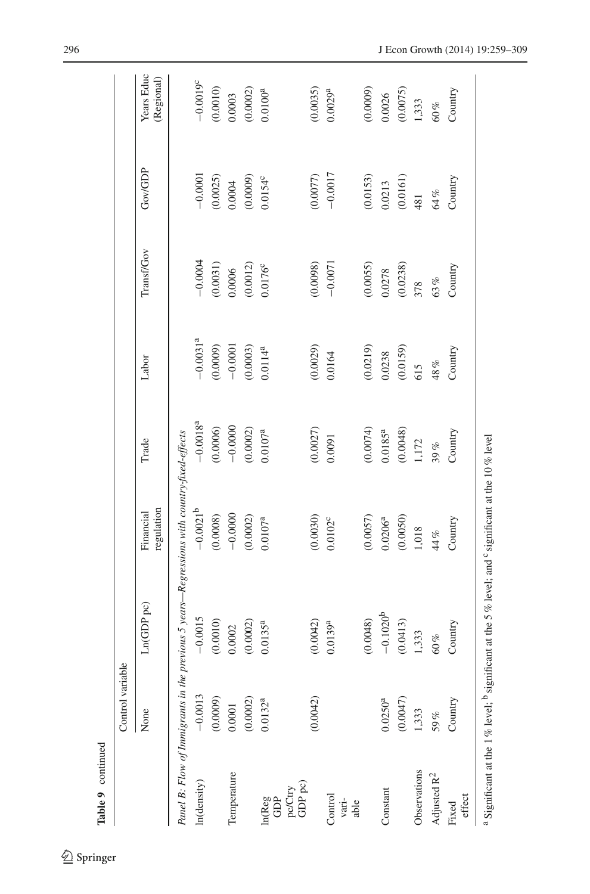| Table 9 continued                                                                                                  |                  |                                                                                                                                    |                         |               |              |            |                          |                          |
|--------------------------------------------------------------------------------------------------------------------|------------------|------------------------------------------------------------------------------------------------------------------------------------|-------------------------|---------------|--------------|------------|--------------------------|--------------------------|
|                                                                                                                    | Control variable |                                                                                                                                    |                         |               |              |            |                          |                          |
|                                                                                                                    | None             | Ln(GDPpc)                                                                                                                          | regulation<br>Financial | Trade         | Labor        | Transf/Gov | Gov/GDP                  | Years Educ<br>(Regional) |
|                                                                                                                    |                  | Panel B: Flow of Immigrants in the previous 5 years—Regressions with country-fixed-effects                                         |                         |               |              |            |                          |                          |
| ln(density)                                                                                                        | $-0.0013$        | $-0.0015$                                                                                                                          | $-0.0021^{b}$           | $-0.0018^{a}$ | $-0.0031a$   | $-0.0004$  | $-0.0001$                | $-0.0019^c$              |
|                                                                                                                    | (0.0009)         | (0.0010)                                                                                                                           | (0.0008)                | (0.0006)      | (0.0009)     | (0.0031)   | (0.0025)                 | (0.0010)                 |
| Temperature                                                                                                        | 0.0001           | 0.0002                                                                                                                             | $-0.0000$               | $-0.0000$     | $-0.0001$    | 0.0006     | 0.0004                   | 0.0003                   |
|                                                                                                                    | (0.0002)         | (0.0002)                                                                                                                           | (0.0002)                | (0.0002)      | (0.0003)     | (0.0012)   | (0.0009)                 | (0.0002)                 |
| $\begin{array}{l} \frac{\ln(\text{Reg})}{\text{GDP}} \\ \text{pclty} \\ \text{pclty} \\ \text{GDP} \\ \end{array}$ | $0.0132^{a}$     | $0.0135^{a}$                                                                                                                       | $0.0107^{a}$            | $0.0107^{a}$  | $0.0114^{a}$ | 0.0176°    | $0.0154^c$               | $0.0100^{a}$             |
|                                                                                                                    |                  |                                                                                                                                    |                         |               |              |            |                          |                          |
|                                                                                                                    | (0.0042)         | (0.0042)                                                                                                                           | (0.0030)                | (0.0027)      | (0.0029)     | (0.0098)   | (0.0077)                 | (0.0035)                 |
| Control<br>vari-<br>able                                                                                           |                  | $0.0139^{a}$                                                                                                                       | $0.0102^c$              | 0.0091        | 0.0164       | $-0.0071$  | $-0.0017$                | $0.0029^{a}$             |
|                                                                                                                    |                  | (0.0048)                                                                                                                           | (0.0057)                | (0.0074)      | (0.0219)     | (0.0055)   | (0.0153)                 | (0.0009)                 |
| Constant                                                                                                           | $0.0250^{a}$     | $-0.1020^{b}$                                                                                                                      | $0.0206^{a}$            | $0.0185^{a}$  | 0.0238       | 0.0278     | 0.0213                   | 0.0026                   |
|                                                                                                                    | (0.0047)         | (0.0413)                                                                                                                           | (0.0050)                | (0.0048)      | (0.0159)     | (0.0238)   | (0.0161)                 | (0.0075)                 |
| Observations                                                                                                       | 1,333            | 1,333                                                                                                                              | 1,018                   | 1,172         | 615          | 378        | 481                      | 1,333                    |
| Adjusted R <sup>2</sup>                                                                                            | $2662$           | $90\,\%$                                                                                                                           | $44\,\%$                | 39%           | $48\,\%$     | $63\,\%$   | $64\%$                   | $90\,\%$                 |
| effect<br>Fixed                                                                                                    | Country          | Country                                                                                                                            | Country                 | Country       | Country      | Country    | $\operatorname{Country}$ | Country                  |
|                                                                                                                    |                  | <sup>a</sup> Significant at the 1% level; $\frac{b}{c}$ significant at the 5% level; and <sup>c</sup> significant at the 10% level |                         |               |              |            |                          |                          |

Table 9 continued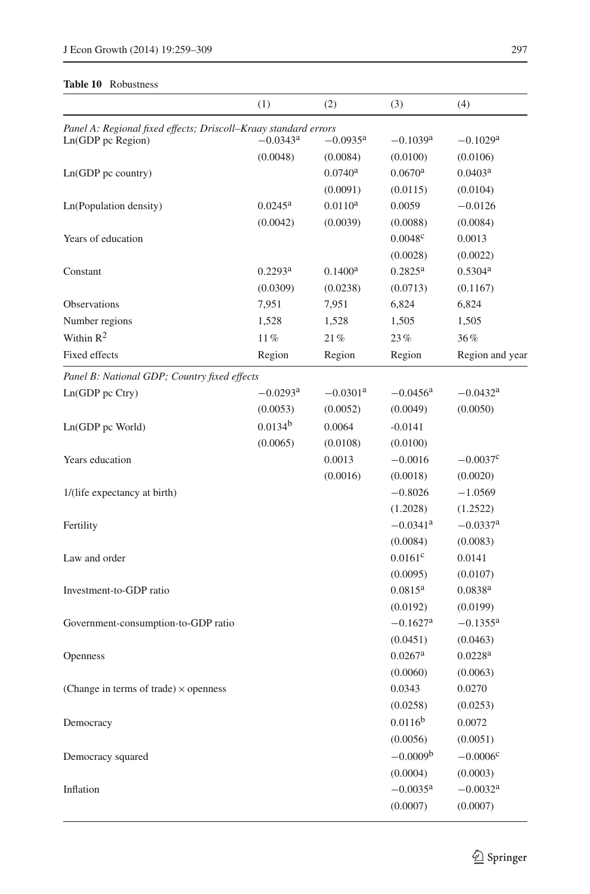# **Table 10** Robustness

<span id="page-38-0"></span>

|                                                                 | (1)                    | (2)                          | (3)                    | (4)                    |
|-----------------------------------------------------------------|------------------------|------------------------------|------------------------|------------------------|
| Panel A: Regional fixed effects; Driscoll-Kraay standard errors | $-0.0343$ <sup>a</sup> | $-0.0935$ <sup>a</sup>       |                        |                        |
| Ln(GDP pc Region)                                               |                        |                              | $-0.1039$ <sup>a</sup> | $-0.1029$ <sup>a</sup> |
|                                                                 | (0.0048)               | (0.0084)<br>$0.0740^{\rm a}$ | (0.0100)               | (0.0106)               |
| Ln(GDP pc country)                                              |                        |                              | $0.0670$ <sup>a</sup>  | 0.0403 <sup>a</sup>    |
|                                                                 |                        | (0.0091)                     | (0.0115)               | (0.0104)               |
| Ln(Population density)                                          | $0.0245^{\rm a}$       | $0.0110^a$                   | 0.0059                 | $-0.0126$              |
|                                                                 | (0.0042)               | (0.0039)                     | (0.0088)               | (0.0084)               |
| Years of education                                              |                        |                              | $0.0048^{\circ}$       | 0.0013                 |
|                                                                 |                        |                              | (0.0028)               | (0.0022)               |
| Constant                                                        | $0.2293$ <sup>a</sup>  | $0.1400^a$                   | $0.2825^{\rm a}$       | $0.5304^{\rm a}$       |
|                                                                 | (0.0309)               | (0.0238)                     | (0.0713)               | (0.1167)               |
| <b>Observations</b>                                             | 7,951                  | 7,951                        | 6,824                  | 6,824                  |
| Number regions                                                  | 1,528                  | 1,528                        | 1,505                  | 1,505                  |
| Within $R^2$                                                    | 11%                    | 21%                          | 23%                    | 36%                    |
| Fixed effects                                                   | Region                 | Region                       | Region                 | Region and year        |
| Panel B: National GDP; Country fixed effects                    |                        |                              |                        |                        |
| Ln(GDP pc Ctry)                                                 | $-0.0293$ <sup>a</sup> | $-0.0301$ <sup>a</sup>       | $-0.0456$ <sup>a</sup> | $-0.0432$ <sup>a</sup> |
|                                                                 | (0.0053)               | (0.0052)                     | (0.0049)               | (0.0050)               |
| Ln(GDP pc World)                                                | 0.0134 <sup>b</sup>    | 0.0064                       | $-0.0141$              |                        |
|                                                                 | (0.0065)               | (0.0108)                     | (0.0100)               |                        |
| Years education                                                 |                        | 0.0013                       | $-0.0016$              | $-0.0037$ <sup>c</sup> |
|                                                                 |                        | (0.0016)                     | (0.0018)               | (0.0020)               |
| 1/(life expectancy at birth)                                    |                        |                              | $-0.8026$              | $-1.0569$              |
|                                                                 |                        |                              | (1.2028)               | (1.2522)               |
| Fertility                                                       |                        |                              | $-0.0341$ <sup>a</sup> | $-0.0337$ <sup>a</sup> |
|                                                                 |                        |                              | (0.0084)               | (0.0083)               |
| Law and order                                                   |                        |                              | $0.0161^c$             | 0.0141                 |
|                                                                 |                        |                              | (0.0095)               | (0.0107)               |
| Investment-to-GDP ratio                                         |                        |                              | $0.0815^{a}$           | 0.0838 <sup>a</sup>    |
|                                                                 |                        |                              | (0.0192)               | (0.0199)               |
| Government-consumption-to-GDP ratio                             |                        |                              | $-0.1627$ <sup>a</sup> | $-0.1355$ <sup>a</sup> |
|                                                                 |                        |                              | (0.0451)               | (0.0463)               |
| Openness                                                        |                        |                              | $0.0267$ <sup>a</sup>  | 0.0228 <sup>a</sup>    |
|                                                                 |                        |                              | (0.0060)               | (0.0063)               |
| (Change in terms of trade) $\times$ openness                    |                        |                              | 0.0343                 | 0.0270                 |
|                                                                 |                        |                              | (0.0258)               | (0.0253)               |
|                                                                 |                        |                              | $0.0116^{b}$           |                        |
| Democracy                                                       |                        |                              |                        | 0.0072                 |
|                                                                 |                        |                              | (0.0056)               | (0.0051)               |
| Democracy squared                                               |                        |                              | $-0.0009b$             | $-0.0006c$             |
|                                                                 |                        |                              | (0.0004)               | (0.0003)               |
| Inflation                                                       |                        |                              | $-0.0035$ <sup>a</sup> | $-0.0032$ <sup>a</sup> |
|                                                                 |                        |                              | (0.0007)               | (0.0007)               |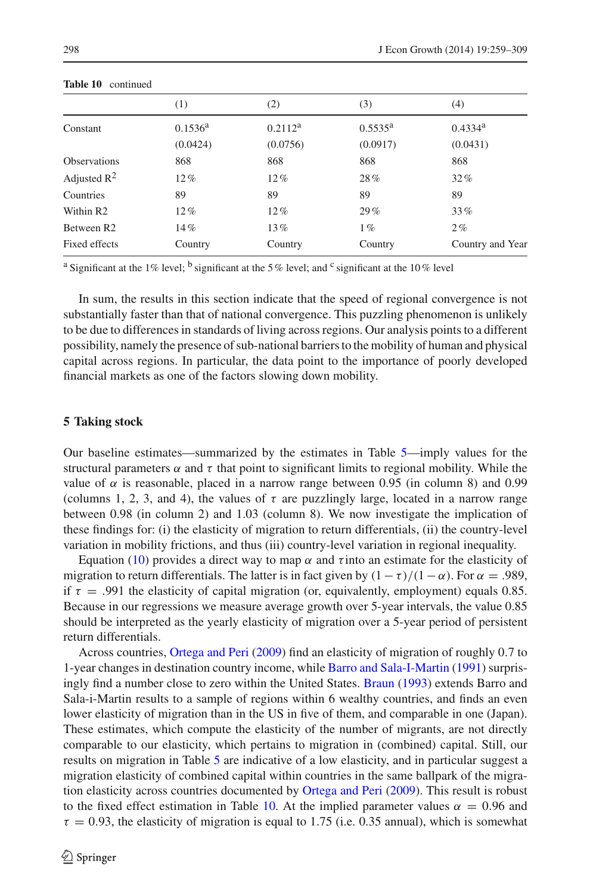| $\mathbf{u}$            |                  |            |                  |                       |
|-------------------------|------------------|------------|------------------|-----------------------|
|                         | (1)              | (2)        | (3)              | (4)                   |
| Constant                | $0.1536^{\rm a}$ | $0.2112^a$ | $0.5535^{\rm a}$ | $0.4334$ <sup>a</sup> |
|                         | (0.0424)         | (0.0756)   | (0.0917)         | (0.0431)              |
| <b>Observations</b>     | 868              | 868        | 868              | 868                   |
| Adjusted $\mathbb{R}^2$ | $12\%$           | $12\%$     | 28%              | $32\%$                |
| Countries               | 89               | 89         | 89               | 89                    |
| Within R <sub>2</sub>   | $12\%$           | $12\%$     | 29%              | $33\%$                |
| Between R <sub>2</sub>  | 14%              | $13\%$     | $1\%$            | $2\%$                 |
| Fixed effects           | Country          | Country    | Country          | Country and Year      |

#### **Table 10** continued

<sup>a</sup> Significant at the 1% level; <sup>b</sup> significant at the 5% level; and <sup>c</sup> significant at the 10% level

In sum, the results in this section indicate that the speed of regional convergence is not substantially faster than that of national convergence. This puzzling phenomenon is unlikely to be due to differences in standards of living across regions. Our analysis points to a different possibility, namely the presence of sub-national barriers to the mobility of human and physical capital across regions. In particular, the data point to the importance of poorly developed financial markets as one of the factors slowing down mobility.

# <span id="page-39-0"></span>**5 Taking stock**

Our baseline estimates—summarized by the estimates in Table [5—](#page-23-0)imply values for the structural parameters  $\alpha$  and  $\tau$  that point to significant limits to regional mobility. While the value of  $\alpha$  is reasonable, placed in a narrow range between 0.95 (in column 8) and 0.99 (columns 1, 2, 3, and 4), the values of  $\tau$  are puzzlingly large, located in a narrow range between 0.98 (in column 2) and 1.03 (column 8). We now investigate the implication of these findings for: (i) the elasticity of migration to return differentials, (ii) the country-level variation in mobility frictions, and thus (iii) country-level variation in regional inequality.

Equation [\(10\)](#page-7-1) provides a direct way to map  $\alpha$  and  $\tau$  into an estimate for the elasticity of migration to return differentials. The latter is in fact given by  $(1 - \tau)/(1 - \alpha)$ . For  $\alpha = .989$ , if  $\tau = .991$  the elasticity of capital migration (or, equivalently, employment) equals 0.85. Because in our regressions we measure average growth over 5-year intervals, the value 0.85 should be interpreted as the yearly elasticity of migration over a 5-year period of persistent return differentials.

Across countries, [Ortega and Peri](#page-50-3) [\(2009\)](#page-50-3) find an elasticity of migration of roughly 0.7 to 1-year changes in destination country income, while [Barro and Sala-I-Martin](#page-49-5) [\(1991](#page-49-5)) surprisingly find a number close to zero within the United States. [Braun](#page-49-16) [\(1993\)](#page-49-16) extends Barro and Sala-i-Martin results to a sample of regions within 6 wealthy countries, and finds an even lower elasticity of migration than in the US in five of them, and comparable in one (Japan). These estimates, which compute the elasticity of the number of migrants, are not directly comparable to our elasticity, which pertains to migration in (combined) capital. Still, our results on migration in Table [5](#page-23-0) are indicative of a low elasticity, and in particular suggest a migration elasticity of combined capital within countries in the same ballpark of the migration elasticity across countries documented by [Ortega and Peri](#page-50-3) [\(2009\)](#page-50-3). This result is robust to the fixed effect estimation in Table [10.](#page-38-0) At the implied parameter values  $\alpha = 0.96$  and  $\tau = 0.93$ , the elasticity of migration is equal to 1.75 (i.e. 0.35 annual), which is somewhat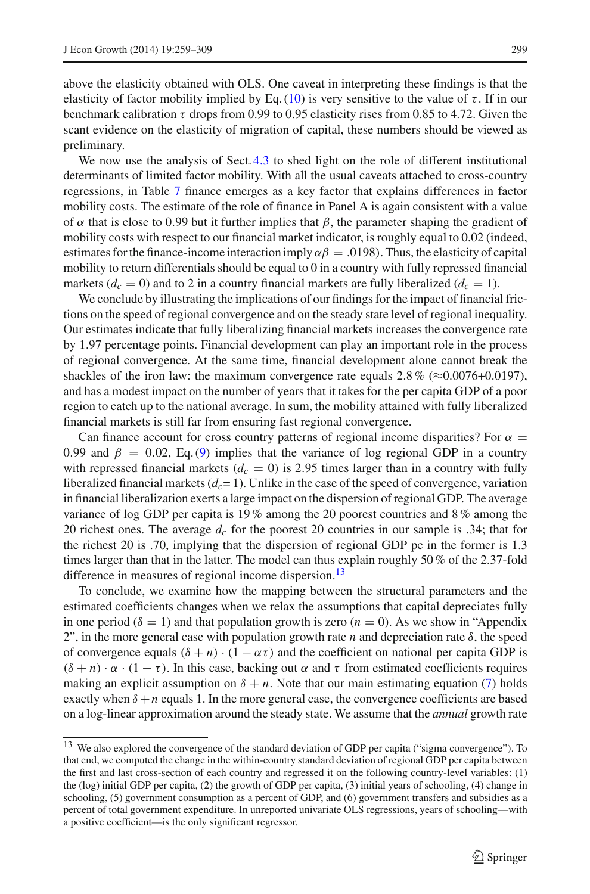above the elasticity obtained with OLS. One caveat in interpreting these findings is that the elasticity of factor mobility implied by Eq. [\(10\)](#page-7-1) is very sensitive to the value of  $\tau$ . If in our benchmark calibration  $\tau$  drops from 0.99 to 0.95 elasticity rises from 0.85 to 4.72. Given the scant evidence on the elasticity of migration of capital, these numbers should be viewed as preliminary.

We now use the analysis of Sect. [4.3](#page-31-2) to shed light on the role of different institutional determinants of limited factor mobility. With all the usual caveats attached to cross-country regressions, in Table [7](#page-29-0) finance emerges as a key factor that explains differences in factor mobility costs. The estimate of the role of finance in Panel A is again consistent with a value of  $\alpha$  that is close to 0.99 but it further implies that  $\beta$ , the parameter shaping the gradient of mobility costs with respect to our financial market indicator, is roughly equal to 0.02 (indeed, estimates for the finance-income interaction imply  $\alpha\beta = 0.0198$ ). Thus, the elasticity of capital mobility to return differentials should be equal to 0 in a country with fully repressed financial markets  $(d_c = 0)$  and to 2 in a country financial markets are fully liberalized  $(d_c = 1)$ .

We conclude by illustrating the implications of our findings for the impact of financial frictions on the speed of regional convergence and on the steady state level of regional inequality. Our estimates indicate that fully liberalizing financial markets increases the convergence rate by 1.97 percentage points. Financial development can play an important role in the process of regional convergence. At the same time, financial development alone cannot break the shackles of the iron law: the maximum convergence rate equals  $2.8\%$  ( $\approx 0.0076 + 0.0197$ ), and has a modest impact on the number of years that it takes for the per capita GDP of a poor region to catch up to the national average. In sum, the mobility attained with fully liberalized financial markets is still far from ensuring fast regional convergence.

Can finance account for cross country patterns of regional income disparities? For  $\alpha =$ 0.99 and  $\beta = 0.02$ , Eq. [\(9\)](#page-6-2) implies that the variance of log regional GDP in a country with repressed financial markets ( $d_c = 0$ ) is 2.95 times larger than in a country with fully liberalized financial markets  $(d_c = 1)$ . Unlike in the case of the speed of convergence, variation in financial liberalization exerts a large impact on the dispersion of regional GDP. The average variance of log GDP per capita is 19% among the 20 poorest countries and 8% among the 20 richest ones. The average *dc* for the poorest 20 countries in our sample is .34; that for the richest 20 is .70, implying that the dispersion of regional GDP pc in the former is 1.3 times larger than that in the latter. The model can thus explain roughly 50% of the 2.37-fold difference in measures of regional income dispersion.<sup>[13](#page-40-0)</sup>

To conclude, we examine how the mapping between the structural parameters and the estimated coefficients changes when we relax the assumptions that capital depreciates fully in one period ( $\delta = 1$ ) and that population growth is zero ( $n = 0$ ). As we show in "Appendix" 2", in the more general case with population growth rate  $n$  and depreciation rate  $\delta$ , the speed of convergence equals  $(\delta + n) \cdot (1 - \alpha \tau)$  and the coefficient on national per capita GDP is  $(\delta + n) \cdot \alpha \cdot (1 - \tau)$ . In this case, backing out  $\alpha$  and  $\tau$  from estimated coefficients requires making an explicit assumption on  $\delta + n$ . Note that our main estimating equation [\(7\)](#page-5-4) holds exactly when  $\delta + n$  equals 1. In the more general case, the convergence coefficients are based on a log-linear approximation around the steady state. We assume that the *annual* growth rate

<span id="page-40-0"></span><sup>&</sup>lt;sup>13</sup> We also explored the convergence of the standard deviation of GDP per capita ("sigma convergence"). To that end, we computed the change in the within-country standard deviation of regional GDP per capita between the first and last cross-section of each country and regressed it on the following country-level variables: (1) the (log) initial GDP per capita, (2) the growth of GDP per capita, (3) initial years of schooling, (4) change in schooling, (5) government consumption as a percent of GDP, and (6) government transfers and subsidies as a percent of total government expenditure. In unreported univariate OLS regressions, years of schooling—with a positive coefficient—is the only significant regressor.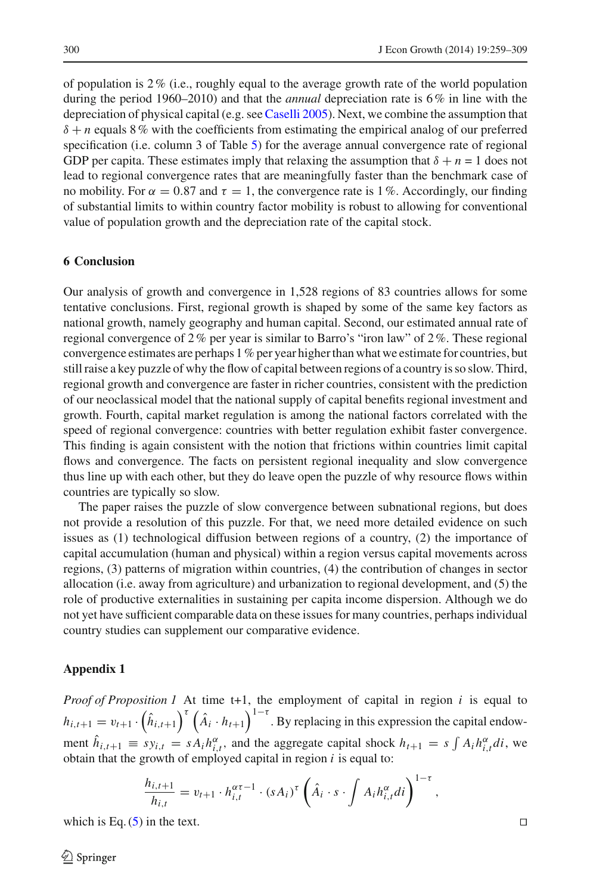of population is  $2\%$  (i.e., roughly equal to the average growth rate of the world population during the period 1960–2010) and that the *annual* depreciation rate is 6% in line with the depreciation of physical capital (e.g. see [Caselli 2005](#page-49-23)). Next, we combine the assumption that  $\delta + n$  equals 8% with the coefficients from estimating the empirical analog of our preferred specification (i.e. column 3 of Table [5\)](#page-23-0) for the average annual convergence rate of regional GDP per capita. These estimates imply that relaxing the assumption that  $\delta + n = 1$  does not lead to regional convergence rates that are meaningfully faster than the benchmark case of no mobility. For  $\alpha = 0.87$  and  $\tau = 1$ , the convergence rate is 1%. Accordingly, our finding of substantial limits to within country factor mobility is robust to allowing for conventional value of population growth and the depreciation rate of the capital stock.

# <span id="page-41-0"></span>**6 Conclusion**

Our analysis of growth and convergence in 1,528 regions of 83 countries allows for some tentative conclusions. First, regional growth is shaped by some of the same key factors as national growth, namely geography and human capital. Second, our estimated annual rate of regional convergence of 2% per year is similar to Barro's "iron law" of 2%. These regional convergence estimates are perhaps 1% per year higher than what we estimate for countries, but still raise a key puzzle of why the flow of capital between regions of a country is so slow. Third, regional growth and convergence are faster in richer countries, consistent with the prediction of our neoclassical model that the national supply of capital benefits regional investment and growth. Fourth, capital market regulation is among the national factors correlated with the speed of regional convergence: countries with better regulation exhibit faster convergence. This finding is again consistent with the notion that frictions within countries limit capital flows and convergence. The facts on persistent regional inequality and slow convergence thus line up with each other, but they do leave open the puzzle of why resource flows within countries are typically so slow.

The paper raises the puzzle of slow convergence between subnational regions, but does not provide a resolution of this puzzle. For that, we need more detailed evidence on such issues as (1) technological diffusion between regions of a country, (2) the importance of capital accumulation (human and physical) within a region versus capital movements across regions, (3) patterns of migration within countries, (4) the contribution of changes in sector allocation (i.e. away from agriculture) and urbanization to regional development, and (5) the role of productive externalities in sustaining per capita income dispersion. Although we do not yet have sufficient comparable data on these issues for many countries, perhaps individual country studies can supplement our comparative evidence.

#### **Appendix 1**

*Proof of Proposition 1* At time t+1, the employment of capital in region *i* is equal to  $h_{i,t+1} = v_{t+1} \cdot (\hat{h}_{i,t+1})^{\tau} (\hat{A}_i \cdot h_{t+1})^{1-\tau}$ . By replacing in this expression the capital endowment  $\hat{h}_{i,t+1} \equiv sy_{i,t} = sA_i h_{i,t}^{\alpha}$ , and the aggregate capital shock  $h_{t+1} = s \int A_i h_{i,t}^{\alpha} di$ , we obtain that the growth of employed capital in region *i* is equal to:

$$
\frac{h_{i,t+1}}{h_{i,t}} = v_{t+1} \cdot h_{i,t}^{\alpha \tau - 1} \cdot (s A_i)^{\tau} \left( \hat{A}_i \cdot s \cdot \int A_i h_{i,t}^{\alpha} di \right)^{1-\tau},
$$

which is Eq.  $(5)$  in the text.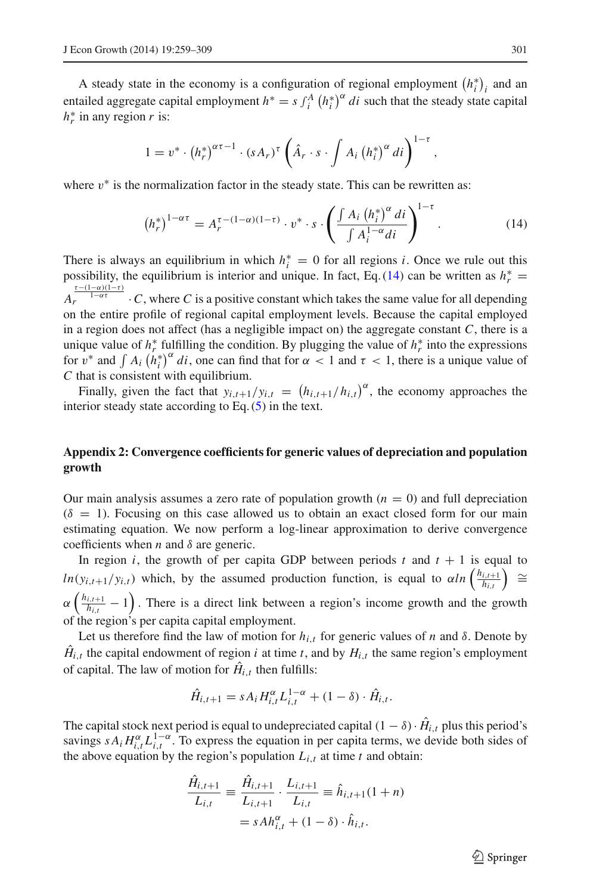A steady state in the economy is a configuration of regional employment  $(h_i^*)$  and an entailed aggregate capital employment  $h^* = s \int_A^A (h_i^*)^\alpha dt$  such that the steady state capital employment  $h^* = s \int_A^A (h_i^*)^\alpha dt$  such that the steady state capital  $h_r^*$  in any region *r* is:

$$
1 = v^* \cdot (h_r^*)^{\alpha \tau - 1} \cdot (s A_r)^{\tau} \left(\hat{A}_r \cdot s \cdot \int A_i (h_i^*)^{\alpha} di\right)^{1 - \tau}
$$

<span id="page-42-0"></span>where  $v^*$  is the normalization factor in the steady state. This can be rewritten as:

$$
\left(h_r^*\right)^{1-\alpha\tau} = A_r^{\tau-(1-\alpha)(1-\tau)} \cdot v^* \cdot s \cdot \left(\frac{\int A_i \left(h_i^*\right)^{\alpha} di}{\int A_i^{1-\alpha} di}\right)^{1-\tau}.\tag{14}
$$

There is always an equilibrium in which  $h_i^* = 0$  for all regions *i*. Once we rule out this possibility, the equilibrium is interior and unique. In fact, Eq. [\(14\)](#page-42-0) can be written as  $h_r^* =$  $A_r^{\frac{\tau-(1-α)(1-τ)}{1-ατ}}$  $\frac{1}{1-\alpha\tau}$  ·*C*, where *C* is a positive constant which takes the same value for all depending on the entire profile of regional capital employment levels. Because the capital employed in a region does not affect (has a negligible impact on) the aggregate constant *C*, there is a unique value of  $h_r^*$  fulfilling the condition. By plugging the value of  $h_r^*$  into the expressions for  $v^*$  and  $\int A_i (h_i^*)^{\alpha} di$ , one can find that for  $\alpha < 1$  and  $\tau < 1$ , there is a unique value of *C* that is consistent with equilibrium.

Finally, given the fact that  $y_{i,t+1}/y_{i,t} = (h_{i,t+1}/h_{i,t})^{\alpha}$ , the economy approaches the interior steady state according to Eq.  $(5)$  in the text.

# **Appendix 2: Convergence coefficients for generic values of depreciation and population growth**

Our main analysis assumes a zero rate of population growth  $(n = 0)$  and full depreciation  $(\delta = 1)$ . Focusing on this case allowed us to obtain an exact closed form for our main estimating equation. We now perform a log-linear approximation to derive convergence coefficients when  $n$  and  $\delta$  are generic.

In region *i*, the growth of per capita GDP between periods  $t$  and  $t + 1$  is equal to *ln*( $y_{i,t+1}/y_{i,t}$ ) which, by the assumed production function, is equal to  $\alpha ln\left(\frac{h_{i,t+1}}{h_{i,t}}\right) \cong$  $\alpha\left(\frac{h_{i,t+1}}{h_{i,t}}-1\right)$ . There is a direct link between a region's income growth and the growth of the region's per capita capital employment.

Let us therefore find the law of motion for  $h_{i,t}$  for generic values of *n* and  $\delta$ . Denote by  $\hat{H}_{i,t}$  the capital endowment of region *i* at time *t*, and by  $H_{i,t}$  the same region's employment of capital. The law of motion for  $\hat{H}_i$ , then fulfills:

$$
\hat{H}_{i,t+1} = s A_i H_{i,t}^{\alpha} L_{i,t}^{1-\alpha} + (1-\delta) \cdot \hat{H}_{i,t}.
$$

The capital stock next period is equal to undepreciated capital  $(1 - \delta) \cdot \hat{H}_{i,t}$  plus this period's savings  $s A_i H_{i,t}^{\alpha} L_{i,t}^{1-\alpha}$ . To express the equation in per capita terms, we devide both sides of the above equation by the region's population  $L_{i,t}$  at time  $t$  and obtain:

$$
\frac{\dot{H}_{i,t+1}}{L_{i,t}} = \frac{\dot{H}_{i,t+1}}{L_{i,t+1}} \cdot \frac{L_{i,t+1}}{L_{i,t}} = \hat{h}_{i,t+1}(1+n) \n= s A h_{i,t}^{\alpha} + (1-\delta) \cdot \hat{h}_{i,t}.
$$

 $\circled{2}$  Springer

,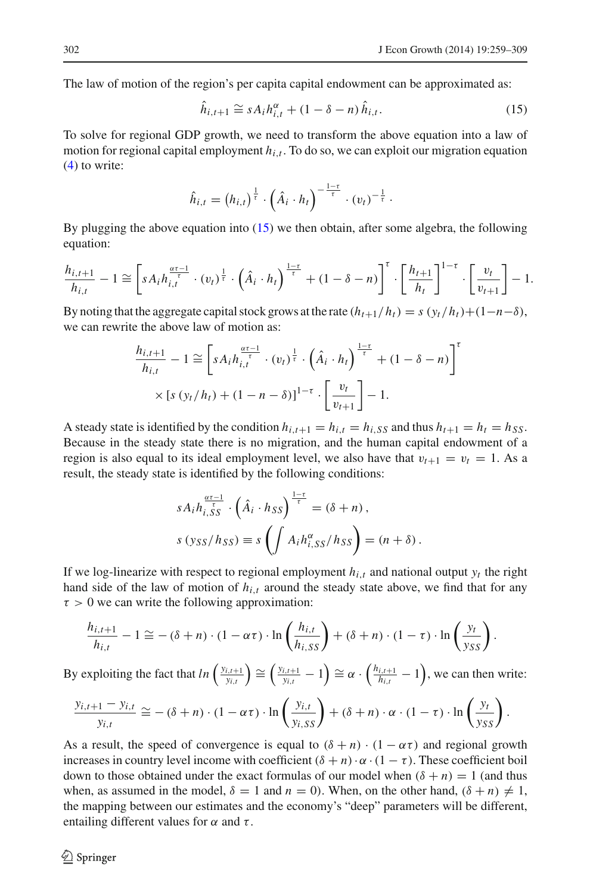τ

<span id="page-43-0"></span>The law of motion of the region's per capita capital endowment can be approximated as:

$$
\hat{h}_{i,t+1} \cong sA_i h_{i,t}^{\alpha} + (1 - \delta - n) \hat{h}_{i,t}.
$$
\n(15)

To solve for regional GDP growth, we need to transform the above equation into a law of motion for regional capital employment  $h_{i,t}$ . To do so, we can exploit our migration equation [\(4\)](#page-5-0) to write:

$$
\hat{h}_{i,t} = (h_{i,t})^{\frac{1}{\tau}} \cdot (\hat{A}_i \cdot h_t)^{-\frac{1-\tau}{\tau}} \cdot (v_t)^{-\frac{1}{\tau}}.
$$

By plugging the above equation into  $(15)$  we then obtain, after some algebra, the following equation:

$$
\frac{h_{i,t+1}}{h_{i,t}}-1\cong\left[sA_i h_{i,t}^{\frac{\alpha\tau-1}{\tau}}\cdot(v_t)^{\frac{1}{\tau}}\cdot(\hat{A}_i\cdot h_t)^{\frac{1-\tau}{\tau}}+(1-\delta-n)\right]^{\tau}\cdot\left[\frac{h_{t+1}}{h_t}\right]^{1-\tau}\cdot\left[\frac{v_t}{v_{t+1}}\right]-1.
$$

By noting that the aggregate capital stock grows at the rate  $(h_{t+1}/h_t) = s(y_t/h_t)+(1-n-\delta)$ , we can rewrite the above law of motion as:

$$
\frac{h_{i,t+1}}{h_{i,t}} - 1 \cong \left[ s A_i h_{i,t}^{\frac{\alpha \tau - 1}{\tau}} \cdot (v_t)^{\frac{1}{\tau}} \cdot (\hat{A}_i \cdot h_t)^{\frac{1 - \tau}{\tau}} + (1 - \delta - n) \right]
$$

$$
\times [s (y_t / h_t) + (1 - n - \delta)]^{1 - \tau} \cdot \left[ \frac{v_t}{v_{t+1}} \right] - 1.
$$

A steady state is identified by the condition  $h_{i,t+1} = h_{i,t} = h_{i,SS}$  and thus  $h_{t+1} = h_t = h_{SS}$ . Because in the steady state there is no migration, and the human capital endowment of a region is also equal to its ideal employment level, we also have that  $v_{t+1} = v_t = 1$ . As a result, the steady state is identified by the following conditions:

$$
s A_i h_{i, SS}^{\frac{\alpha \tau - 1}{\tau}} \cdot (\hat{A}_i \cdot h_{SS})^{\frac{1 - \tau}{\tau}} = (\delta + n),
$$
  

$$
s (y_{SS} / h_{SS}) \equiv s \left( \int A_i h_{i, SS}^{\alpha} / h_{SS} \right) = (n + \delta).
$$

If we log-linearize with respect to regional employment  $h_{i,t}$  and national output  $y_t$  the right hand side of the law of motion of *hi*,*<sup>t</sup>* around the steady state above, we find that for any  $\tau > 0$  we can write the following approximation:

$$
\frac{h_{i,t+1}}{h_{i,t}} - 1 \cong -(\delta + n) \cdot (1 - \alpha \tau) \cdot \ln\left(\frac{h_{i,t}}{h_{i,SS}}\right) + (\delta + n) \cdot (1 - \tau) \cdot \ln\left(\frac{y_t}{y_{SS}}\right).
$$

By exploiting the fact that  $ln\left(\frac{y_{i,t+1}}{y_{i,t}}\right) \cong \left(\frac{y_{i,t+1}}{y_{i,t}}-1\right) \cong \alpha \cdot \left(\frac{h_{i,t+1}}{h_{i,t}}-1\right)$ , we can then write:

$$
\frac{y_{i,t+1}-y_{i,t}}{y_{i,t}} \cong -(\delta+n)\cdot(1-\alpha\tau)\cdot\ln\left(\frac{y_{i,t}}{y_{i,SS}}\right) + (\delta+n)\cdot\alpha\cdot(1-\tau)\cdot\ln\left(\frac{y_t}{y_{SS}}\right).
$$

As a result, the speed of convergence is equal to  $(\delta + n) \cdot (1 - \alpha \tau)$  and regional growth increases in country level income with coefficient  $(\delta + n) \cdot \alpha \cdot (1 - \tau)$ . These coefficient boil down to those obtained under the exact formulas of our model when  $(\delta + n) = 1$  (and thus when, as assumed in the model,  $\delta = 1$  and  $n = 0$ ). When, on the other hand,  $(\delta + n) \neq 1$ , the mapping between our estimates and the economy's "deep" parameters will be different, entailing different values for  $\alpha$  and  $\tau$ .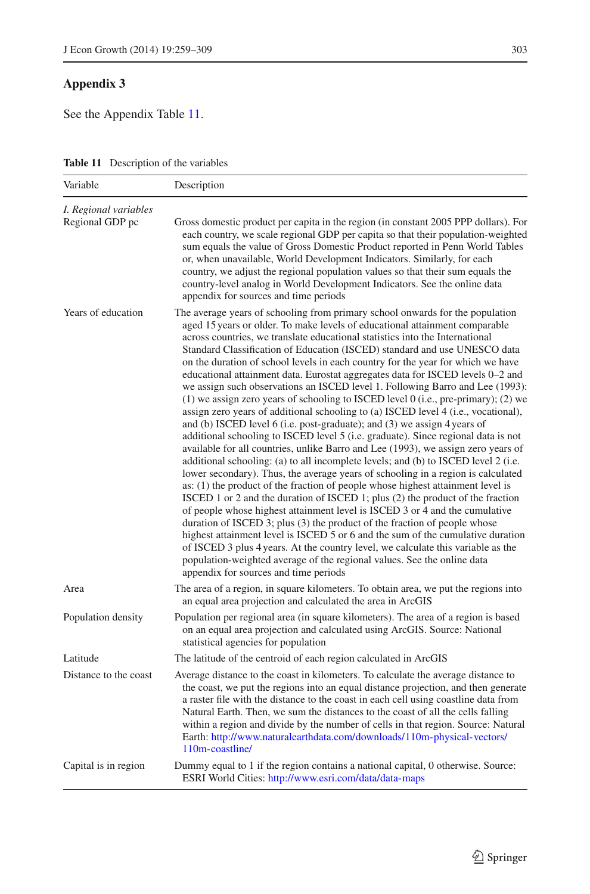#### **Appendix 3**

See the Appendix Table [11.](#page-44-0)

Variable Description *I. Regional variables* Regional GDP pc Gross domestic product per capita in the region (in constant 2005 PPP dollars). For each country, we scale regional GDP per capita so that their population-weighted sum equals the value of Gross Domestic Product reported in Penn World Tables or, when unavailable, World Development Indicators. Similarly, for each country, we adjust the regional population values so that their sum equals the country-level analog in World Development Indicators. See the online data appendix for sources and time periods Years of education The average years of schooling from primary school onwards for the population aged 15 years or older. To make levels of educational attainment comparable across countries, we translate educational statistics into the International Standard Classification of Education (ISCED) standard and use UNESCO data on the duration of school levels in each country for the year for which we have educational attainment data. Eurostat aggregates data for ISCED levels 0–2 and we assign such observations an ISCED level 1. Following Barro and Lee (1993): (1) we assign zero years of schooling to ISCED level 0 (i.e., pre-primary); (2) we assign zero years of additional schooling to (a) ISCED level 4 (i.e., vocational), and (b) ISCED level 6 (i.e. post-graduate); and (3) we assign 4 years of additional schooling to ISCED level 5 (i.e. graduate). Since regional data is not available for all countries, unlike Barro and Lee (1993), we assign zero years of additional schooling: (a) to all incomplete levels; and (b) to ISCED level 2 (i.e. lower secondary). Thus, the average years of schooling in a region is calculated as: (1) the product of the fraction of people whose highest attainment level is ISCED 1 or 2 and the duration of ISCED 1; plus (2) the product of the fraction of people whose highest attainment level is ISCED 3 or 4 and the cumulative duration of ISCED 3; plus (3) the product of the fraction of people whose highest attainment level is ISCED 5 or 6 and the sum of the cumulative duration of ISCED 3 plus 4 years. At the country level, we calculate this variable as the population-weighted average of the regional values. See the online data appendix for sources and time periods Area The area of a region, in square kilometers. To obtain area, we put the regions into an equal area projection and calculated the area in ArcGIS Population density Population per regional area (in square kilometers). The area of a region is based on an equal area projection and calculated using ArcGIS. Source: National statistical agencies for population Latitude The latitude of the centroid of each region calculated in ArcGIS Distance to the coast Average distance to the coast in kilometers. To calculate the average distance to the coast, we put the regions into an equal distance projection, and then generate a raster file with the distance to the coast in each cell using coastline data from Natural Earth. Then, we sum the distances to the coast of all the cells falling within a region and divide by the number of cells in that region. Source: Natural Earth: [http://www.naturalearthdata.com/downloads/110m-physical-vectors/](http://www.naturalearthdata.com/downloads/110m-physical-vectors/110m-coastline/) [110m-coastline/](http://www.naturalearthdata.com/downloads/110m-physical-vectors/110m-coastline/) Capital is in region Dummy equal to 1 if the region contains a national capital, 0 otherwise. Source: ESRI World Cities: <http://www.esri.com/data/data-maps>

<span id="page-44-0"></span>**Table 11** Description of the variables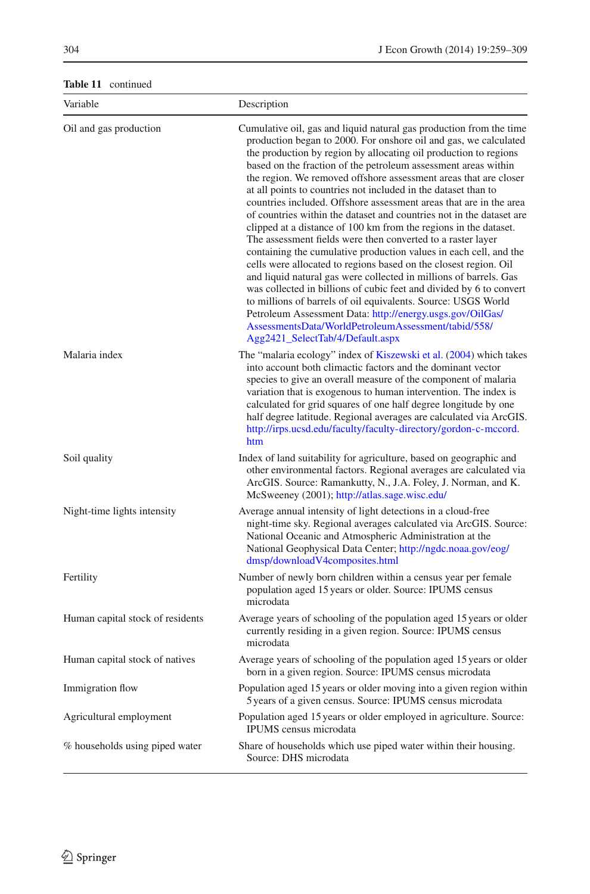**Table 11** continued

| Variable                         | Description                                                                                                                                                                                                                                                                                                                                                                                                                                                                                                                                                                                                                                                                                                                                                                                                                                                                                                                                                                                                                                                                                                                                                                                                        |
|----------------------------------|--------------------------------------------------------------------------------------------------------------------------------------------------------------------------------------------------------------------------------------------------------------------------------------------------------------------------------------------------------------------------------------------------------------------------------------------------------------------------------------------------------------------------------------------------------------------------------------------------------------------------------------------------------------------------------------------------------------------------------------------------------------------------------------------------------------------------------------------------------------------------------------------------------------------------------------------------------------------------------------------------------------------------------------------------------------------------------------------------------------------------------------------------------------------------------------------------------------------|
| Oil and gas production           | Cumulative oil, gas and liquid natural gas production from the time<br>production began to 2000. For onshore oil and gas, we calculated<br>the production by region by allocating oil production to regions<br>based on the fraction of the petroleum assessment areas within<br>the region. We removed offshore assessment areas that are closer<br>at all points to countries not included in the dataset than to<br>countries included. Offshore assessment areas that are in the area<br>of countries within the dataset and countries not in the dataset are<br>clipped at a distance of 100 km from the regions in the dataset.<br>The assessment fields were then converted to a raster layer<br>containing the cumulative production values in each cell, and the<br>cells were allocated to regions based on the closest region. Oil<br>and liquid natural gas were collected in millions of barrels. Gas<br>was collected in billions of cubic feet and divided by 6 to convert<br>to millions of barrels of oil equivalents. Source: USGS World<br>Petroleum Assessment Data: http://energy.usgs.gov/OilGas/<br>AssessmentsData/WorldPetroleumAssessment/tabid/558/<br>Agg2421_SelectTab/4/Default.aspx |
| Malaria index                    | The "malaria ecology" index of Kiszewski et al. (2004) which takes<br>into account both climactic factors and the dominant vector<br>species to give an overall measure of the component of malaria<br>variation that is exogenous to human intervention. The index is<br>calculated for grid squares of one half degree longitude by one<br>half degree latitude. Regional averages are calculated via ArcGIS.<br>http://irps.ucsd.edu/faculty/faculty-directory/gordon-c-mccord.<br>htm                                                                                                                                                                                                                                                                                                                                                                                                                                                                                                                                                                                                                                                                                                                          |
| Soil quality                     | Index of land suitability for agriculture, based on geographic and<br>other environmental factors. Regional averages are calculated via<br>ArcGIS. Source: Ramankutty, N., J.A. Foley, J. Norman, and K.<br>McSweeney (2001); http://atlas.sage.wisc.edu/                                                                                                                                                                                                                                                                                                                                                                                                                                                                                                                                                                                                                                                                                                                                                                                                                                                                                                                                                          |
| Night-time lights intensity      | Average annual intensity of light detections in a cloud-free<br>night-time sky. Regional averages calculated via ArcGIS. Source:<br>National Oceanic and Atmospheric Administration at the<br>National Geophysical Data Center; http://ngdc.noaa.gov/eog/<br>dmsp/downloadV4composites.html                                                                                                                                                                                                                                                                                                                                                                                                                                                                                                                                                                                                                                                                                                                                                                                                                                                                                                                        |
| Fertility                        | Number of newly born children within a census year per female.<br>population aged 15 years or older. Source: IPUMS census<br>microdata                                                                                                                                                                                                                                                                                                                                                                                                                                                                                                                                                                                                                                                                                                                                                                                                                                                                                                                                                                                                                                                                             |
| Human capital stock of residents | Average years of schooling of the population aged 15 years or older<br>currently residing in a given region. Source: IPUMS census<br>microdata                                                                                                                                                                                                                                                                                                                                                                                                                                                                                                                                                                                                                                                                                                                                                                                                                                                                                                                                                                                                                                                                     |
| Human capital stock of natives   | Average years of schooling of the population aged 15 years or older<br>born in a given region. Source: IPUMS census microdata                                                                                                                                                                                                                                                                                                                                                                                                                                                                                                                                                                                                                                                                                                                                                                                                                                                                                                                                                                                                                                                                                      |
| Immigration flow                 | Population aged 15 years or older moving into a given region within<br>5 years of a given census. Source: IPUMS census microdata                                                                                                                                                                                                                                                                                                                                                                                                                                                                                                                                                                                                                                                                                                                                                                                                                                                                                                                                                                                                                                                                                   |
| Agricultural employment          | Population aged 15 years or older employed in agriculture. Source:<br>IPUMS census microdata                                                                                                                                                                                                                                                                                                                                                                                                                                                                                                                                                                                                                                                                                                                                                                                                                                                                                                                                                                                                                                                                                                                       |
| % households using piped water   | Share of households which use piped water within their housing.<br>Source: DHS microdata                                                                                                                                                                                                                                                                                                                                                                                                                                                                                                                                                                                                                                                                                                                                                                                                                                                                                                                                                                                                                                                                                                                           |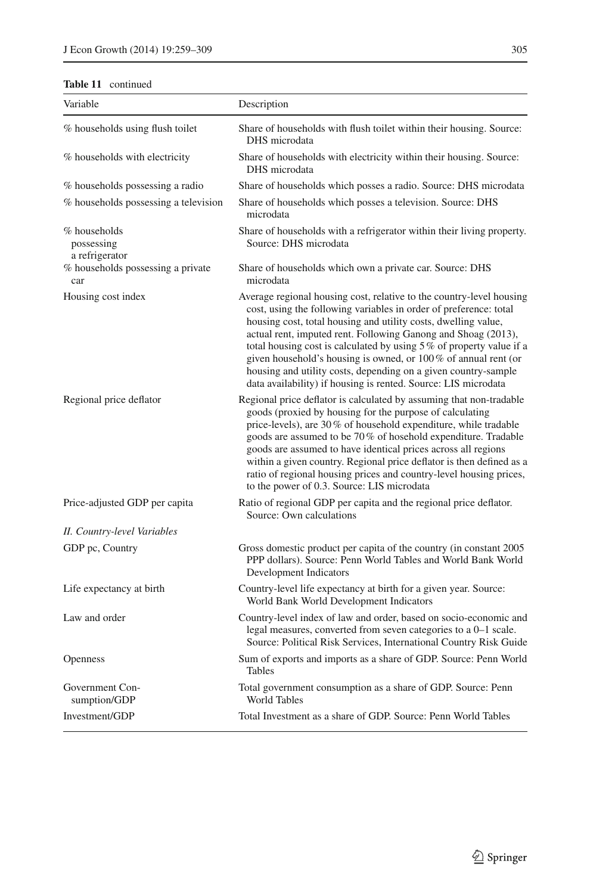# **Table 11** continued

| Variable                                     | Description                                                                                                                                                                                                                                                                                                                                                                                                                                                                                                                                                  |
|----------------------------------------------|--------------------------------------------------------------------------------------------------------------------------------------------------------------------------------------------------------------------------------------------------------------------------------------------------------------------------------------------------------------------------------------------------------------------------------------------------------------------------------------------------------------------------------------------------------------|
| % households using flush toilet              | Share of households with flush toilet within their housing. Source:<br>DHS microdata                                                                                                                                                                                                                                                                                                                                                                                                                                                                         |
| % households with electricity                | Share of households with electricity within their housing. Source:<br>DHS microdata                                                                                                                                                                                                                                                                                                                                                                                                                                                                          |
| % households possessing a radio              | Share of households which posses a radio. Source: DHS microdata                                                                                                                                                                                                                                                                                                                                                                                                                                                                                              |
| % households possessing a television         | Share of households which posses a television. Source: DHS<br>microdata                                                                                                                                                                                                                                                                                                                                                                                                                                                                                      |
| % households<br>possessing<br>a refrigerator | Share of households with a refrigerator within their living property.<br>Source: DHS microdata                                                                                                                                                                                                                                                                                                                                                                                                                                                               |
| % households possessing a private<br>car     | Share of households which own a private car. Source: DHS<br>microdata                                                                                                                                                                                                                                                                                                                                                                                                                                                                                        |
| Housing cost index                           | Average regional housing cost, relative to the country-level housing<br>cost, using the following variables in order of preference: total<br>housing cost, total housing and utility costs, dwelling value,<br>actual rent, imputed rent. Following Ganong and Shoag (2013),<br>total housing cost is calculated by using $5\%$ of property value if a<br>given household's housing is owned, or 100% of annual rent (or<br>housing and utility costs, depending on a given country-sample<br>data availability) if housing is rented. Source: LIS microdata |
| Regional price deflator                      | Regional price deflator is calculated by assuming that non-tradable<br>goods (proxied by housing for the purpose of calculating<br>price-levels), are 30% of household expenditure, while tradable<br>goods are assumed to be 70% of hosehold expenditure. Tradable<br>goods are assumed to have identical prices across all regions<br>within a given country. Regional price deflator is then defined as a<br>ratio of regional housing prices and country-level housing prices,<br>to the power of 0.3. Source: LIS microdata                             |
| Price-adjusted GDP per capita                | Ratio of regional GDP per capita and the regional price deflator.<br>Source: Own calculations                                                                                                                                                                                                                                                                                                                                                                                                                                                                |
| II. Country-level Variables                  |                                                                                                                                                                                                                                                                                                                                                                                                                                                                                                                                                              |
| GDP pc, Country                              | Gross domestic product per capita of the country (in constant 2005)<br>PPP dollars). Source: Penn World Tables and World Bank World<br>Development Indicators                                                                                                                                                                                                                                                                                                                                                                                                |
| Life expectancy at birth                     | Country-level life expectancy at birth for a given year. Source:<br>World Bank World Development Indicators                                                                                                                                                                                                                                                                                                                                                                                                                                                  |
| Law and order                                | Country-level index of law and order, based on socio-economic and<br>legal measures, converted from seven categories to a 0-1 scale.<br>Source: Political Risk Services, International Country Risk Guide                                                                                                                                                                                                                                                                                                                                                    |
| <b>Openness</b>                              | Sum of exports and imports as a share of GDP. Source: Penn World<br><b>Tables</b>                                                                                                                                                                                                                                                                                                                                                                                                                                                                            |
| Government Con-<br>sumption/GDP              | Total government consumption as a share of GDP. Source: Penn<br><b>World Tables</b>                                                                                                                                                                                                                                                                                                                                                                                                                                                                          |

Investment/GDP Total Investment as a share of GDP. Source: Penn World Tables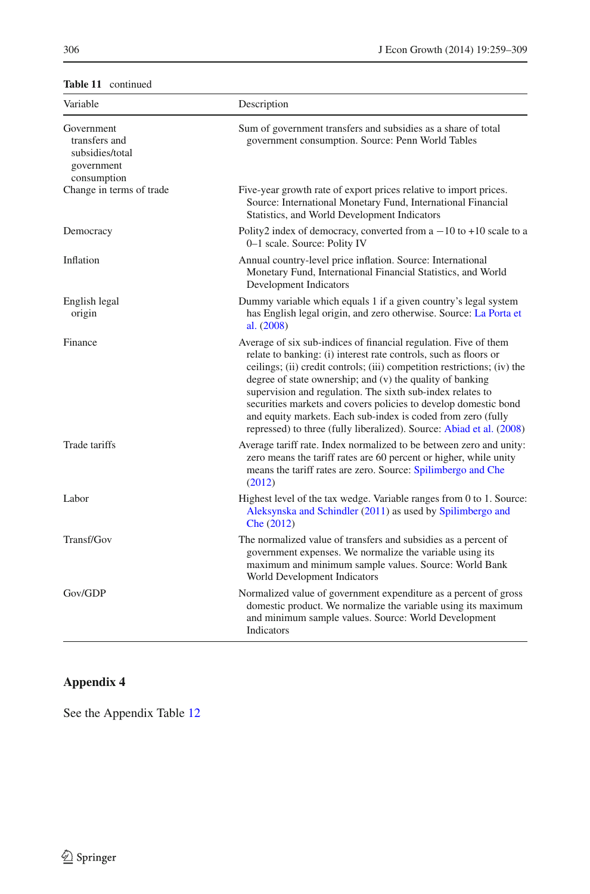| Variable                                                                    | Description                                                                                                                                                                                                                                                                                                                                                                                                                                                                                                                                            |
|-----------------------------------------------------------------------------|--------------------------------------------------------------------------------------------------------------------------------------------------------------------------------------------------------------------------------------------------------------------------------------------------------------------------------------------------------------------------------------------------------------------------------------------------------------------------------------------------------------------------------------------------------|
| Government<br>transfers and<br>subsidies/total<br>government<br>consumption | Sum of government transfers and subsidies as a share of total<br>government consumption. Source: Penn World Tables                                                                                                                                                                                                                                                                                                                                                                                                                                     |
| Change in terms of trade                                                    | Five-year growth rate of export prices relative to import prices.<br>Source: International Monetary Fund, International Financial<br>Statistics, and World Development Indicators                                                                                                                                                                                                                                                                                                                                                                      |
| Democracy                                                                   | Polity2 index of democracy, converted from $a - 10$ to +10 scale to a<br>0-1 scale. Source: Polity IV                                                                                                                                                                                                                                                                                                                                                                                                                                                  |
| Inflation                                                                   | Annual country-level price inflation. Source: International<br>Monetary Fund, International Financial Statistics, and World<br>Development Indicators                                                                                                                                                                                                                                                                                                                                                                                                  |
| English legal<br>origin                                                     | Dummy variable which equals 1 if a given country's legal system<br>has English legal origin, and zero otherwise. Source: La Porta et<br>al. (2008)                                                                                                                                                                                                                                                                                                                                                                                                     |
| Finance                                                                     | Average of six sub-indices of financial regulation. Five of them<br>relate to banking: (i) interest rate controls, such as floors or<br>ceilings; (ii) credit controls; (iii) competition restrictions; (iv) the<br>degree of state ownership; and (v) the quality of banking<br>supervision and regulation. The sixth sub-index relates to<br>securities markets and covers policies to develop domestic bond<br>and equity markets. Each sub-index is coded from zero (fully<br>repressed) to three (fully liberalized). Source: Abiad et al. (2008) |
| Trade tariffs                                                               | Average tariff rate. Index normalized to be between zero and unity:<br>zero means the tariff rates are 60 percent or higher, while unity<br>means the tariff rates are zero. Source: Spilimbergo and Che<br>(2012)                                                                                                                                                                                                                                                                                                                                     |
| Labor                                                                       | Highest level of the tax wedge. Variable ranges from 0 to 1. Source:<br>Aleksynska and Schindler (2011) as used by Spilimbergo and<br>Che (2012)                                                                                                                                                                                                                                                                                                                                                                                                       |
| Transf/Gov                                                                  | The normalized value of transfers and subsidies as a percent of<br>government expenses. We normalize the variable using its<br>maximum and minimum sample values. Source: World Bank<br>World Development Indicators                                                                                                                                                                                                                                                                                                                                   |
| Gov/GDP                                                                     | Normalized value of government expenditure as a percent of gross<br>domestic product. We normalize the variable using its maximum<br>and minimum sample values. Source: World Development<br>Indicators                                                                                                                                                                                                                                                                                                                                                |

# **Appendix 4**

See the Appendix Table [12](#page-48-0)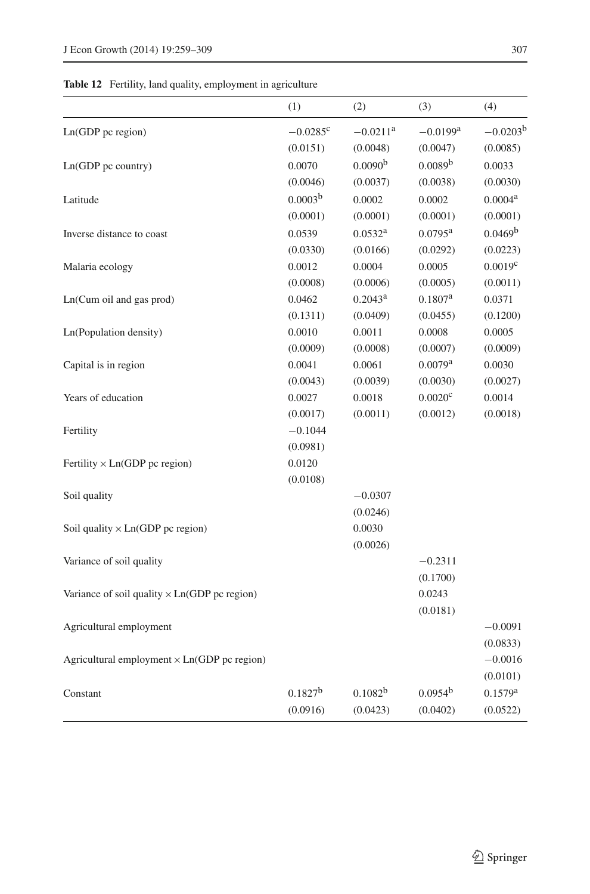Table 12 Fertility, land quality, employment in agriculture

<span id="page-48-0"></span>

|                                                     | (1)                    | (2)                    | (3)                    | (4)                   |
|-----------------------------------------------------|------------------------|------------------------|------------------------|-----------------------|
| $Ln(GDP$ pc region)                                 | $-0.0285$ <sup>c</sup> | $-0.0211$ <sup>a</sup> | $-0.0199$ <sup>a</sup> | $-0.0203^{\rm b}$     |
|                                                     | (0.0151)               | (0.0048)               | (0.0047)               | (0.0085)              |
| Ln(GDP pc country)                                  | 0.0070                 | 0.0090 <sup>b</sup>    | 0.0089 <sup>b</sup>    | 0.0033                |
|                                                     | (0.0046)               | (0.0037)               | (0.0038)               | (0.0030)              |
| Latitude                                            | 0.0003 <sup>b</sup>    | 0.0002                 | 0.0002                 | $0.0004^{a}$          |
|                                                     | (0.0001)               | (0.0001)               | (0.0001)               | (0.0001)              |
| Inverse distance to coast                           | 0.0539                 | $0.0532^{a}$           | $0.0795$ <sup>a</sup>  | $0.0469^{b}$          |
|                                                     | (0.0330)               | (0.0166)               | (0.0292)               | (0.0223)              |
| Malaria ecology                                     | 0.0012                 | 0.0004                 | 0.0005                 | $0.0019^{\rm c}$      |
|                                                     | (0.0008)               | (0.0006)               | (0.0005)               | (0.0011)              |
| Ln(Cum oil and gas prod)                            | 0.0462                 | $0.2043^{\rm a}$       | 0.1807 <sup>a</sup>    | 0.0371                |
|                                                     | (0.1311)               | (0.0409)               | (0.0455)               | (0.1200)              |
| Ln(Population density)                              | 0.0010                 | 0.0011                 | 0.0008                 | 0.0005                |
|                                                     | (0.0009)               | (0.0008)               | (0.0007)               | (0.0009)              |
| Capital is in region                                | 0.0041                 | 0.0061                 | 0.0079a                | 0.0030                |
|                                                     | (0.0043)               | (0.0039)               | (0.0030)               | (0.0027)              |
| Years of education                                  | 0.0027                 | 0.0018                 | 0.0020c                | 0.0014                |
|                                                     | (0.0017)               | (0.0011)               | (0.0012)               | (0.0018)              |
| Fertility                                           | $-0.1044$              |                        |                        |                       |
|                                                     | (0.0981)               |                        |                        |                       |
| Fertility $\times$ Ln(GDP pc region)                | 0.0120                 |                        |                        |                       |
|                                                     | (0.0108)               |                        |                        |                       |
| Soil quality                                        |                        | $-0.0307$              |                        |                       |
|                                                     |                        | (0.0246)               |                        |                       |
| Soil quality $\times$ Ln(GDP pc region)             |                        | 0.0030                 |                        |                       |
|                                                     |                        | (0.0026)               |                        |                       |
| Variance of soil quality                            |                        |                        | $-0.2311$              |                       |
|                                                     |                        |                        | (0.1700)               |                       |
| Variance of soil quality $\times$ Ln(GDP pc region) |                        |                        | 0.0243                 |                       |
|                                                     |                        |                        | (0.0181)               |                       |
| Agricultural employment                             |                        |                        |                        | $-0.0091$             |
|                                                     |                        |                        |                        | (0.0833)              |
| Agricultural employment $\times$ Ln(GDP pc region)  |                        |                        |                        | $-0.0016$             |
|                                                     |                        |                        |                        | (0.0101)              |
| Constant                                            | 0.1827 <sup>b</sup>    | $0.1082^{b}$           | $0.0954^{b}$           | $0.1579$ <sup>a</sup> |
|                                                     | (0.0916)               | (0.0423)               | (0.0402)               | (0.0522)              |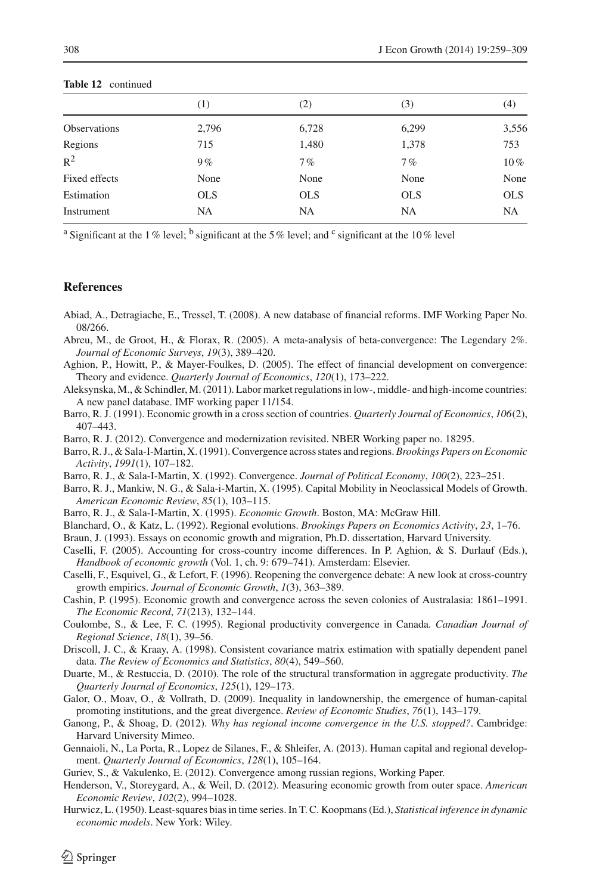| _ |  |  |
|---|--|--|
|   |  |  |
|   |  |  |

**Table 12** continued

|                     | (1)        | (2)        | (3)        | (4)        |  |
|---------------------|------------|------------|------------|------------|--|
| <b>Observations</b> | 2,796      | 6,728      | 6,299      | 3,556      |  |
| Regions             | 715        | 1,480      | 1,378      | 753        |  |
| $R^2$               | 9%         | 7%         | 7%         | $10\%$     |  |
| Fixed effects       | None       | None       | None       | None       |  |
| Estimation          | <b>OLS</b> | <b>OLS</b> | <b>OLS</b> | <b>OLS</b> |  |
| Instrument          | <b>NA</b>  | <b>NA</b>  | <b>NA</b>  | <b>NA</b>  |  |
|                     |            |            |            |            |  |

<sup>a</sup> Significant at the 1% level; <sup>b</sup> significant at the 5% level; and <sup>c</sup> significant at the 10% level

# **References**

- <span id="page-49-19"></span>Abiad, A., Detragiache, E., Tressel, T. (2008). A new database of financial reforms. IMF Working Paper No. 08/266.
- <span id="page-49-15"></span>Abreu, M., de Groot, H., & Florax, R. (2005). A meta-analysis of beta-convergence: The Legendary 2%. *Journal of Economic Surveys*, *19*(3), 389–420.
- <span id="page-49-3"></span>Aghion, P., Howitt, P., & Mayer-Foulkes, D. (2005). The effect of financial development on convergence: Theory and evidence. *Quarterly Journal of Economics*, *120*(1), 173–222.
- <span id="page-49-20"></span>Aleksynska, M., & Schindler, M. (2011). Labor market regulations in low-, middle- and high-income countries: A new panel database. IMF working paper 11/154.
- <span id="page-49-0"></span>Barro, R. J. (1991). Economic growth in a cross section of countries. *Quarterly Journal of Economics*, *106*(2), 407–443.
- <span id="page-49-4"></span>Barro, R. J. (2012). Convergence and modernization revisited. NBER Working paper no. 18295.
- <span id="page-49-5"></span>Barro, R. J., & Sala-I-Martin, X. (1991). Convergence across states and regions. *Brookings Papers on Economic Activity*, *1991*(1), 107–182.
- <span id="page-49-6"></span>Barro, R. J., & Sala-I-Martin, X. (1992). Convergence. *Journal of Political Economy*, *100*(2), 223–251.
- <span id="page-49-1"></span>Barro, R. J., Mankiw, N. G., & Sala-i-Martin, X. (1995). Capital Mobility in Neoclassical Models of Growth. *American Economic Review*, *85*(1), 103–115.
- <span id="page-49-7"></span>Barro, R. J., & Sala-I-Martin, X. (1995). *Economic Growth*. Boston, MA: McGraw Hill.

<span id="page-49-8"></span>Blanchard, O., & Katz, L. (1992). Regional evolutions. *Brookings Papers on Economics Activity*, *23*, 1–76.

- <span id="page-49-16"></span>Braun, J. (1993). Essays on economic growth and migration, Ph.D. dissertation, Harvard University.
- <span id="page-49-23"></span>Caselli, F. (2005). Accounting for cross-country income differences. In P. Aghion, & S. Durlauf (Eds.), *Handbook of economic growth* (Vol. 1, ch. 9: 679–741). Amsterdam: Elsevier.
- <span id="page-49-2"></span>Caselli, F., Esquivel, G., & Lefort, F. (1996). Reopening the convergence debate: A new look at cross-country growth empirics. *Journal of Economic Growth*, *1*(3), 363–389.
- <span id="page-49-9"></span>Cashin, P. (1995). Economic growth and convergence across the seven colonies of Australasia: 1861–1991. *The Economic Record*, *71*(213), 132–144.
- <span id="page-49-10"></span>Coulombe, S., & Lee, F. C. (1995). Regional productivity convergence in Canada. *Canadian Journal of Regional Science*, *18*(1), 39–56.
- <span id="page-49-18"></span>Driscoll, J. C., & Kraay, A. (1998). Consistent covariance matrix estimation with spatially dependent panel data. *The Review of Economics and Statistics*, *80*(4), 549–560.
- <span id="page-49-21"></span>Duarte, M., & Restuccia, D. (2010). The role of the structural transformation in aggregate productivity. *The Quarterly Journal of Economics*, *125*(1), 129–173.
- <span id="page-49-22"></span>Galor, O., Moav, O., & Vollrath, D. (2009). Inequality in landownership, the emergence of human-capital promoting institutions, and the great divergence. *Review of Economic Studies*, *76*(1), 143–179.
- <span id="page-49-11"></span>Ganong, P., & Shoag, D. (2012). *Why has regional income convergence in the U.S. stopped?*. Cambridge: Harvard University Mimeo.
- <span id="page-49-13"></span>Gennaioli, N., La Porta, R., Lopez de Silanes, F., & Shleifer, A. (2013). Human capital and regional development. *Quarterly Journal of Economics*, *128*(1), 105–164.
- <span id="page-49-12"></span>Guriev, S., & Vakulenko, E. (2012). Convergence among russian regions, Working Paper.
- <span id="page-49-14"></span>Henderson, V., Storeygard, A., & Weil, D. (2012). Measuring economic growth from outer space. *American Economic Review*, *102*(2), 994–1028.
- <span id="page-49-17"></span>Hurwicz, L. (1950). Least-squares bias in time series. In T. C. Koopmans (Ed.), *Statistical inference in dynamic economic models*. New York: Wiley.